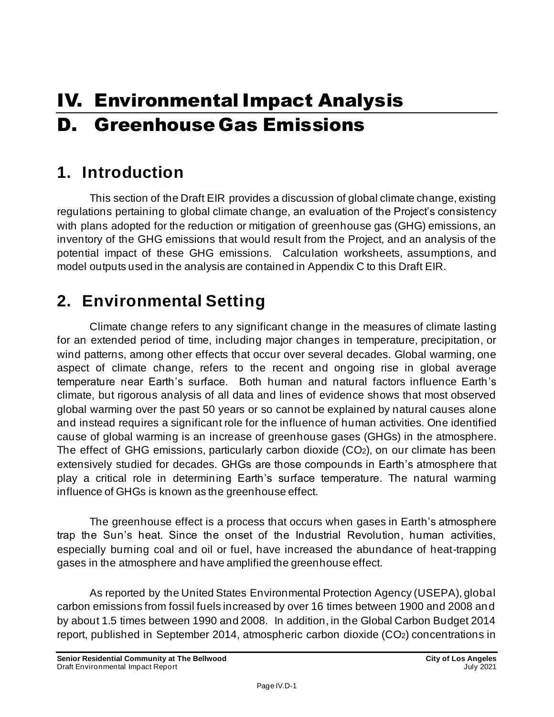# IV. Environmental Impact Analysis D. Greenhouse Gas Emissions

# **1. Introduction**

This section of the Draft EIR provides a discussion of global climate change, existing regulations pertaining to global climate change, an evaluation of the Project's consistency with plans adopted for the reduction or mitigation of greenhouse gas (GHG) emissions, an inventory of the GHG emissions that would result from the Project, and an analysis of the potential impact of these GHG emissions. Calculation worksheets, assumptions, and model outputs used in the analysis are contained in Appendix C to this Draft EIR.

# **2. Environmental Setting**

Climate change refers to any significant change in the measures of climate lasting for an extended period of time, including major changes in temperature, precipitation, or wind patterns, among other effects that occur over several decades. Global warming, one aspect of climate change, refers to the recent and ongoing rise in global average temperature near Earth's surface. Both human and natural factors influence Earth's climate, but rigorous analysis of all data and lines of evidence shows that most observed global warming over the past 50 years or so cannot be explained by natural causes alone and instead requires a significant role for the influence of human activities. One identified cause of global warming is an increase of greenhouse gases (GHGs) in the atmosphere. The effect of GHG emissions, particularly carbon dioxide (CO2), on our climate has been extensively studied for decades. GHGs are those compounds in Earth's atmosphere that play a critical role in determining Earth's surface temperature. The natural warming influence of GHGs is known as the greenhouse effect.

The greenhouse effect is a process that occurs when gases in Earth's atmosphere trap the Sun's heat. Since the onset of the Industrial Revolution, human activities, especially burning coal and oil or fuel, have increased the abundance of heat-trapping gases in the atmosphere and have amplified the greenhouse effect.

As reported by the United States Environmental Protection Agency (USEPA), global carbon emissions from fossil fuels increased by over 16 times between 1900 and 2008 and by about 1.5 times between 1990 and 2008. In addition, in the Global Carbon Budget 2014 report, published in September 2014, atmospheric carbon dioxide (CO2) concentrations in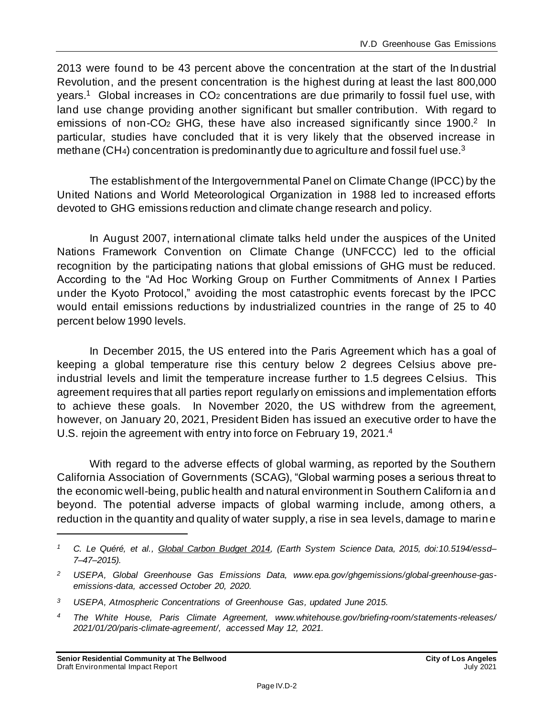2013 were found to be 43 percent above the concentration at the start of the In dustrial Revolution, and the present concentration is the highest during at least the last 800,000 years.<sup>1</sup> Global increases in CO<sub>2</sub> concentrations are due primarily to fossil fuel use, with land use change providing another significant but smaller contribution. With regard to emissions of non-CO<sub>2</sub> GHG, these have also increased significantly since 1900.<sup>2</sup> In particular, studies have concluded that it is very likely that the observed increase in methane (CH<sub>4</sub>) concentration is predominantly due to agriculture and fossil fuel use.<sup>3</sup>

The establishment of the Intergovernmental Panel on Climate Change (IPCC) by the United Nations and World Meteorological Organization in 1988 led to increased efforts devoted to GHG emissions reduction and climate change research and policy.

In August 2007, international climate talks held under the auspices of the United Nations Framework Convention on Climate Change (UNFCCC) led to the official recognition by the participating nations that global emissions of GHG must be reduced. According to the "Ad Hoc Working Group on Further Commitments of Annex I Parties under the Kyoto Protocol," avoiding the most catastrophic events forecast by the IPCC would entail emissions reductions by industrialized countries in the range of 25 to 40 percent below 1990 levels.

In December 2015, the US entered into the Paris Agreement which has a goal of keeping a global temperature rise this century below 2 degrees Celsius above preindustrial levels and limit the temperature increase further to 1.5 degrees Celsius. This agreement requires that all parties report regularly on emissions and implementation efforts to achieve these goals. In November 2020, the US withdrew from the agreement, however, on January 20, 2021, President Biden has issued an executive order to have the U.S. rejoin the agreement with entry into force on February 19, 2021. 4

With regard to the adverse effects of global warming, as reported by the Southern California Association of Governments (SCAG), "Global warming poses a serious threat to the economic well-being, public health and natural environment in Southern Californ ia and beyond. The potential adverse impacts of global warming include, among others, a reduction in the quantity and quality of water supply, a rise in sea levels, damage to marine

*<sup>1</sup> C. Le Quéré, et al., Global Carbon Budget 2014, (Earth System Science Data, 2015, doi:10.5194/essd– 7–47–2015).*

*<sup>2</sup> USEPA, Global Greenhouse Gas Emissions Data, www.epa.gov/ghgemissions/global-greenhouse-gasemissions-data, accessed October 20, 2020.*

*<sup>3</sup> USEPA, Atmospheric Concentrations of Greenhouse Gas, updated June 2015.*

*<sup>4</sup> The White House, Paris Climate Agreement, www.whitehouse.gov/briefing-room/statements-releases/ 2021/01/20/paris-climate-agreement/, accessed May 12, 2021.*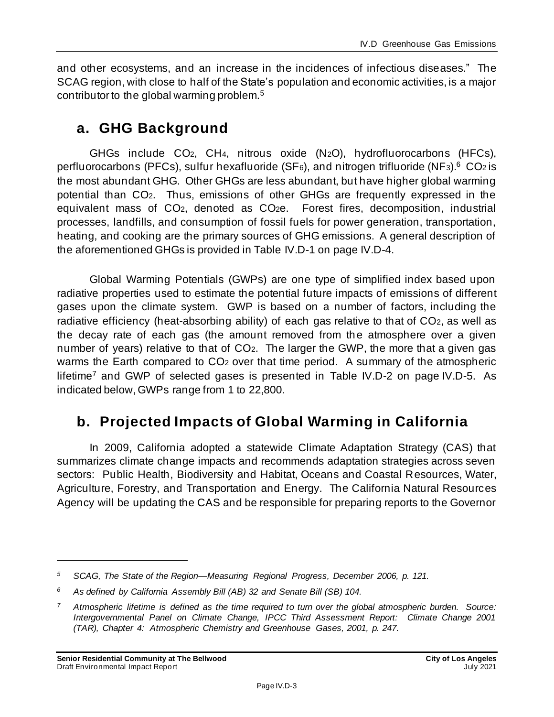and other ecosystems, and an increase in the incidences of infectious diseases." The SCAG region, with close to half of the State's population and economic activities, is a major contributor to the global warming problem.<sup>5</sup>

### **a. GHG Background**

GHGs include CO2, CH4, nitrous oxide (N2O), hydrofluorocarbons (HFCs), perfluorocarbons (PFCs), sulfur hexafluoride (SF6), and nitrogen trifluoride (NF3).<sup>6</sup> CO2 is the most abundant GHG. Other GHGs are less abundant, but have higher global warming potential than CO2. Thus, emissions of other GHGs are frequently expressed in the equivalent mass of CO2, denoted as CO2e. Forest fires, decomposition, industrial processes, landfills, and consumption of fossil fuels for power generation, transportation, heating, and cooking are the primary sources of GHG emissions. A general description of the aforementioned GHGs is provided in Table IV.D-1 on page IV.D-4.

Global Warming Potentials (GWPs) are one type of simplified index based upon radiative properties used to estimate the potential future impacts of emissions of different gases upon the climate system. GWP is based on a number of factors, including the radiative efficiency (heat-absorbing ability) of each gas relative to that of CO<sub>2</sub>, as well as the decay rate of each gas (the amount removed from the atmosphere over a given number of years) relative to that of CO2. The larger the GWP, the more that a given gas warms the Earth compared to CO<sub>2</sub> over that time period. A summary of the atmospheric lifetime<sup>7</sup> and GWP of selected gases is presented in Table IV.D-2 on page IV.D-5. As indicated below, GWPs range from 1 to 22,800.

### **b. Projected Impacts of Global Warming in California**

In 2009, California adopted a statewide Climate Adaptation Strategy (CAS) that summarizes climate change impacts and recommends adaptation strategies across seven sectors: Public Health, Biodiversity and Habitat, Oceans and Coastal Resources, Water, Agriculture, Forestry, and Transportation and Energy. The California Natural Resources Agency will be updating the CAS and be responsible for preparing reports to the Governor

*<sup>5</sup> SCAG, The State of the Region—Measuring Regional Progress, December 2006, p. 121.*

*<sup>6</sup> As defined by California Assembly Bill (AB) 32 and Senate Bill (SB) 104.*

*<sup>7</sup> Atmospheric lifetime is defined as the time required to turn over the global atmospheric burden. Source: Intergovernmental Panel on Climate Change, IPCC Third Assessment Report: Climate Change 2001 (TAR), Chapter 4: Atmospheric Chemistry and Greenhouse Gases, 2001, p. 247.*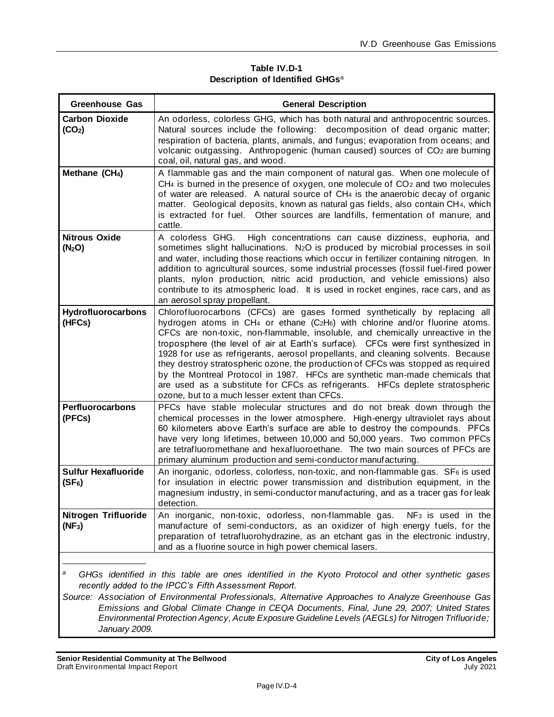#### **Table IV.D-1 Description of Identified GHGs**<sup>a</sup>

| <b>Greenhouse Gas</b>                                                                                                                                                                                                                                                                                                                                                                                                                                                                        | <b>General Description</b>                                                                                                                                                                                                                                                                                                                                                                                                                                                                                                                                                                                                                                                                                                  |  |  |  |  |
|----------------------------------------------------------------------------------------------------------------------------------------------------------------------------------------------------------------------------------------------------------------------------------------------------------------------------------------------------------------------------------------------------------------------------------------------------------------------------------------------|-----------------------------------------------------------------------------------------------------------------------------------------------------------------------------------------------------------------------------------------------------------------------------------------------------------------------------------------------------------------------------------------------------------------------------------------------------------------------------------------------------------------------------------------------------------------------------------------------------------------------------------------------------------------------------------------------------------------------------|--|--|--|--|
| <b>Carbon Dioxide</b><br>(CO <sub>2</sub> )                                                                                                                                                                                                                                                                                                                                                                                                                                                  | An odorless, colorless GHG, which has both natural and anthropocentric sources.<br>Natural sources include the following: decomposition of dead organic matter;<br>respiration of bacteria, plants, animals, and fungus; evaporation from oceans; and<br>volcanic outgassing. Anthropogenic (human caused) sources of CO <sub>2</sub> are burning<br>coal, oil, natural gas, and wood.                                                                                                                                                                                                                                                                                                                                      |  |  |  |  |
| Methane (CH <sub>4</sub> )                                                                                                                                                                                                                                                                                                                                                                                                                                                                   | A flammable gas and the main component of natural gas. When one molecule of<br>$CH4$ is burned in the presence of oxygen, one molecule of $CO2$ and two molecules<br>of water are released. A natural source of CH4 is the anaerobic decay of organic<br>matter. Geological deposits, known as natural gas fields, also contain CH4, which<br>is extracted for fuel. Other sources are landfills, fermentation of manure, and<br>cattle.                                                                                                                                                                                                                                                                                    |  |  |  |  |
| <b>Nitrous Oxide</b><br>(N <sub>2</sub> O)                                                                                                                                                                                                                                                                                                                                                                                                                                                   | A colorless GHG.<br>High concentrations can cause dizziness, euphoria, and<br>sometimes slight hallucinations. N <sub>2</sub> O is produced by microbial processes in soil<br>and water, including those reactions which occur in fertilizer containing nitrogen. In<br>addition to agricultural sources, some industrial processes (fossil fuel-fired power<br>plants, nylon production, nitric acid production, and vehicle emissions) also<br>contribute to its atmospheric load. It is used in rocket engines, race cars, and as<br>an aerosol spray propellant.                                                                                                                                                        |  |  |  |  |
| Hydrofluorocarbons<br>(HFCs)                                                                                                                                                                                                                                                                                                                                                                                                                                                                 | Chlorofluorocarbons (CFCs) are gases formed synthetically by replacing all<br>hydrogen atoms in CH4 or ethane (C2H6) with chlorine and/or fluorine atoms.<br>CFCs are non-toxic, non-flammable, insoluble, and chemically unreactive in the<br>troposphere (the level of air at Earth's surface). CFCs were first synthesized in<br>1928 for use as refrigerants, aerosol propellants, and cleaning solvents. Because<br>they destroy stratospheric ozone, the production of CFCs was stopped as required<br>by the Montreal Protocol in 1987. HFCs are synthetic man-made chemicals that<br>are used as a substitute for CFCs as refrigerants. HFCs deplete stratospheric<br>ozone, but to a much lesser extent than CFCs. |  |  |  |  |
| Perfluorocarbons<br>(PFCs)                                                                                                                                                                                                                                                                                                                                                                                                                                                                   | PFCs have stable molecular structures and do not break down through the<br>chemical processes in the lower atmosphere. High-energy ultraviolet rays about<br>60 kilometers above Earth's surface are able to destroy the compounds. PFCs<br>have very long lifetimes, between 10,000 and 50,000 years. Two common PFCs<br>are tetrafluoromethane and hexafluoroethane. The two main sources of PFCs are<br>primary aluminum production and semi-conductor manufacturing.                                                                                                                                                                                                                                                    |  |  |  |  |
| <b>Sulfur Hexafluoride</b><br>$(SF_6)$                                                                                                                                                                                                                                                                                                                                                                                                                                                       | An inorganic, odorless, colorless, non-toxic, and non-flammable gas. SF6 is used<br>for insulation in electric power transmission and distribution equipment, in the<br>magnesium industry, in semi-conductor manufacturing, and as a tracer gas for leak<br>detection.                                                                                                                                                                                                                                                                                                                                                                                                                                                     |  |  |  |  |
| Nitrogen Trifluoride<br>$(NF_3)$                                                                                                                                                                                                                                                                                                                                                                                                                                                             | An inorganic, non-toxic, odorless, non-flammable gas. NF <sub>3</sub> is used in the<br>manufacture of semi-conductors, as an oxidizer of high energy fuels, for the<br>preparation of tetrafluorohydrazine, as an etchant gas in the electronic industry,<br>and as a fluorine source in high power chemical lasers.                                                                                                                                                                                                                                                                                                                                                                                                       |  |  |  |  |
| а<br>GHGs identified in this table are ones identified in the Kyoto Protocol and other synthetic gases<br>recently added to the IPCC's Fifth Assessment Report.<br>Source: Association of Environmental Professionals, Alternative Approaches to Analyze Greenhouse Gas<br>Emissions and Global Climate Change in CEQA Documents, Final, June 29, 2007; United States<br>Environmental Protection Agency, Acute Exposure Guideline Levels (AEGLs) for Nitrogen Trifluoride;<br>January 2009. |                                                                                                                                                                                                                                                                                                                                                                                                                                                                                                                                                                                                                                                                                                                             |  |  |  |  |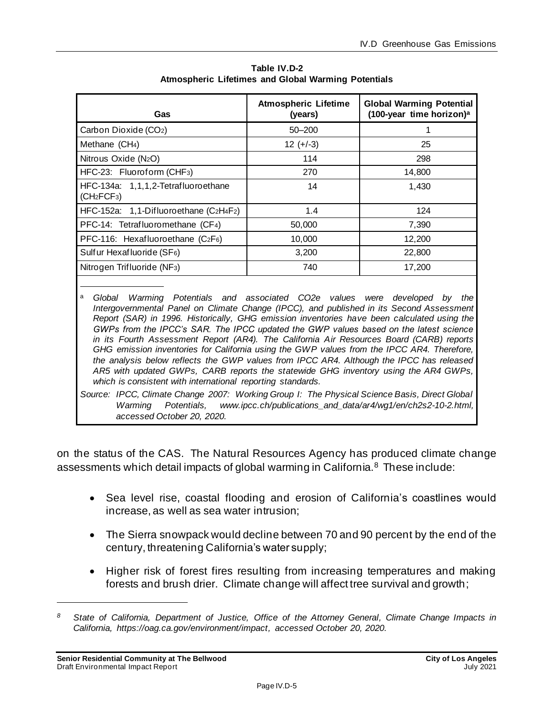| Gas                                                                        | <b>Atmospheric Lifetime</b><br>(years) | <b>Global Warming Potential</b><br>(100-year time horizon) <sup>a</sup> |
|----------------------------------------------------------------------------|----------------------------------------|-------------------------------------------------------------------------|
| Carbon Dioxide (CO2)                                                       | $50 - 200$                             |                                                                         |
| Methane (CH <sub>4</sub> )                                                 | $12 (+/-3)$                            | 25                                                                      |
| Nitrous Oxide (N <sub>2</sub> O)                                           | 114                                    | 298                                                                     |
| HFC-23: Fluoroform (CHF <sub>3</sub> )                                     | 270                                    | 14,800                                                                  |
| HFC-134a: 1,1,1,2-Tetrafluoroethane<br>(CH <sub>2</sub> FCF <sub>3</sub> ) | 14                                     | 1,430                                                                   |
| HFC-152a: 1,1-Difluoroethane (C2H4F2)                                      | 1.4                                    | 124                                                                     |
| PFC-14: Tetrafluoromethane (CF4)                                           | 50,000                                 | 7,390                                                                   |
| PFC-116: Hexafluoroethane (C2F6)                                           | 10,000                                 | 12,200                                                                  |
| Sulfur Hexafluoride (SF6)                                                  | 3,200                                  | 22,800                                                                  |
| Nitrogen Trifluoride (NF <sub>3</sub> )                                    | 740                                    | 17,200                                                                  |

**Table IV.D-2 Atmospheric Lifetimes and Global Warming Potentials** 

<sup>a</sup>*Global Warming Potentials and associated CO2e values were developed by the Intergovernmental Panel on Climate Change (IPCC), and published in its Second Assessment Report (SAR) in 1996. Historically, GHG emission inventories have been calculated using the GWPs from the IPCC's SAR. The IPCC updated the GWP values based on the latest science in its Fourth Assessment Report (AR4). The California Air Resources Board (CARB) reports GHG emission inventories for California using the GWP values from the IPCC AR4. Therefore, the analysis below reflects the GWP values from IPCC AR4. Although the IPCC has released AR5 with updated GWPs, CARB reports the statewide GHG inventory using the AR4 GWPs, which is consistent with international reporting standards.*

*Source: IPCC, Climate Change 2007: Working Group I: The Physical Science Basis, Direct Global Warming Potentials, www.ipcc.ch/publications\_and\_data/ar4/wg1/en/ch2s2-10-2.html, accessed October 20, 2020.*

on the status of the CAS. The Natural Resources Agency has produced climate change assessments which detail impacts of global warming in California.<sup>8</sup> These include:

- Sea level rise, coastal flooding and erosion of California's coastlines would increase, as well as sea water intrusion;
- The Sierra snowpack would decline between 70 and 90 percent by the end of the century, threatening California's water supply;
- Higher risk of forest fires resulting from increasing temperatures and making forests and brush drier. Climate change will affect tree survival and growth;

*<sup>8</sup> State of California, Department of Justice, Office of the Attorney General, Climate Change Impacts in California, https://oag.ca.gov/environment/impact, accessed October 20, 2020.*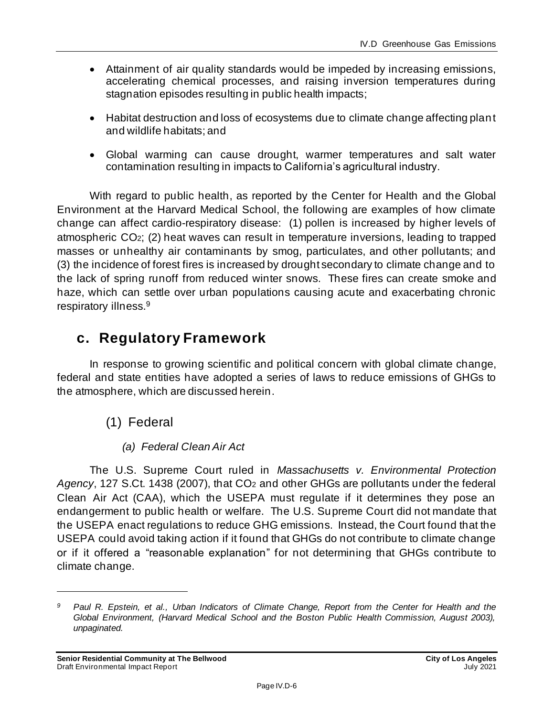- Attainment of air quality standards would be impeded by increasing emissions, accelerating chemical processes, and raising inversion temperatures during stagnation episodes resulting in public health impacts;
- Habitat destruction and loss of ecosystems due to climate change affecting plant and wildlife habitats; and
- Global warming can cause drought, warmer temperatures and salt water contamination resulting in impacts to California's agricultural industry.

With regard to public health, as reported by the Center for Health and the Global Environment at the Harvard Medical School, the following are examples of how climate change can affect cardio-respiratory disease: (1) pollen is increased by higher levels of atmospheric CO2; (2) heat waves can result in temperature inversions, leading to trapped masses or unhealthy air contaminants by smog, particulates, and other pollutants; and (3) the incidence of forest fires is increased by drought secondary to climate change and to the lack of spring runoff from reduced winter snows. These fires can create smoke and haze, which can settle over urban populations causing acute and exacerbating chronic respiratory illness.<sup>9</sup>

### **c. Regulatory Framework**

In response to growing scientific and political concern with global climate change, federal and state entities have adopted a series of laws to reduce emissions of GHGs to the atmosphere, which are discussed herein.

- (1) Federal
	- *(a) Federal Clean Air Act*

The U.S. Supreme Court ruled in *Massachusetts v. Environmental Protection*  Agency, 127 S.Ct. 1438 (2007), that CO<sub>2</sub> and other GHGs are pollutants under the federal Clean Air Act (CAA), which the USEPA must regulate if it determines they pose an endangerment to public health or welfare. The U.S. Supreme Court did not mandate that the USEPA enact regulations to reduce GHG emissions. Instead, the Court found that the USEPA could avoid taking action if it found that GHGs do not contribute to climate change or if it offered a "reasonable explanation" for not determining that GHGs contribute to climate change.

*<sup>9</sup> Paul R. Epstein, et al., Urban Indicators of Climate Change, Report from the Center for Health and the*  Global Environment, (Harvard Medical School and the Boston Public Health Commission, August 2003), *unpaginated.*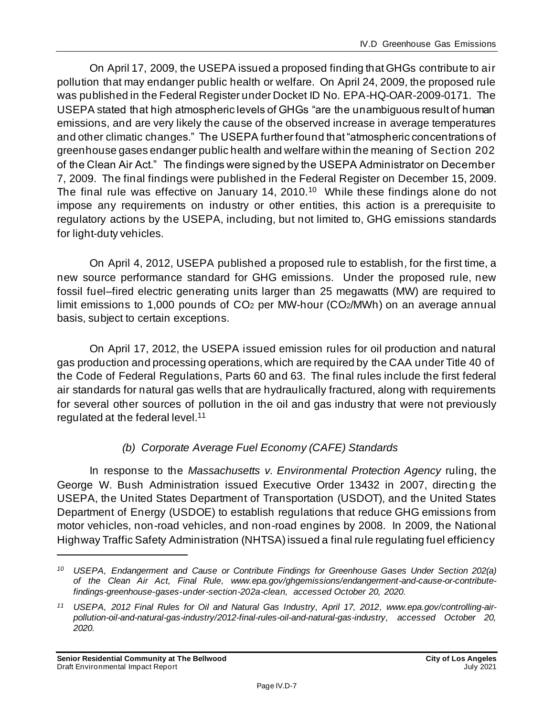On April 17, 2009, the USEPA issued a proposed finding that GHGs contribute to air pollution that may endanger public health or welfare. On April 24, 2009, the proposed rule was published in the Federal Register under Docket ID No. EPA-HQ-OAR-2009-0171. The USEPA stated that high atmospheric levels of GHGs "are the unambiguous result of human emissions, and are very likely the cause of the observed increase in average temperatures and other climatic changes." The USEPA further found that "atmospheric concentrations of greenhouse gases endanger public health and welfare within the meaning of Section 202 of the Clean Air Act." The findings were signed by the USEPA Administrator on December 7, 2009. The final findings were published in the Federal Register on December 15, 2009. The final rule was effective on January 14, 2010.<sup>10</sup> While these findings alone do not impose any requirements on industry or other entities, this action is a prerequisite to regulatory actions by the USEPA, including, but not limited to, GHG emissions standards for light‐duty vehicles.

On April 4, 2012, USEPA published a proposed rule to establish, for the first time, a new source performance standard for GHG emissions. Under the proposed rule, new fossil fuel–fired electric generating units larger than 25 megawatts (MW) are required to limit emissions to 1,000 pounds of CO<sub>2</sub> per MW-hour (CO<sub>2</sub>/MWh) on an average annual basis, subject to certain exceptions.

On April 17, 2012, the USEPA issued emission rules for oil production and natural gas production and processing operations, which are required by the CAA under Title 40 of the Code of Federal Regulations, Parts 60 and 63. The final rules include the first federal air standards for natural gas wells that are hydraulically fractured, along with requirements for several other sources of pollution in the oil and gas industry that were not previously regulated at the federal level.<sup>11</sup>

### *(b) Corporate Average Fuel Economy (CAFE) Standards*

In response to the *Massachusetts v. Environmental Protection Agency* ruling, the George W. Bush Administration issued Executive Order 13432 in 2007, directin g the USEPA, the United States Department of Transportation (USDOT), and the United States Department of Energy (USDOE) to establish regulations that reduce GHG emissions from motor vehicles, non-road vehicles, and non-road engines by 2008. In 2009, the National Highway Traffic Safety Administration (NHTSA) issued a final rule regulating fuel efficiency

*<sup>10</sup> USEPA, Endangerment and Cause or Contribute Findings for Greenhouse Gases Under Section 202(a) of the Clean Air Act, Final Rule, www.epa.gov/ghgemissions/endangerment-and-cause-or-contributefindings-greenhouse-gases-under-section-202a-clean, accessed October 20, 2020.*

*<sup>11</sup> USEPA, 2012 Final Rules for Oil and Natural Gas Industry, April 17, 2012, www.epa.gov/controlling-airpollution-oil-and-natural-gas-industry/2012-final-rules-oil-and-natural-gas-industry, accessed October 20, 2020.*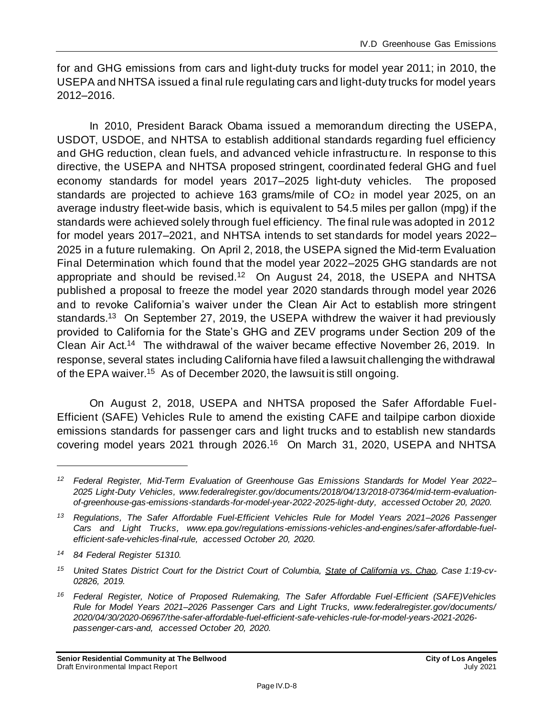for and GHG emissions from cars and light-duty trucks for model year 2011; in 2010, the USEPA and NHTSA issued a final rule regulating cars and light-duty trucks for model years 2012–2016.

In 2010, President Barack Obama issued a memorandum directing the USEPA, USDOT, USDOE, and NHTSA to establish additional standards regarding fuel efficiency and GHG reduction, clean fuels, and advanced vehicle infrastructu re. In response to this directive, the USEPA and NHTSA proposed stringent, coordinated federal GHG and fuel economy standards for model years 2017–2025 light-duty vehicles. The proposed standards are projected to achieve 163 grams/mile of CO<sub>2</sub> in model year 2025, on an average industry fleet-wide basis, which is equivalent to 54.5 miles per gallon (mpg) if the standards were achieved solely through fuel efficiency. The final rule was adopted in 2012 for model years 2017–2021, and NHTSA intends to set standards for model years 2022– 2025 in a future rulemaking. On April 2, 2018, the USEPA signed the Mid-term Evaluation Final Determination which found that the model year 2022–2025 GHG standards are not appropriate and should be revised.<sup>12</sup> On August 24, 2018, the USEPA and NHTSA published a proposal to freeze the model year 2020 standards through model year 2026 and to revoke California's waiver under the Clean Air Act to establish more stringent standards.<sup>13</sup> On September 27, 2019, the USEPA withdrew the waiver it had previously provided to California for the State's GHG and ZEV programs under Section 209 of the Clean Air Act.<sup>14</sup> The withdrawal of the waiver became effective November 26, 2019. In response, several states including California have filed a lawsuit challenging the withdrawal of the EPA waiver.<sup>15</sup> As of December 2020, the lawsuit is still ongoing.

On August 2, 2018, USEPA and NHTSA proposed the Safer Affordable Fuel-Efficient (SAFE) Vehicles Rule to amend the existing CAFE and tailpipe carbon dioxide emissions standards for passenger cars and light trucks and to establish new standards covering model years 2021 through 2026.<sup>16</sup> On March 31, 2020, USEPA and NHTSA

*<sup>12</sup> Federal Register, Mid-Term Evaluation of Greenhouse Gas Emissions Standards for Model Year 2022– 2025 Light-Duty Vehicles, www.federalregister.gov/documents/2018/04/13/2018-07364/mid-term-evaluationof-greenhouse-gas-emissions-standards-for-model-year-2022-2025-light-duty, accessed October 20, 2020.*

*<sup>13</sup> Regulations, The Safer Affordable Fuel-Efficient Vehicles Rule for Model Years 2021–2026 Passenger Cars and Light Trucks, www.epa.gov/regulations-emissions-vehicles-and-engines/safer-affordable-fuelefficient-safe-vehicles-final-rule, accessed October 20, 2020.*

*<sup>14</sup> 84 Federal Register 51310.*

*<sup>15</sup> United States District Court for the District Court of Columbia, State of California vs. Chao, Case 1:19-cv-02826, 2019.*

*<sup>16</sup> Federal Register, Notice of Proposed Rulemaking, The Safer Affordable Fuel-Efficient (SAFE)Vehicles Rule for Model Years 2021–2026 Passenger Cars and Light Trucks, www.federalregister.gov/documents/ 2020/04/30/2020-06967/the-safer-affordable-fuel-efficient-safe-vehicles-rule-for-model-years-2021-2026 passenger-cars-and, accessed October 20, 2020.*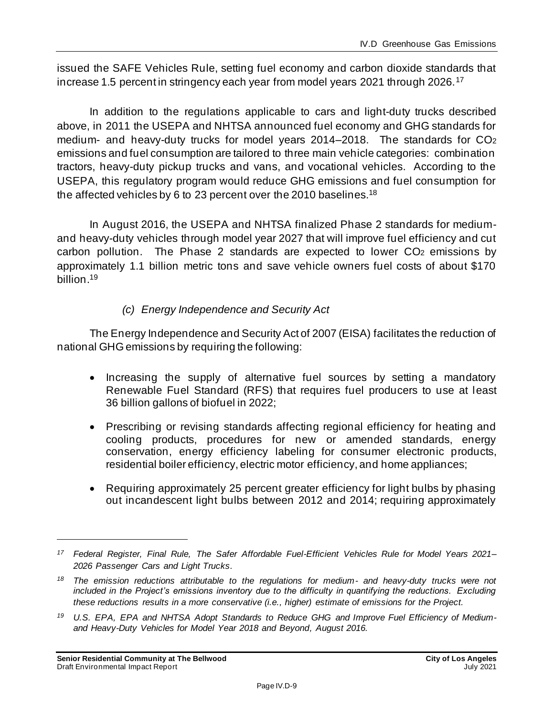issued the SAFE Vehicles Rule, setting fuel economy and carbon dioxide standards that increase 1.5 percent in stringency each year from model years 2021 through 2026.<sup>17</sup>

In addition to the regulations applicable to cars and light-duty trucks described above, in 2011 the USEPA and NHTSA announced fuel economy and GHG standards for medium- and heavy-duty trucks for model years 2014–2018. The standards for CO<sup>2</sup> emissions and fuel consumption are tailored to three main vehicle categories: combination tractors, heavy-duty pickup trucks and vans, and vocational vehicles. According to the USEPA, this regulatory program would reduce GHG emissions and fuel consumption for the affected vehicles by 6 to 23 percent over the 2010 baselines.<sup>18</sup>

In August 2016, the USEPA and NHTSA finalized Phase 2 standards for mediumand heavy-duty vehicles through model year 2027 that will improve fuel efficiency and cut carbon pollution. The Phase 2 standards are expected to lower CO<sup>2</sup> emissions by approximately 1.1 billion metric tons and save vehicle owners fuel costs of about \$170 billion.<sup>19</sup>

#### *(c) Energy Independence and Security Act*

The Energy Independence and Security Act of 2007 (EISA) facilitates the reduction of national GHG emissions by requiring the following:

- Increasing the supply of alternative fuel sources by setting a mandatory Renewable Fuel Standard (RFS) that requires fuel producers to use at least 36 billion gallons of biofuel in 2022;
- Prescribing or revising standards affecting regional efficiency for heating and cooling products, procedures for new or amended standards, energy conservation, energy efficiency labeling for consumer electronic products, residential boiler efficiency, electric motor efficiency, and home appliances;
- Requiring approximately 25 percent greater efficiency for light bulbs by phasing out incandescent light bulbs between 2012 and 2014; requiring approximately

*<sup>17</sup> Federal Register, Final Rule, The Safer Affordable Fuel-Efficient Vehicles Rule for Model Years 2021– 2026 Passenger Cars and Light Trucks.*

*<sup>18</sup> The emission reductions attributable to the regulations for medium- and heavy-duty trucks were not included in the Project's emissions inventory due to the difficulty in quantifying the reductions. Excluding these reductions results in a more conservative (i.e., higher) estimate of emissions for the Project.*

*<sup>19</sup> U.S. EPA, EPA and NHTSA Adopt Standards to Reduce GHG and Improve Fuel Efficiency of Mediumand Heavy-Duty Vehicles for Model Year 2018 and Beyond, August 2016.*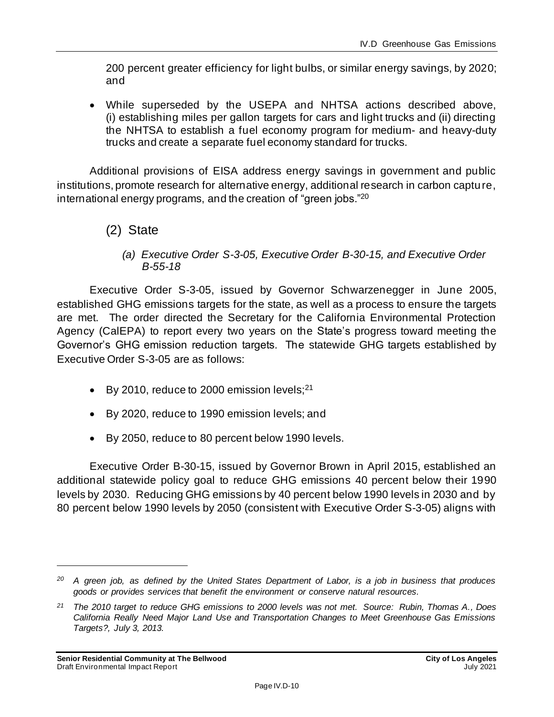200 percent greater efficiency for light bulbs, or similar energy savings, by 2020; and

• While superseded by the USEPA and NHTSA actions described above, (i) establishing miles per gallon targets for cars and light trucks and (ii) directing the NHTSA to establish a fuel economy program for medium- and heavy-duty trucks and create a separate fuel economy standard for trucks.

Additional provisions of EISA address energy savings in government and public institutions, promote research for alternative energy, additional research in carbon capture, international energy programs, and the creation of "green jobs."<sup>20</sup>

- (2) State
	- *(a) Executive Order S-3-05, Executive Order B-30-15, and Executive Order B-55-18*

Executive Order S-3-05, issued by Governor Schwarzenegger in June 2005, established GHG emissions targets for the state, as well as a process to ensure the targets are met. The order directed the Secretary for the California Environmental Protection Agency (CalEPA) to report every two years on the State's progress toward meeting the Governor's GHG emission reduction targets. The statewide GHG targets established by Executive Order S-3-05 are as follows:

- By 2010, reduce to 2000 emission levels; $^{21}$
- By 2020, reduce to 1990 emission levels; and
- By 2050, reduce to 80 percent below 1990 levels.

Executive Order B-30-15, issued by Governor Brown in April 2015, established an additional statewide policy goal to reduce GHG emissions 40 percent below their 1990 levels by 2030. Reducing GHG emissions by 40 percent below 1990 levels in 2030 and by 80 percent below 1990 levels by 2050 (consistent with Executive Order S-3-05) aligns with

*<sup>20</sup> A green job, as defined by the United States Department of Labor, is a job in business that produces goods or provides services that benefit the environment or conserve natural resources.*

*<sup>21</sup> The 2010 target to reduce GHG emissions to 2000 levels was not met. Source: Rubin, Thomas A., Does California Really Need Major Land Use and Transportation Changes to Meet Greenhouse Gas Emissions Targets?, July 3, 2013.*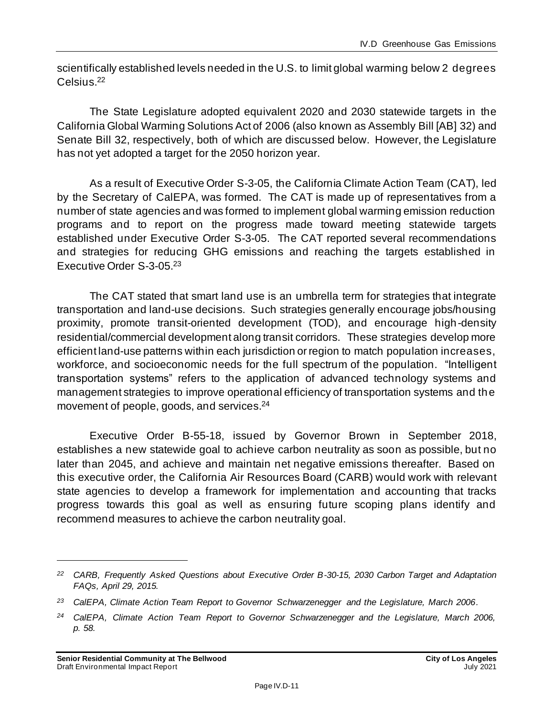scientifically established levels needed in the U.S. to limit global warming below 2 degrees Celsius. 22

The State Legislature adopted equivalent 2020 and 2030 statewide targets in the California Global Warming Solutions Act of 2006 (also known as Assembly Bill [AB] 32) and Senate Bill 32, respectively, both of which are discussed below. However, the Legislature has not yet adopted a target for the 2050 horizon year.

As a result of Executive Order S-3-05, the California Climate Action Team (CAT), led by the Secretary of CalEPA, was formed. The CAT is made up of representatives from a number of state agencies and was formed to implement global warming emission reduction programs and to report on the progress made toward meeting statewide targets established under Executive Order S-3-05. The CAT reported several recommendations and strategies for reducing GHG emissions and reaching the targets established in Executive Order S-3-05. 23

The CAT stated that smart land use is an umbrella term for strategies that integrate transportation and land-use decisions. Such strategies generally encourage jobs/housing proximity, promote transit-oriented development (TOD), and encourage high-density residential/commercial development along transit corridors. These strategies develop more efficient land-use patterns within each jurisdiction or region to match population increases, workforce, and socioeconomic needs for the full spectrum of the population. "Intelligent transportation systems" refers to the application of advanced technology systems and management strategies to improve operational efficiency of transportation systems and the movement of people, goods, and services. 24

Executive Order B-55-18, issued by Governor Brown in September 2018, establishes a new statewide goal to achieve carbon neutrality as soon as possible, but no later than 2045, and achieve and maintain net negative emissions thereafter. Based on this executive order, the California Air Resources Board (CARB) would work with relevant state agencies to develop a framework for implementation and accounting that tracks progress towards this goal as well as ensuring future scoping plans identify and recommend measures to achieve the carbon neutrality goal.

*<sup>22</sup> CARB, Frequently Asked Questions about Executive Order B-30-15, 2030 Carbon Target and Adaptation FAQs, April 29, 2015.*

*<sup>23</sup> CalEPA, Climate Action Team Report to Governor Schwarzenegger and the Legislature, March 2006.*

*<sup>24</sup> CalEPA, Climate Action Team Report to Governor Schwarzenegger and the Legislature, March 2006, p. 58.*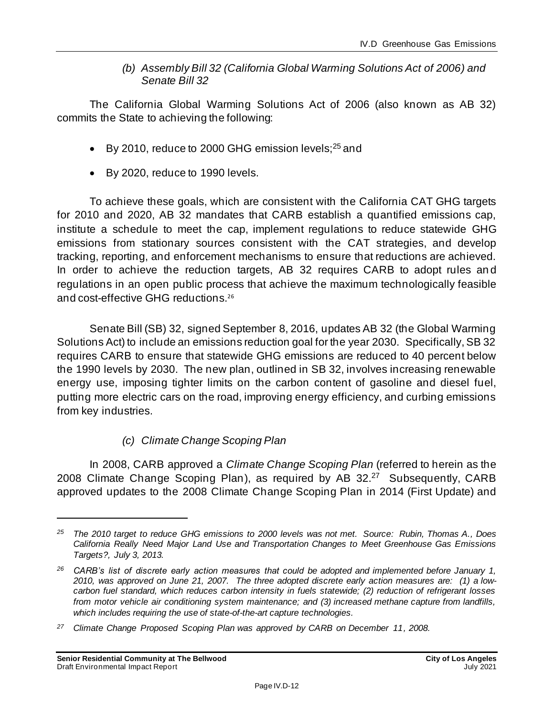#### *(b) Assembly Bill 32 (California Global Warming Solutions Act of 2006) and Senate Bill 32*

The California Global Warming Solutions Act of 2006 (also known as AB 32) commits the State to achieving the following:

- By 2010, reduce to 2000 GHG emission levels; $25$  and
- By 2020, reduce to 1990 levels.

To achieve these goals, which are consistent with the California CAT GHG targets for 2010 and 2020, AB 32 mandates that CARB establish a quantified emissions cap, institute a schedule to meet the cap, implement regulations to reduce statewide GHG emissions from stationary sources consistent with the CAT strategies, and develop tracking, reporting, and enforcement mechanisms to ensure that reductions are achieved. In order to achieve the reduction targets, AB 32 requires CARB to adopt rules an d regulations in an open public process that achieve the maximum technologically feasible and cost-effective GHG reductions.<sup>26</sup>

Senate Bill (SB) 32, signed September 8, 2016, updates AB 32 (the Global Warming Solutions Act) to include an emissions reduction goal for the year 2030. Specifically, SB 32 requires CARB to ensure that statewide GHG emissions are reduced to 40 percent below the 1990 levels by 2030. The new plan, outlined in SB 32, involves increasing renewable energy use, imposing tighter limits on the carbon content of gasoline and diesel fuel, putting more electric cars on the road, improving energy efficiency, and curbing emissions from key industries.

### *(c) Climate Change Scoping Plan*

In 2008, CARB approved a *Climate Change Scoping Plan* (referred to herein as the 2008 Climate Change Scoping Plan), as required by AB 32.<sup>27</sup> Subsequently, CARB approved updates to the 2008 Climate Change Scoping Plan in 2014 (First Update) and

*<sup>25</sup> The 2010 target to reduce GHG emissions to 2000 levels was not met. Source: Rubin, Thomas A., Does California Really Need Major Land Use and Transportation Changes to Meet Greenhouse Gas Emissions Targets?, July 3, 2013.*

*<sup>26</sup> CARB's list of discrete early action measures that could be adopted and implemented before January 1, 2010, was approved on June 21, 2007. The three adopted discrete early action measures are: (1) a lowcarbon fuel standard, which reduces carbon intensity in fuels statewide; (2) reduction of refrigerant losses from motor vehicle air conditioning system maintenance; and (3) increased methane capture from landfills, which includes requiring the use of state-of-the-art capture technologies.*

*<sup>27</sup> Climate Change Proposed Scoping Plan was approved by CARB on December 11, 2008.*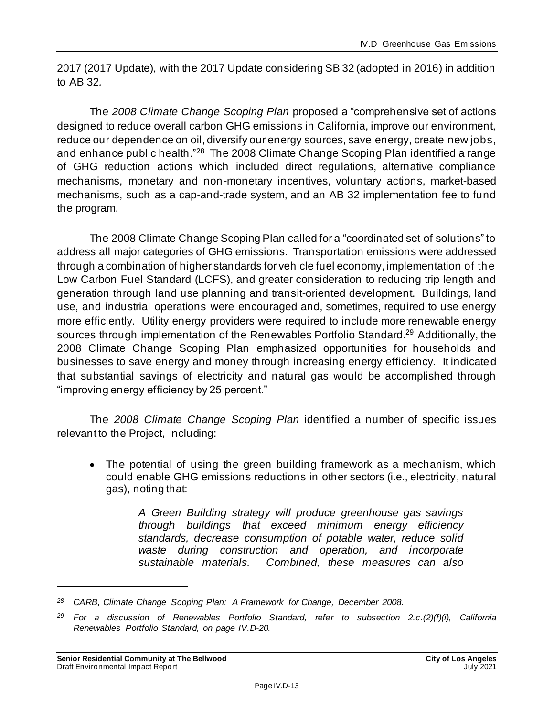2017 (2017 Update), with the 2017 Update considering SB 32 (adopted in 2016) in addition to AB 32*.*

The *2008 Climate Change Scoping Plan* proposed a "comprehensive set of actions designed to reduce overall carbon GHG emissions in California, improve our environment, reduce our dependence on oil, diversify our energy sources, save energy, create new jobs, and enhance public health."<sup>28</sup> The 2008 Climate Change Scoping Plan identified a range of GHG reduction actions which included direct regulations, alternative compliance mechanisms, monetary and non-monetary incentives, voluntary actions, market-based mechanisms, such as a cap-and-trade system, and an AB 32 implementation fee to fund the program.

The 2008 Climate Change Scoping Plan called for a "coordinated set of solutions" to address all major categories of GHG emissions. Transportation emissions were addressed through a combination of higher standards for vehicle fuel economy, implementation of the Low Carbon Fuel Standard (LCFS), and greater consideration to reducing trip length and generation through land use planning and transit-oriented development. Buildings, land use, and industrial operations were encouraged and, sometimes, required to use energy more efficiently. Utility energy providers were required to include more renewable energy sources through implementation of the Renewables Portfolio Standard.<sup>29</sup> Additionally, the 2008 Climate Change Scoping Plan emphasized opportunities for households and businesses to save energy and money through increasing energy efficiency. It indicated that substantial savings of electricity and natural gas would be accomplished through "improving energy efficiency by 25 percent."

The *2008 Climate Change Scoping Plan* identified a number of specific issues relevant to the Project, including:

• The potential of using the green building framework as a mechanism, which could enable GHG emissions reductions in other sectors (i.e., electricity, natural gas), noting that:

> *A Green Building strategy will produce greenhouse gas savings through buildings that exceed minimum energy efficiency standards, decrease consumption of potable water, reduce solid waste during construction and operation, and incorporate sustainable materials. Combined, these measures can also*

*<sup>28</sup> CARB, Climate Change Scoping Plan: A Framework for Change, December 2008.*

*<sup>29</sup> For a discussion of Renewables Portfolio Standard, refer to subsection 2.c.(2)(f)(i), California Renewables Portfolio Standard, on page [IV.D-20.](#page-19-0)*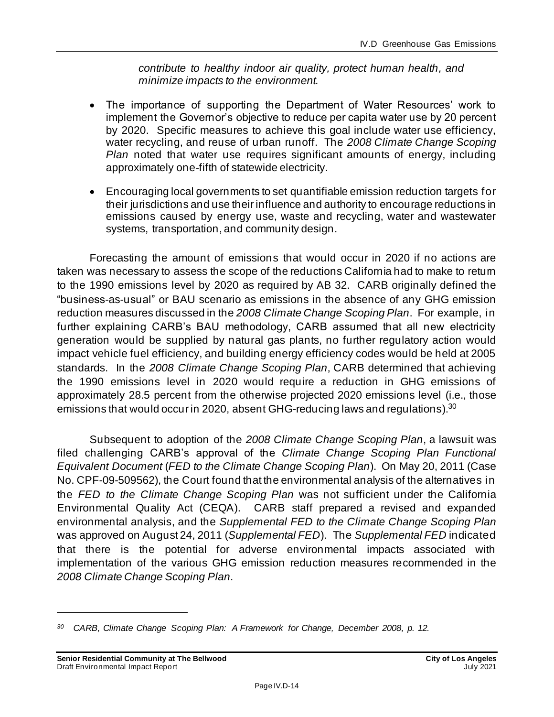*contribute to healthy indoor air quality, protect human health, and minimize impacts to the environment.*

- The importance of supporting the Department of Water Resources' work to implement the Governor's objective to reduce per capita water use by 20 percent by 2020. Specific measures to achieve this goal include water use efficiency, water recycling, and reuse of urban runoff. The *2008 Climate Change Scoping Plan* noted that water use requires significant amounts of energy, including approximately one-fifth of statewide electricity.
- Encouraging local governments to set quantifiable emission reduction targets for their jurisdictions and use their influence and authority to encourage reductions in emissions caused by energy use, waste and recycling, water and wastewater systems, transportation, and community design.

Forecasting the amount of emissions that would occur in 2020 if no actions are taken was necessary to assess the scope of the reductions California had to make to return to the 1990 emissions level by 2020 as required by AB 32. CARB originally defined the "business-as-usual" or BAU scenario as emissions in the absence of any GHG emission reduction measures discussed in the *2008 Climate Change Scoping Plan*. For example, in further explaining CARB's BAU methodology, CARB assumed that all new electricity generation would be supplied by natural gas plants, no further regulatory action would impact vehicle fuel efficiency, and building energy efficiency codes would be held at 2005 standards. In the *2008 Climate Change Scoping Plan*, CARB determined that achieving the 1990 emissions level in 2020 would require a reduction in GHG emissions of approximately 28.5 percent from the otherwise projected 2020 emissions level (i.e., those emissions that would occur in 2020, absent GHG-reducing laws and regulations). $^{\rm 30}$ 

Subsequent to adoption of the *2008 Climate Change Scoping Plan*, a lawsuit was filed challenging CARB's approval of the *Climate Change Scoping Plan Functional Equivalent Document* (*FED to the Climate Change Scoping Plan*). On May 20, 2011 (Case No. CPF-09-509562), the Court found that the environmental analysis of the alternatives in the *FED to the Climate Change Scoping Plan* was not sufficient under the California Environmental Quality Act (CEQA). CARB staff prepared a revised and expanded environmental analysis, and the *Supplemental FED to the Climate Change Scoping Plan* was approved on August 24, 2011 (*Supplemental FED*). The *Supplemental FED* indicated that there is the potential for adverse environmental impacts associated with implementation of the various GHG emission reduction measures recommended in the *2008 Climate Change Scoping Plan*.

*<sup>30</sup> CARB, Climate Change Scoping Plan: A Framework for Change, December 2008, p. 12.*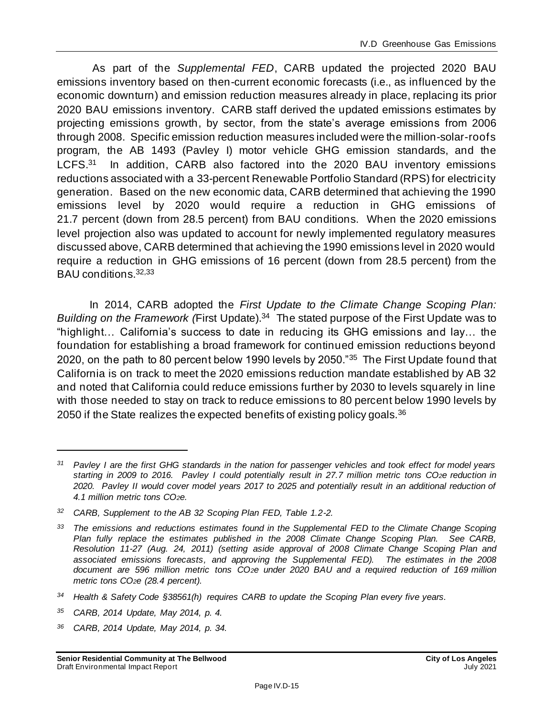As part of the *Supplemental FED*, CARB updated the projected 2020 BAU emissions inventory based on then-current economic forecasts (i.e., as influenced by the economic downturn) and emission reduction measures already in place, replacing its prior 2020 BAU emissions inventory. CARB staff derived the updated emissions estimates by projecting emissions growth, by sector, from the state's average emissions from 2006 through 2008. Specific emission reduction measures included were the million-solar-roofs program, the AB 1493 (Pavley I) motor vehicle GHG emission standards, and the  $LCFS.<sup>31</sup>$  In addition, CARB also factored into the 2020 BAU inventory emissions reductions associated with a 33-percent Renewable Portfolio Standard (RPS) for electricity generation. Based on the new economic data, CARB determined that achieving the 1990 emissions level by 2020 would require a reduction in GHG emissions of 21.7 percent (down from 28.5 percent) from BAU conditions. When the 2020 emissions level projection also was updated to account for newly implemented regulatory measures discussed above, CARB determined that achieving the 1990 emissions level in 2020 would require a reduction in GHG emissions of 16 percent (down from 28.5 percent) from the BAU conditions.32,33

In 2014, CARB adopted the *First Update to the Climate Change Scoping Plan:*  Building on the Framework (First Update).<sup>34</sup> The stated purpose of the First Update was to "highlight… California's success to date in reducing its GHG emissions and lay… the foundation for establishing a broad framework for continued emission reductions beyond 2020, on the path to 80 percent below 1990 levels by 2050."<sup>35</sup> The First Update found that California is on track to meet the 2020 emissions reduction mandate established by AB 32 and noted that California could reduce emissions further by 2030 to levels squarely in line with those needed to stay on track to reduce emissions to 80 percent below 1990 levels by 2050 if the State realizes the expected benefits of existing policy goals.<sup>36</sup>

- *<sup>35</sup> CARB, 2014 Update, May 2014, p. 4.*
- *<sup>36</sup> CARB, 2014 Update, May 2014, p. 34.*

*<sup>31</sup> Pavley I are the first GHG standards in the nation for passenger vehicles and took effect for model years starting in 2009 to 2016. Pavley I could potentially result in 27.7 million metric tons CO2e reduction in 2020. Pavley II would cover model years 2017 to 2025 and potentially result in an additional reduction of 4.1 million metric tons CO2e.*

*<sup>32</sup> CARB, Supplement to the AB 32 Scoping Plan FED, Table 1.2-2.*

*<sup>33</sup> The emissions and reductions estimates found in the Supplemental FED to the Climate Change Scoping Plan fully replace the estimates published in the 2008 Climate Change Scoping Plan. See CARB, Resolution 11-27 (Aug. 24, 2011) (setting aside approval of 2008 Climate Change Scoping Plan and associated emissions forecasts, and approving the Supplemental FED). The estimates in the 2008 document are 596 million metric tons CO2e under 2020 BAU and a required reduction of 169 million metric tons CO2e (28.4 percent).*

*<sup>34</sup> Health & Safety Code §38561(h) requires CARB to update the Scoping Plan every five years.*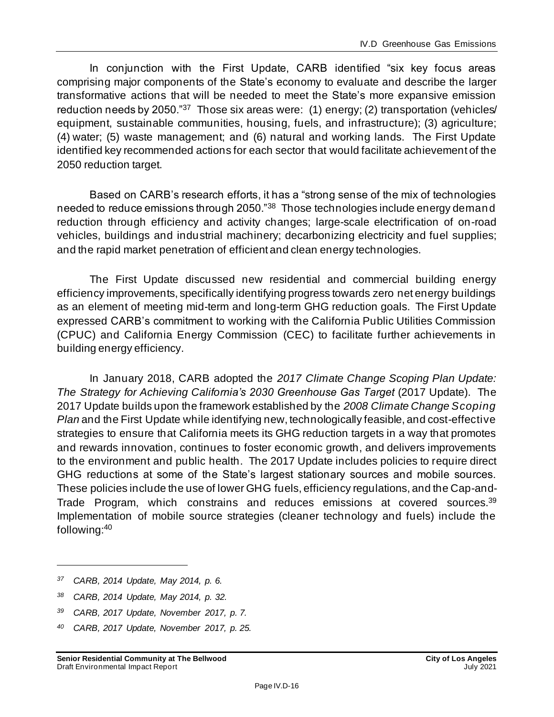In conjunction with the First Update, CARB identified "six key focus areas comprising major components of the State's economy to evaluate and describe the larger transformative actions that will be needed to meet the State's more expansive emission reduction needs by 2050."<sup>37</sup> Those six areas were: (1) energy; (2) transportation (vehicles/ equipment, sustainable communities, housing, fuels, and infrastructure); (3) agriculture; (4) water; (5) waste management; and (6) natural and working lands. The First Update identified key recommended actions for each sector that would facilitate achievement of the 2050 reduction target.

Based on CARB's research efforts, it has a "strong sense of the mix of technologies needed to reduce emissions through 2050."<sup>38</sup> Those technologies include energy demand reduction through efficiency and activity changes; large-scale electrification of on-road vehicles, buildings and industrial machinery; decarbonizing electricity and fuel supplies; and the rapid market penetration of efficient and clean energy technologies.

The First Update discussed new residential and commercial building energy efficiency improvements, specifically identifying progress towards zero net energy buildings as an element of meeting mid-term and long-term GHG reduction goals. The First Update expressed CARB's commitment to working with the California Public Utilities Commission (CPUC) and California Energy Commission (CEC) to facilitate further achievements in building energy efficiency.

In January 2018, CARB adopted the *2017 Climate Change Scoping Plan Update: The Strategy for Achieving California's 2030 Greenhouse Gas Target* (2017 Update). The 2017 Update builds upon the framework established by the *2008 Climate Change Scoping Plan* and the First Update while identifying new, technologically feasible, and cost-effective strategies to ensure that California meets its GHG reduction targets in a way that promotes and rewards innovation, continues to foster economic growth, and delivers improvements to the environment and public health. The 2017 Update includes policies to require direct GHG reductions at some of the State's largest stationary sources and mobile sources. These policies include the use of lower GHG fuels, efficiency regulations, and the Cap-and-Trade Program, which constrains and reduces emissions at covered sources.<sup>39</sup> Implementation of mobile source strategies (cleaner technology and fuels) include the following:<sup>40</sup>

*<sup>37</sup> CARB, 2014 Update, May 2014, p. 6.*

*<sup>38</sup> CARB, 2014 Update, May 2014, p. 32.*

*<sup>39</sup> CARB, 2017 Update, November 2017, p. 7.*

*<sup>40</sup> CARB, 2017 Update, November 2017, p. 25.*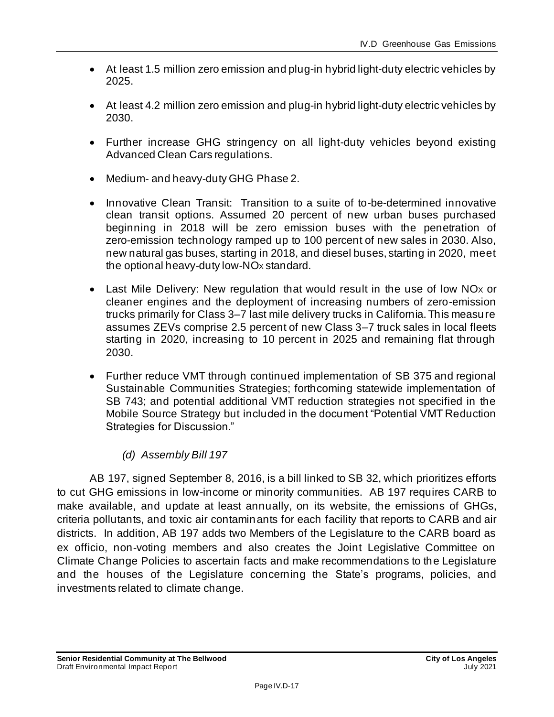- At least 1.5 million zero emission and plug-in hybrid light-duty electric vehicles by 2025.
- At least 4.2 million zero emission and plug-in hybrid light-duty electric vehicles by 2030.
- Further increase GHG stringency on all light-duty vehicles beyond existing Advanced Clean Cars regulations.
- Medium- and heavy-duty GHG Phase 2.
- Innovative Clean Transit: Transition to a suite of to-be-determined innovative clean transit options. Assumed 20 percent of new urban buses purchased beginning in 2018 will be zero emission buses with the penetration of zero-emission technology ramped up to 100 percent of new sales in 2030. Also, new natural gas buses, starting in 2018, and diesel buses, starting in 2020, meet the optional heavy-duty low-NO<sub>x</sub> standard.
- Last Mile Delivery: New regulation that would result in the use of low NO<sub>x</sub> or cleaner engines and the deployment of increasing numbers of zero-emission trucks primarily for Class 3–7 last mile delivery trucks in California. This measure assumes ZEVs comprise 2.5 percent of new Class 3–7 truck sales in local fleets starting in 2020, increasing to 10 percent in 2025 and remaining flat through 2030.
- Further reduce VMT through continued implementation of SB 375 and regional Sustainable Communities Strategies; forthcoming statewide implementation of SB 743; and potential additional VMT reduction strategies not specified in the Mobile Source Strategy but included in the document "Potential VMT Reduction Strategies for Discussion."

#### *(d) Assembly Bill 197*

AB 197, signed September 8, 2016, is a bill linked to SB 32, which prioritizes efforts to cut GHG emissions in low-income or minority communities. AB 197 requires CARB to make available, and update at least annually, on its website, the emissions of GHGs, criteria pollutants, and toxic air contaminants for each facility that reports to CARB and air districts. In addition, AB 197 adds two Members of the Legislature to the CARB board as ex officio, non-voting members and also creates the Joint Legislative Committee on Climate Change Policies to ascertain facts and make recommendations to the Legislature and the houses of the Legislature concerning the State's programs, policies, and investments related to climate change.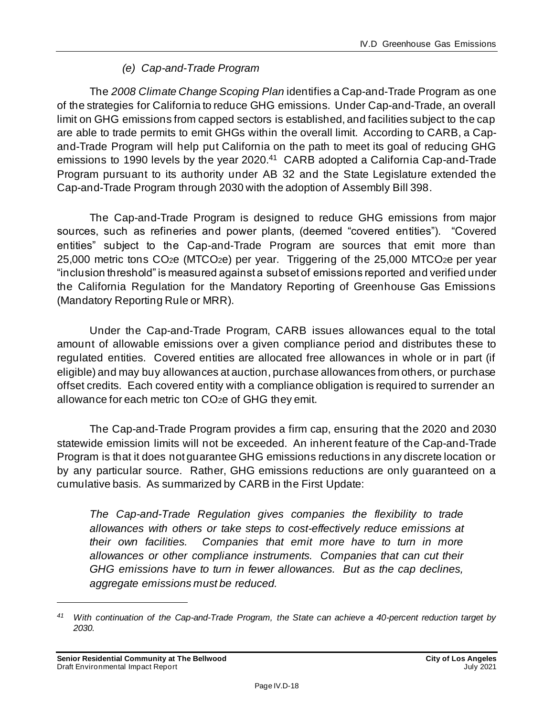### *(e) Cap-and-Trade Program*

The *2008 Climate Change Scoping Plan* identifies a Cap-and-Trade Program as one of the strategies for California to reduce GHG emissions. Under Cap-and-Trade, an overall limit on GHG emissions from capped sectors is established, and facilities subject to the cap are able to trade permits to emit GHGs within the overall limit. According to CARB, a Capand-Trade Program will help put California on the path to meet its goal of reducing GHG emissions to 1990 levels by the year 2020.<sup>41</sup> CARB adopted a California Cap-and-Trade Program pursuant to its authority under AB 32 and the State Legislature extended the Cap-and-Trade Program through 2030 with the adoption of Assembly Bill 398.

The Cap-and-Trade Program is designed to reduce GHG emissions from major sources, such as refineries and power plants, (deemed "covered entities"). "Covered entities" subject to the Cap-and-Trade Program are sources that emit more than 25,000 metric tons CO2e (MTCO2e) per year. Triggering of the 25,000 MTCO2e per year "inclusion threshold" is measured against a subset of emissions reported and verified under the California Regulation for the Mandatory Reporting of Greenhouse Gas Emissions (Mandatory Reporting Rule or MRR).

Under the Cap-and-Trade Program, CARB issues allowances equal to the total amount of allowable emissions over a given compliance period and distributes these to regulated entities. Covered entities are allocated free allowances in whole or in part (if eligible) and may buy allowances at auction, purchase allowances from others, or purchase offset credits. Each covered entity with a compliance obligation is required to surrender an allowance for each metric ton CO2e of GHG they emit.

The Cap-and-Trade Program provides a firm cap, ensuring that the 2020 and 2030 statewide emission limits will not be exceeded. An inherent feature of the Cap-and-Trade Program is that it does not guarantee GHG emissions reductions in any discrete location or by any particular source. Rather, GHG emissions reductions are only guaranteed on a cumulative basis. As summarized by CARB in the First Update:

*The Cap-and-Trade Regulation gives companies the flexibility to trade allowances with others or take steps to cost-effectively reduce emissions at their own facilities. Companies that emit more have to turn in more allowances or other compliance instruments. Companies that can cut their GHG emissions have to turn in fewer allowances. But as the cap declines, aggregate emissions must be reduced.*

*<sup>41</sup> With continuation of the Cap-and-Trade Program, the State can achieve a 40-percent reduction target by 2030.*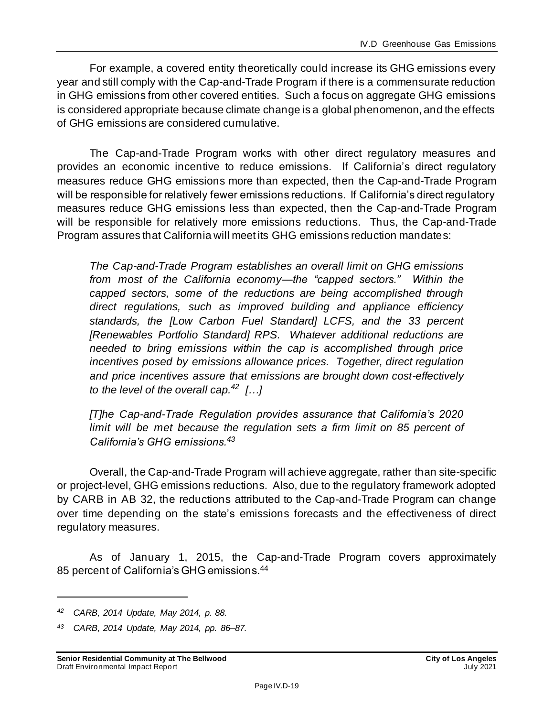For example, a covered entity theoretically could increase its GHG emissions every year and still comply with the Cap-and-Trade Program if there is a commensurate reduction in GHG emissions from other covered entities. Such a focus on aggregate GHG emissions is considered appropriate because climate change is a global phenomenon, and the effects of GHG emissions are considered cumulative.

The Cap-and-Trade Program works with other direct regulatory measures and provides an economic incentive to reduce emissions. If California's direct regulatory measures reduce GHG emissions more than expected, then the Cap-and-Trade Program will be responsible for relatively fewer emissions reductions. If California's direct regulatory measures reduce GHG emissions less than expected, then the Cap-and-Trade Program will be responsible for relatively more emissions reductions. Thus, the Cap-and-Trade Program assures that California will meet its GHG emissions reduction mandates:

*The Cap-and-Trade Program establishes an overall limit on GHG emissions from most of the California economy—the "capped sectors." Within the capped sectors, some of the reductions are being accomplished through direct regulations, such as improved building and appliance efficiency standards, the [Low Carbon Fuel Standard] LCFS, and the 33 percent [Renewables Portfolio Standard] RPS. Whatever additional reductions are needed to bring emissions within the cap is accomplished through price incentives posed by emissions allowance prices. Together, direct regulation and price incentives assure that emissions are brought down cost-effectively to the level of the overall cap.<sup>42</sup> […]*

*[T]he Cap-and-Trade Regulation provides assurance that California's 2020 limit will be met because the regulation sets a firm limit on 85 percent of California's GHG emissions.<sup>43</sup>*

Overall, the Cap-and-Trade Program will achieve aggregate, rather than site-specific or project-level, GHG emissions reductions. Also, due to the regulatory framework adopted by CARB in AB 32, the reductions attributed to the Cap-and-Trade Program can change over time depending on the state's emissions forecasts and the effectiveness of direct regulatory measures.

As of January 1, 2015, the Cap-and-Trade Program covers approximately 85 percent of California's GHG emissions.<sup>44</sup>

*<sup>42</sup> CARB, 2014 Update, May 2014, p. 88.*

*<sup>43</sup> CARB, 2014 Update, May 2014, pp. 86–87.*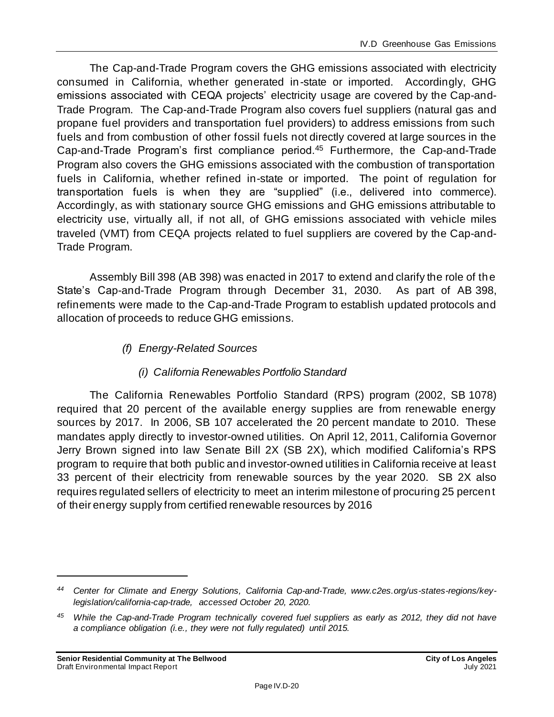The Cap-and-Trade Program covers the GHG emissions associated with electricity consumed in California, whether generated in-state or imported. Accordingly, GHG emissions associated with CEQA projects' electricity usage are covered by the Cap-and-Trade Program. The Cap-and-Trade Program also covers fuel suppliers (natural gas and propane fuel providers and transportation fuel providers) to address emissions from such fuels and from combustion of other fossil fuels not directly covered at large sources in the Cap-and-Trade Program's first compliance period.<sup>45</sup> Furthermore, the Cap-and-Trade Program also covers the GHG emissions associated with the combustion of transportation fuels in California, whether refined in-state or imported. The point of regulation for transportation fuels is when they are "supplied" (i.e., delivered into commerce). Accordingly, as with stationary source GHG emissions and GHG emissions attributable to electricity use, virtually all, if not all, of GHG emissions associated with vehicle miles traveled (VMT) from CEQA projects related to fuel suppliers are covered by the Cap-and-Trade Program.

Assembly Bill 398 (AB 398) was enacted in 2017 to extend and clarify the role of the State's Cap-and-Trade Program through December 31, 2030. As part of AB 398, refinements were made to the Cap-and-Trade Program to establish updated protocols and allocation of proceeds to reduce GHG emissions.

*(f) Energy-Related Sources*

#### <span id="page-19-0"></span>*(i) California Renewables Portfolio Standard*

The California Renewables Portfolio Standard (RPS) program (2002, SB 1078) required that 20 percent of the available energy supplies are from renewable energy sources by 2017. In 2006, SB 107 accelerated the 20 percent mandate to 2010. These mandates apply directly to investor-owned utilities. On April 12, 2011, California Governor Jerry Brown signed into law Senate Bill 2X (SB 2X), which modified California's RPS program to require that both public and investor-owned utilities in California receive at least 33 percent of their electricity from renewable sources by the year 2020. SB 2X also requires regulated sellers of electricity to meet an interim milestone of procuring 25 percent of their energy supply from certified renewable resources by 2016

*<sup>44</sup> Center for Climate and Energy Solutions, California Cap-and-Trade, www.c2es.org/us-states-regions/keylegislation/california-cap-trade, accessed October 20, 2020.*

*<sup>45</sup> While the Cap-and-Trade Program technically covered fuel suppliers as early as 2012, they did not have a compliance obligation (i.e., they were not fully regulated) until 2015.*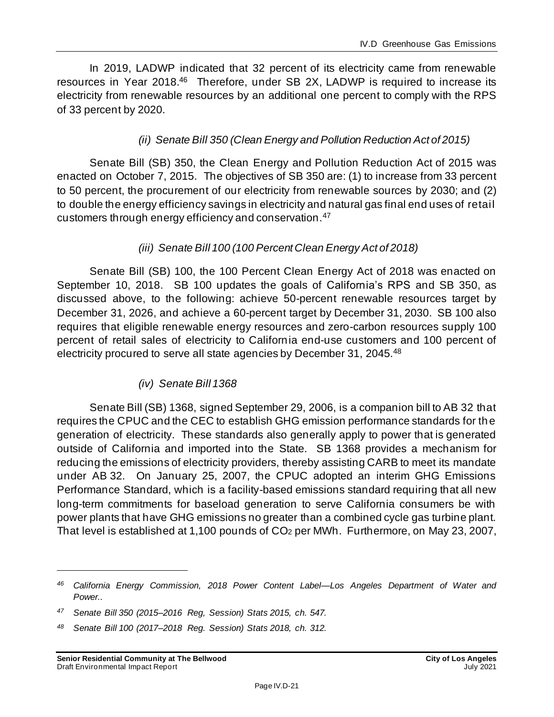In 2019, LADWP indicated that 32 percent of its electricity came from renewable resources in Year 2018.<sup>46</sup> Therefore, under SB 2X, LADWP is required to increase its electricity from renewable resources by an additional one percent to comply with the RPS of 33 percent by 2020.

#### *(ii) Senate Bill 350 (Clean Energy and Pollution Reduction Act of 2015)*

Senate Bill (SB) 350, the Clean Energy and Pollution Reduction Act of 2015 was enacted on October 7, 2015. The objectives of SB 350 are: (1) to increase from 33 percent to 50 percent, the procurement of our electricity from renewable sources by 2030; and (2) to double the energy efficiency savings in electricity and natural gas final end uses of retail customers through energy efficiency and conservation.<sup>47</sup>

#### *(iii) Senate Bill 100 (100 Percent Clean Energy Act of 2018)*

Senate Bill (SB) 100, the 100 Percent Clean Energy Act of 2018 was enacted on September 10, 2018. SB 100 updates the goals of California's RPS and SB 350, as discussed above, to the following: achieve 50-percent renewable resources target by December 31, 2026, and achieve a 60-percent target by December 31, 2030. SB 100 also requires that eligible renewable energy resources and zero-carbon resources supply 100 percent of retail sales of electricity to California end-use customers and 100 percent of electricity procured to serve all state agencies by December 31, 2045.<sup>48</sup>

#### *(iv) Senate Bill 1368*

Senate Bill (SB) 1368, signed September 29, 2006, is a companion bill to AB 32 that requires the CPUC and the CEC to establish GHG emission performance standards for the generation of electricity. These standards also generally apply to power that is generated outside of California and imported into the State. SB 1368 provides a mechanism for reducing the emissions of electricity providers, thereby assisting CARB to meet its mandate under AB 32. On January 25, 2007, the CPUC adopted an interim GHG Emissions Performance Standard, which is a facility-based emissions standard requiring that all new long-term commitments for baseload generation to serve California consumers be with power plants that have GHG emissions no greater than a combined cycle gas turbine plant. That level is established at 1,100 pounds of CO<sup>2</sup> per MWh. Furthermore, on May 23, 2007,

*<sup>46</sup> California Energy Commission, 2018 Power Content Label—Los Angeles Department of Water and Power..*

*<sup>47</sup> Senate Bill 350 (2015–2016 Reg, Session) Stats 2015, ch. 547.*

*<sup>48</sup> Senate Bill 100 (2017–2018 Reg. Session) Stats 2018, ch. 312.*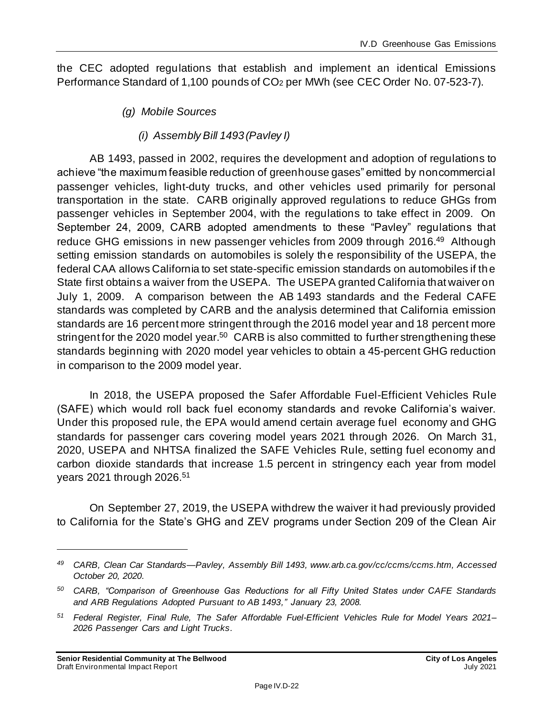the CEC adopted regulations that establish and implement an identical Emissions Performance Standard of 1,100 pounds of CO<sup>2</sup> per MWh (see CEC Order No. 07-523-7).

- *(g) Mobile Sources*
	- *(i) Assembly Bill 1493 (Pavley I)*

AB 1493, passed in 2002, requires the development and adoption of regulations to achieve "the maximum feasible reduction of greenhouse gases" emitted by noncommercial passenger vehicles, light-duty trucks, and other vehicles used primarily for personal transportation in the state. CARB originally approved regulations to reduce GHGs from passenger vehicles in September 2004, with the regulations to take effect in 2009. On September 24, 2009, CARB adopted amendments to these "Pavley" regulations that reduce GHG emissions in new passenger vehicles from 2009 through 2016.<sup>49</sup> Although setting emission standards on automobiles is solely the responsibility of the USEPA, the federal CAA allows California to set state-specific emission standards on automobiles if the State first obtains a waiver from the USEPA. The USEPA granted California that waiver on July 1, 2009. A comparison between the AB 1493 standards and the Federal CAFE standards was completed by CARB and the analysis determined that California emission standards are 16 percent more stringent through the 2016 model year and 18 percent more stringent for the 2020 model year.<sup>50</sup> CARB is also committed to further strengthening these standards beginning with 2020 model year vehicles to obtain a 45-percent GHG reduction in comparison to the 2009 model year.

In 2018, the USEPA proposed the Safer Affordable Fuel-Efficient Vehicles Rule (SAFE) which would roll back fuel economy standards and revoke California's waiver. Under this proposed rule, the EPA would amend certain average fuel economy and GHG standards for passenger cars covering model years 2021 through 2026. On March 31, 2020, USEPA and NHTSA finalized the SAFE Vehicles Rule, setting fuel economy and carbon dioxide standards that increase 1.5 percent in stringency each year from model years 2021 through 2026.<sup>51</sup>

On September 27, 2019, the USEPA withdrew the waiver it had previously provided to California for the State's GHG and ZEV programs under Section 209 of the Clean Air

*<sup>49</sup> CARB, Clean Car Standards—Pavley, Assembly Bill 1493, www.arb.ca.gov/cc/ccms/ccms.htm, Accessed October 20, 2020.*

*<sup>50</sup> CARB, "Comparison of Greenhouse Gas Reductions for all Fifty United States under CAFE Standards and ARB Regulations Adopted Pursuant to AB 1493," January 23, 2008.*

*<sup>51</sup> Federal Register, Final Rule, The Safer Affordable Fuel-Efficient Vehicles Rule for Model Years 2021– 2026 Passenger Cars and Light Trucks.*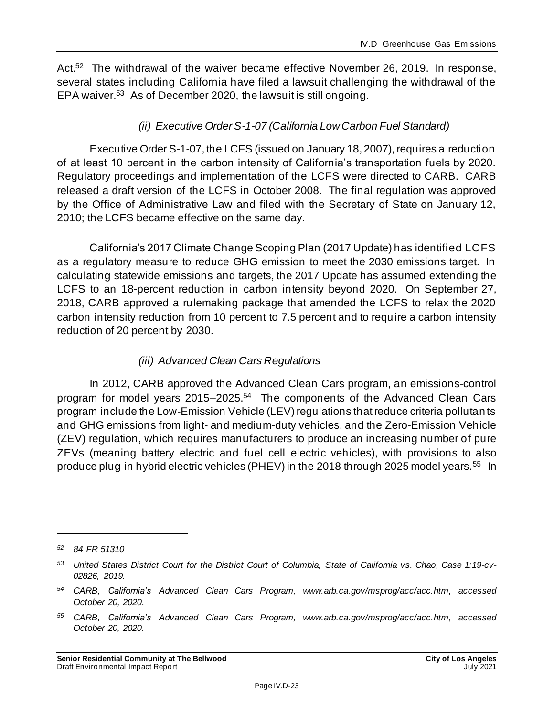Act.<sup>52</sup> The withdrawal of the waiver became effective November 26, 2019. In response, several states including California have filed a lawsuit challenging the withdrawal of the EPA waiver.<sup>53</sup> As of December 2020, the lawsuit is still ongoing.

#### *(ii) Executive Order S-1-07 (California Low Carbon Fuel Standard)*

Executive Order S-1-07, the LCFS (issued on January 18, 2007), requires a reduction of at least 10 percent in the carbon intensity of California's transportation fuels by 2020. Regulatory proceedings and implementation of the LCFS were directed to CARB. CARB released a draft version of the LCFS in October 2008. The final regulation was approved by the Office of Administrative Law and filed with the Secretary of State on January 12, 2010; the LCFS became effective on the same day.

California's 2017 Climate Change Scoping Plan (2017 Update) has identified LCFS as a regulatory measure to reduce GHG emission to meet the 2030 emissions target. In calculating statewide emissions and targets, the 2017 Update has assumed extending the LCFS to an 18-percent reduction in carbon intensity beyond 2020. On September 27, 2018, CARB approved a rulemaking package that amended the LCFS to relax the 2020 carbon intensity reduction from 10 percent to 7.5 percent and to require a carbon intensity reduction of 20 percent by 2030.

#### *(iii) Advanced Clean Cars Regulations*

In 2012, CARB approved the Advanced Clean Cars program, an emissions-control program for model years 2015–2025.<sup>54</sup> The components of the Advanced Clean Cars program include the Low-Emission Vehicle (LEV) regulations that reduce criteria pollutants and GHG emissions from light- and medium-duty vehicles, and the Zero-Emission Vehicle (ZEV) regulation, which requires manufacturers to produce an increasing number of pure ZEVs (meaning battery electric and fuel cell electric vehicles), with provisions to also produce plug-in hybrid electric vehicles (PHEV) in the 2018 through 2025 model years.<sup>55</sup> In

*<sup>52</sup> 84 FR 51310*

*<sup>53</sup> United States District Court for the District Court of Columbia, State of California vs. Chao, Case 1:19-cv-02826, 2019.*

*<sup>54</sup> CARB, California's Advanced Clean Cars Program, www.arb.ca.gov/msprog/acc/acc.htm, accessed October 20, 2020.*

*<sup>55</sup> CARB, California's Advanced Clean Cars Program, www.arb.ca.gov/msprog/acc/acc.htm, accessed October 20, 2020.*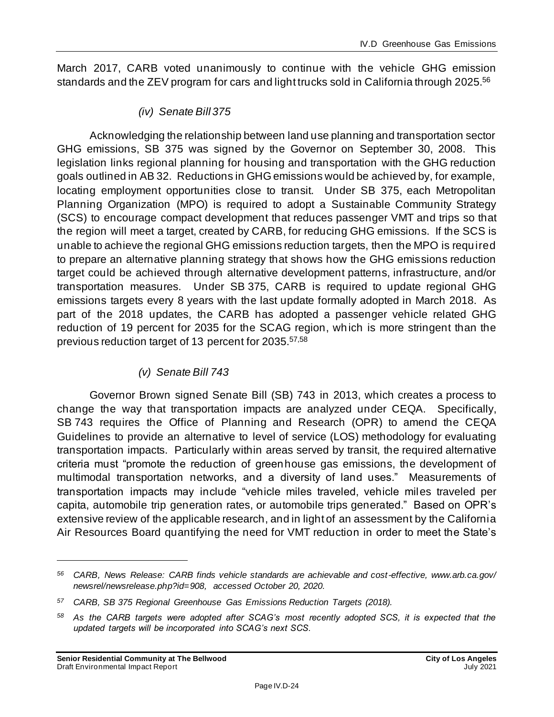March 2017, CARB voted unanimously to continue with the vehicle GHG emission standards and the ZEV program for cars and light trucks sold in California through 2025.<sup>56</sup>

*(iv) Senate Bill 375*

Acknowledging the relationship between land use planning and transportation sector GHG emissions, SB 375 was signed by the Governor on September 30, 2008. This legislation links regional planning for housing and transportation with the GHG reduction goals outlined in AB 32. Reductions in GHG emissions would be achieved by, for example, locating employment opportunities close to transit. Under SB 375, each Metropolitan Planning Organization (MPO) is required to adopt a Sustainable Community Strategy (SCS) to encourage compact development that reduces passenger VMT and trips so that the region will meet a target, created by CARB, for reducing GHG emissions. If the SCS is unable to achieve the regional GHG emissions reduction targets, then the MPO is required to prepare an alternative planning strategy that shows how the GHG emissions reduction target could be achieved through alternative development patterns, infrastructure, and/or transportation measures. Under SB 375, CARB is required to update regional GHG emissions targets every 8 years with the last update formally adopted in March 2018. As part of the 2018 updates, the CARB has adopted a passenger vehicle related GHG reduction of 19 percent for 2035 for the SCAG region, which is more stringent than the previous reduction target of 13 percent for 2035.57,58

#### *(v) Senate Bill 743*

Governor Brown signed Senate Bill (SB) 743 in 2013, which creates a process to change the way that transportation impacts are analyzed under CEQA. Specifically, SB 743 requires the Office of Planning and Research (OPR) to amend the CEQA Guidelines to provide an alternative to level of service (LOS) methodology for evaluating transportation impacts. Particularly within areas served by transit, the required alternative criteria must "promote the reduction of greenhouse gas emissions, the development of multimodal transportation networks, and a diversity of land uses." Measurements of transportation impacts may include "vehicle miles traveled, vehicle miles traveled per capita, automobile trip generation rates, or automobile trips generated." Based on OPR's extensive review of the applicable research, and in light of an assessment by the California Air Resources Board quantifying the need for VMT reduction in order to meet the State's

*<sup>56</sup> CARB, News Release: CARB finds vehicle standards are achievable and cost-effective, www.arb.ca.gov/ newsrel/newsrelease.php?id=908, accessed October 20, 2020.*

*<sup>57</sup> CARB, SB 375 Regional Greenhouse Gas Emissions Reduction Targets (2018).*

*<sup>58</sup> As the CARB targets were adopted after SCAG's most recently adopted SCS, it is expected that the updated targets will be incorporated into SCAG's next SCS.*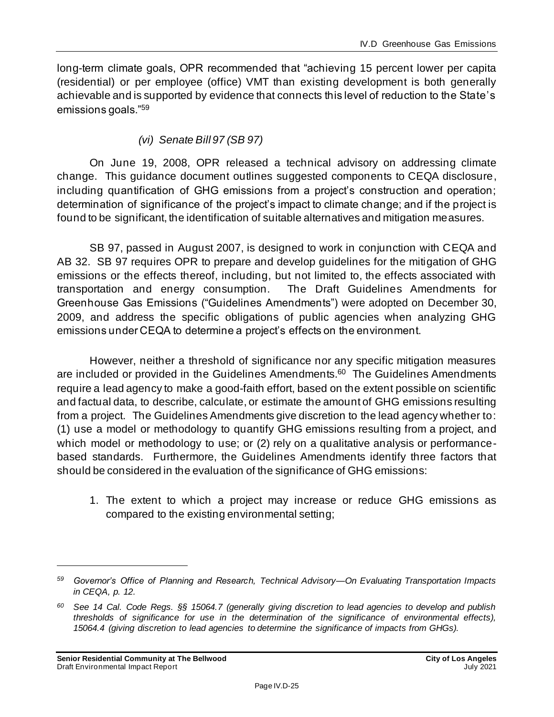long-term climate goals, OPR recommended that "achieving 15 percent lower per capita (residential) or per employee (office) VMT than existing development is both generally achievable and is supported by evidence that connects this level of reduction to the State's emissions goals."<sup>59</sup>

#### *(vi) Senate Bill 97 (SB 97)*

On June 19, 2008, OPR released a technical advisory on addressing climate change. This guidance document outlines suggested components to CEQA disclosure, including quantification of GHG emissions from a project's construction and operation; determination of significance of the project's impact to climate change; and if the project is found to be significant, the identification of suitable alternatives and mitigation measures.

SB 97, passed in August 2007, is designed to work in conjunction with CEQA and AB 32. SB 97 requires OPR to prepare and develop guidelines for the mitigation of GHG emissions or the effects thereof, including, but not limited to, the effects associated with transportation and energy consumption. The Draft Guidelines Amendments for Greenhouse Gas Emissions ("Guidelines Amendments") were adopted on December 30, 2009, and address the specific obligations of public agencies when analyzing GHG emissions under CEQA to determine a project's effects on the environment.

However, neither a threshold of significance nor any specific mitigation measures are included or provided in the Guidelines Amendments.<sup>60</sup> The Guidelines Amendments require a lead agency to make a good-faith effort, based on the extent possible on scientific and factual data, to describe, calculate, or estimate the amount of GHG emissions resulting from a project. The Guidelines Amendments give discretion to the lead agency whether to: (1) use a model or methodology to quantify GHG emissions resulting from a project, and which model or methodology to use; or (2) rely on a qualitative analysis or performancebased standards. Furthermore, the Guidelines Amendments identify three factors that should be considered in the evaluation of the significance of GHG emissions:

1. The extent to which a project may increase or reduce GHG emissions as compared to the existing environmental setting;

*<sup>59</sup> Governor's Office of Planning and Research, Technical Advisory—On Evaluating Transportation Impacts in CEQA, p. 12.*

*<sup>60</sup> See 14 Cal. Code Regs. §§ 15064.7 (generally giving discretion to lead agencies to develop and publish thresholds of significance for use in the determination of the significance of environmental effects), 15064.4 (giving discretion to lead agencies to determine the significance of impacts from GHGs).*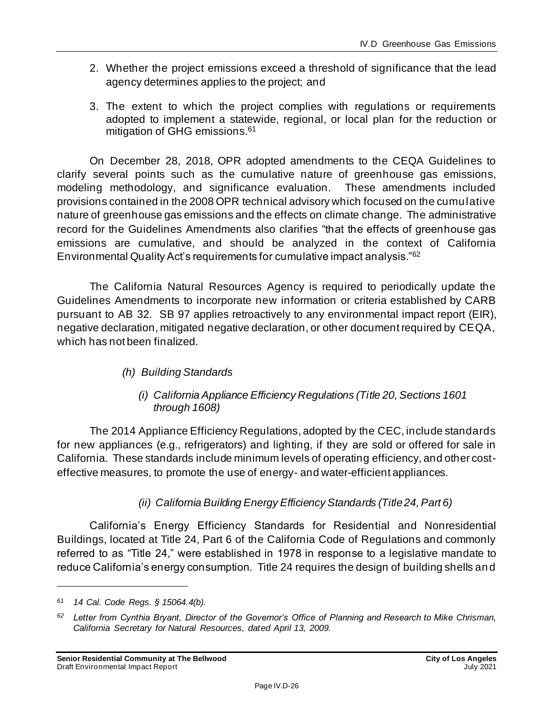- 2. Whether the project emissions exceed a threshold of significance that the lead agency determines applies to the project; and
- 3. The extent to which the project complies with regulations or requirements adopted to implement a statewide, regional, or local plan for the reduction or mitigation of GHG emissions.<sup>61</sup>

On December 28, 2018, OPR adopted amendments to the CEQA Guidelines to clarify several points such as the cumulative nature of greenhouse gas emissions, modeling methodology, and significance evaluation. These amendments included provisions contained in the 2008 OPR technical advisory which focused on the cumulative nature of greenhouse gas emissions and the effects on climate change. The administrative record for the Guidelines Amendments also clarifies "that the effects of greenhouse gas emissions are cumulative, and should be analyzed in the context of California Environmental Quality Act's requirements for cumulative impact analysis."<sup>62</sup>

The California Natural Resources Agency is required to periodically update the Guidelines Amendments to incorporate new information or criteria established by CARB pursuant to AB 32. SB 97 applies retroactively to any environmental impact report (EIR), negative declaration, mitigated negative declaration, or other document required by CEQA, which has not been finalized.

- *(h) Building Standards*
	- *(i) California Appliance Efficiency Regulations (Title 20, Sections 1601 through 1608)*

The 2014 Appliance Efficiency Regulations, adopted by the CEC, include standards for new appliances (e.g., refrigerators) and lighting, if they are sold or offered for sale in California. These standards include minimum levels of operating efficiency, and other costeffective measures, to promote the use of energy- and water-efficient appliances.

#### *(ii) California Building Energy Efficiency Standards (Title 24, Part 6)*

California's Energy Efficiency Standards for Residential and Nonresidential Buildings, located at Title 24, Part 6 of the California Code of Regulations and commonly referred to as "Title 24," were established in 1978 in response to a legislative mandate to reduce California's energy consumption. Title 24 requires the design of building shells and

*<sup>61</sup> 14 Cal. Code Regs. § 15064.4(b).*

*<sup>62</sup> Letter from Cynthia Bryant, Director of the Governor's Office of Planning and Research to Mike Chrisman, California Secretary for Natural Resources, dated April 13, 2009.*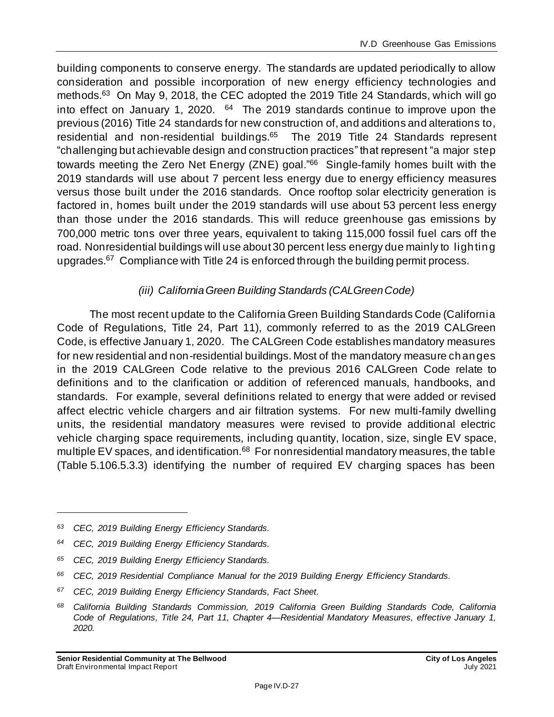building components to conserve energy. The standards are updated periodically to allow consideration and possible incorporation of new energy efficiency technologies and methods.<sup>63</sup> On May 9, 2018, the CEC adopted the 2019 Title 24 Standards, which will go into effect on January 1, 2020.  $64$  The 2019 standards continue to improve upon the previous (2016) Title 24 standards for new construction of, and additions and alterations to, residential and non-residential buildings.<sup>65</sup> The 2019 Title 24 Standards represent "challenging but achievable design and construction practices" that represent "a major step towards meeting the Zero Net Energy (ZNE) goal."<sup>66</sup> Single-family homes built with the 2019 standards will use about 7 percent less energy due to energy efficiency measures versus those built under the 2016 standards. Once rooftop solar electricity generation is factored in, homes built under the 2019 standards will use about 53 percent less energy than those under the 2016 standards. This will reduce greenhouse gas emissions by 700,000 metric tons over three years, equivalent to taking 115,000 fossil fuel cars off the road. Nonresidential buildings will use about 30 percent less energy due mainly to lighting upgrades.<sup>67</sup> Compliance with Title 24 is enforced through the building permit process.

#### *(iii) California Green Building Standards (CALGreen Code)*

The most recent update to the California Green Building Standards Code (California Code of Regulations, Title 24, Part 11), commonly referred to as the 2019 CALGreen Code, is effective January 1, 2020. The CALGreen Code establishes mandatory measures for new residential and non-residential buildings. Most of the mandatory measure changes in the 2019 CALGreen Code relative to the previous 2016 CALGreen Code relate to definitions and to the clarification or addition of referenced manuals, handbooks, and standards. For example, several definitions related to energy that were added or revised affect electric vehicle chargers and air filtration systems. For new multi-family dwelling units, the residential mandatory measures were revised to provide additional electric vehicle charging space requirements, including quantity, location, size, single EV space, multiple EV spaces, and identification.<sup>68</sup> For nonresidential mandatory measures, the table (Table 5.106.5.3.3) identifying the number of required EV charging spaces has been

*<sup>63</sup> CEC, 2019 Building Energy Efficiency Standards.*

*<sup>64</sup> CEC, 2019 Building Energy Efficiency Standards.*

*<sup>65</sup> CEC, 2019 Building Energy Efficiency Standards.*

*<sup>66</sup> CEC, 2019 Residential Compliance Manual for the 2019 Building Energy Efficiency Standards.*

*<sup>67</sup> CEC, 2019 Building Energy Efficiency Standards, Fact Sheet.*

*<sup>68</sup> California Building Standards Commission, 2019 California Green Building Standards Code, California Code of Regulations, Title 24, Part 11, Chapter 4—Residential Mandatory Measures, effective January 1, 2020.*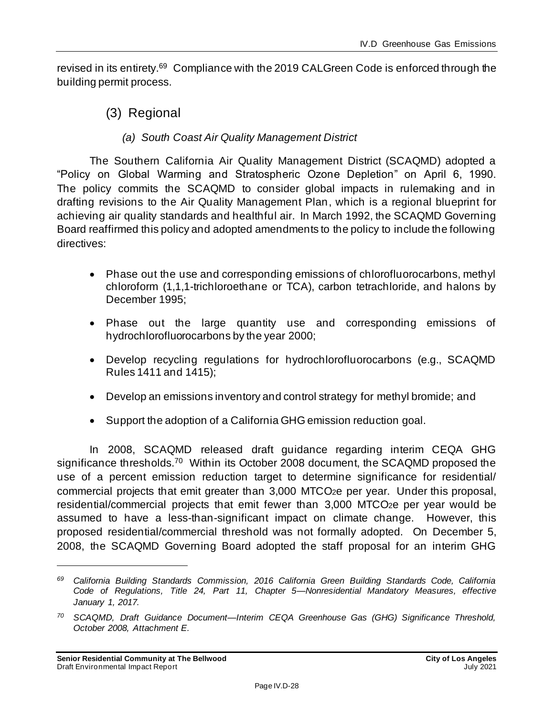revised in its entirety.<sup>69</sup> Compliance with the 2019 CALGreen Code is enforced through the building permit process.

(3) Regional

#### *(a) South Coast Air Quality Management District*

The Southern California Air Quality Management District (SCAQMD) adopted a "Policy on Global Warming and Stratospheric Ozone Depletion" on April 6, 1990. The policy commits the SCAQMD to consider global impacts in rulemaking and in drafting revisions to the Air Quality Management Plan, which is a regional blueprint for achieving air quality standards and healthful air. In March 1992, the SCAQMD Governing Board reaffirmed this policy and adopted amendments to the policy to include the following directives:

- Phase out the use and corresponding emissions of chlorofluorocarbons, methyl chloroform (1,1,1-trichloroethane or TCA), carbon tetrachloride, and halons by December 1995;
- Phase out the large quantity use and corresponding emissions of hydrochlorofluorocarbons by the year 2000;
- Develop recycling regulations for hydrochlorofluorocarbons (e.g., SCAQMD Rules 1411 and 1415);
- Develop an emissions inventory and control strategy for methyl bromide; and
- Support the adoption of a California GHG emission reduction goal.

In 2008, SCAQMD released draft guidance regarding interim CEQA GHG significance thresholds.<sup>70</sup> Within its October 2008 document, the SCAQMD proposed the use of a percent emission reduction target to determine significance for residential/ commercial projects that emit greater than 3,000 MTCO2e per year. Under this proposal, residential/commercial projects that emit fewer than 3,000 MTCO2e per year would be assumed to have a less-than-significant impact on climate change. However, this proposed residential/commercial threshold was not formally adopted. On December 5, 2008, the SCAQMD Governing Board adopted the staff proposal for an interim GHG

*<sup>69</sup> California Building Standards Commission, 2016 California Green Building Standards Code, California Code of Regulations, Title 24, Part 11, Chapter 5—Nonresidential Mandatory Measures, effective January 1, 2017.*

*<sup>70</sup> SCAQMD, Draft Guidance Document—Interim CEQA Greenhouse Gas (GHG) Significance Threshold, October 2008, Attachment E.*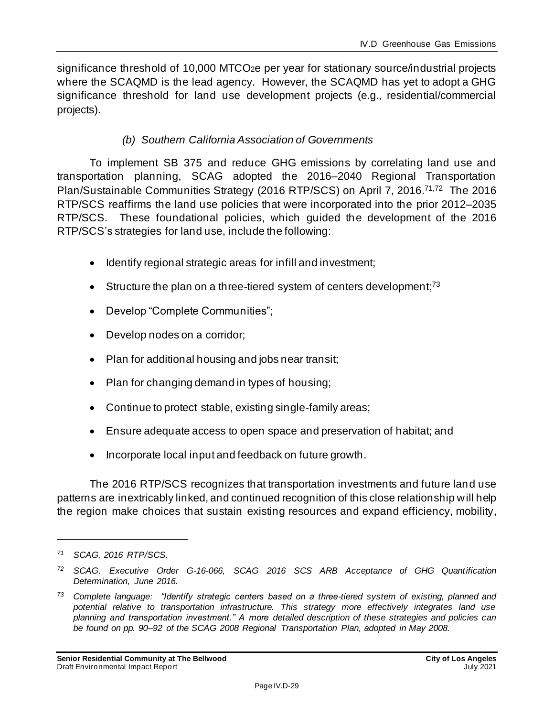significance threshold of 10,000 MTCO<sub>2</sub>e per year for stationary source/industrial projects where the SCAQMD is the lead agency. However, the SCAQMD has yet to adopt a GHG significance threshold for land use development projects (e.g., residential/commercial projects).

#### *(b) Southern California Association of Governments*

To implement SB 375 and reduce GHG emissions by correlating land use and transportation planning, SCAG adopted the 2016–2040 Regional Transportation Plan/Sustainable Communities Strategy (2016 RTP/SCS) on April 7, 2016.<sup>71,72</sup> The 2016 RTP/SCS reaffirms the land use policies that were incorporated into the prior 2012–2035 RTP/SCS. These foundational policies, which guided the development of the 2016 RTP/SCS's strategies for land use, include the following:

- Identify regional strategic areas for infill and investment;
- Structure the plan on a three-tiered system of centers development; $73$
- Develop "Complete Communities";
- Develop nodes on a corridor;
- Plan for additional housing and jobs near transit;
- Plan for changing demand in types of housing;
- Continue to protect stable, existing single-family areas;
- Ensure adequate access to open space and preservation of habitat; and
- Incorporate local input and feedback on future growth.

The 2016 RTP/SCS recognizes that transportation investments and future land use patterns are inextricably linked, and continued recognition of this close relationship will help the region make choices that sustain existing resources and expand efficiency, mobility,

*<sup>71</sup> SCAG, 2016 RTP/SCS.*

*<sup>72</sup> SCAG, Executive Order G-16-066, SCAG 2016 SCS ARB Acceptance of GHG Quantification Determination, June 2016.*

*<sup>73</sup> Complete language: "Identify strategic centers based on a three-tiered system of existing, planned and potential relative to transportation infrastructure. This strategy more effectively integrates land use planning and transportation investment." A more detailed description of these strategies and policies can be found on pp. 90–92 of the SCAG 2008 Regional Transportation Plan, adopted in May 2008.*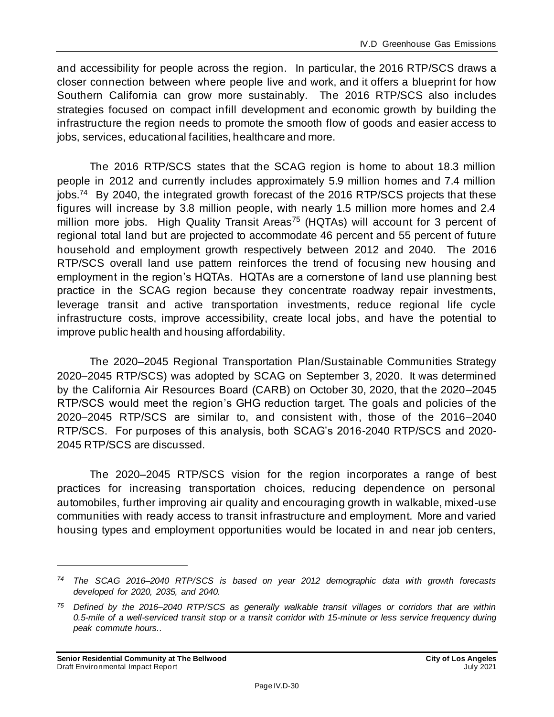and accessibility for people across the region. In particular, the 2016 RTP/SCS draws a closer connection between where people live and work, and it offers a blueprint for how Southern California can grow more sustainably. The 2016 RTP/SCS also includes strategies focused on compact infill development and economic growth by building the infrastructure the region needs to promote the smooth flow of goods and easier access to jobs, services, educational facilities, healthcare and more.

The 2016 RTP/SCS states that the SCAG region is home to about 18.3 million people in 2012 and currently includes approximately 5.9 million homes and 7.4 million jobs.<sup>74</sup> By 2040, the integrated growth forecast of the 2016 RTP/SCS projects that these figures will increase by 3.8 million people, with nearly 1.5 million more homes and 2.4 million more jobs. High Quality Transit Areas<sup>75</sup> (HQTAs) will account for 3 percent of regional total land but are projected to accommodate 46 percent and 55 percent of future household and employment growth respectively between 2012 and 2040. The 2016 RTP/SCS overall land use pattern reinforces the trend of focusing new housing and employment in the region's HQTAs. HQTAs are a cornerstone of land use planning best practice in the SCAG region because they concentrate roadway repair investments, leverage transit and active transportation investments, reduce regional life cycle infrastructure costs, improve accessibility, create local jobs, and have the potential to improve public health and housing affordability.

The 2020–2045 Regional Transportation Plan/Sustainable Communities Strategy 2020–2045 RTP/SCS) was adopted by SCAG on September 3, 2020. It was determined by the California Air Resources Board (CARB) on October 30, 2020, that the 2020–2045 RTP/SCS would meet the region's GHG reduction target. The goals and policies of the 2020–2045 RTP/SCS are similar to, and consistent with, those of the 2016–2040 RTP/SCS. For purposes of this analysis, both SCAG's 2016-2040 RTP/SCS and 2020- 2045 RTP/SCS are discussed.

The 2020–2045 RTP/SCS vision for the region incorporates a range of best practices for increasing transportation choices, reducing dependence on personal automobiles, further improving air quality and encouraging growth in walkable, mixed-use communities with ready access to transit infrastructure and employment. More and varied housing types and employment opportunities would be located in and near job centers,

*<sup>74</sup> The SCAG 2016–2040 RTP/SCS is based on year 2012 demographic data with growth forecasts developed for 2020, 2035, and 2040.*

*<sup>75</sup> Defined by the 2016–2040 RTP/SCS as generally walkable transit villages or corridors that are within 0.5-mile of a well-serviced transit stop or a transit corridor with 15-minute or less service frequency during peak commute hours..*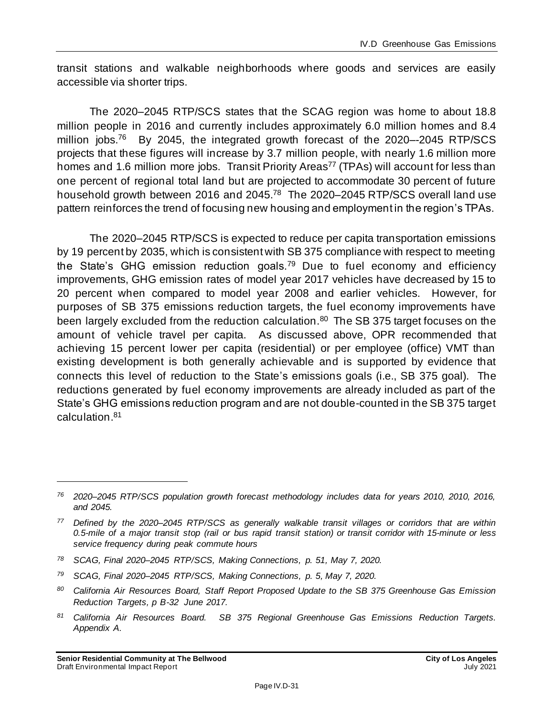transit stations and walkable neighborhoods where goods and services are easily accessible via shorter trips.

The 2020–2045 RTP/SCS states that the SCAG region was home to about 18.8 million people in 2016 and currently includes approximately 6.0 million homes and 8.4 million jobs.<sup>76</sup> By 2045, the integrated growth forecast of the 2020--2045 RTP/SCS projects that these figures will increase by 3.7 million people, with nearly 1.6 million more homes and 1.6 million more jobs. Transit Priority Areas<sup>77</sup> (TPAs) will account for less than one percent of regional total land but are projected to accommodate 30 percent of future household growth between 2016 and 2045.<sup>78</sup> The 2020–2045 RTP/SCS overall land use pattern reinforces the trend of focusing new housing and employment in the region's TPAs.

The 2020–2045 RTP/SCS is expected to reduce per capita transportation emissions by 19 percent by 2035, which is consistent with SB 375 compliance with respect to meeting the State's GHG emission reduction goals.<sup>79</sup> Due to fuel economy and efficiency improvements, GHG emission rates of model year 2017 vehicles have decreased by 15 to 20 percent when compared to model year 2008 and earlier vehicles. However, for purposes of SB 375 emissions reduction targets, the fuel economy improvements have been largely excluded from the reduction calculation.<sup>80</sup> The SB 375 target focuses on the amount of vehicle travel per capita. As discussed above, OPR recommended that achieving 15 percent lower per capita (residential) or per employee (office) VMT than existing development is both generally achievable and is supported by evidence that connects this level of reduction to the State's emissions goals (i.e., SB 375 goal). The reductions generated by fuel economy improvements are already included as part of the State's GHG emissions reduction program and are not double-counted in the SB 375 target calculation.<sup>81</sup>

- *<sup>78</sup> SCAG, Final 2020–2045 RTP/SCS, Making Connections, p. 51, May 7, 2020.*
- *<sup>79</sup> SCAG, Final 2020–2045 RTP/SCS, Making Connections, p. 5, May 7, 2020.*

*<sup>81</sup> California Air Resources Board. SB 375 Regional Greenhouse Gas Emissions Reduction Targets. Appendix A.*

*<sup>76</sup> 2020–2045 RTP/SCS population growth forecast methodology includes data for years 2010, 2010, 2016, and 2045.*

*<sup>77</sup> Defined by the 2020–2045 RTP/SCS as generally walkable transit villages or corridors that are within 0.5-mile of a major transit stop (rail or bus rapid transit station) or transit corridor with 15-minute or less service frequency during peak commute hours*

*<sup>80</sup> California Air Resources Board, Staff Report Proposed Update to the SB 375 Greenhouse Gas Emission Reduction Targets, p B-32 June 2017.*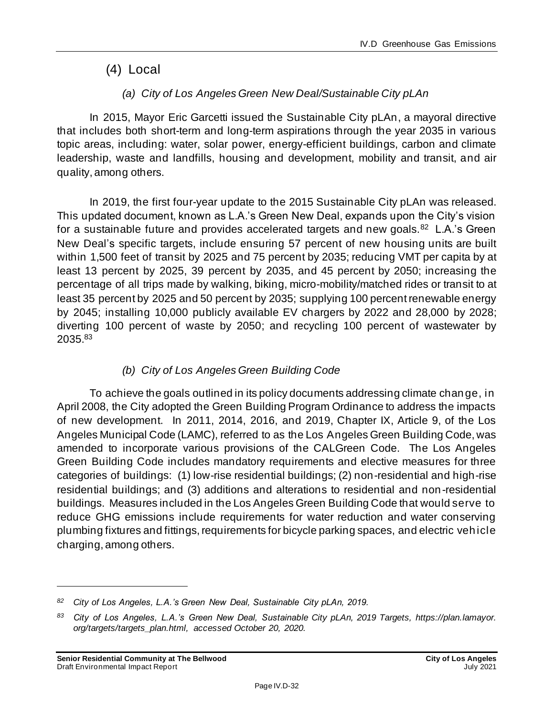### (4) Local

### *(a) City of Los Angeles Green New Deal/Sustainable City pLAn*

In 2015, Mayor Eric Garcetti issued the Sustainable City pLAn, a mayoral directive that includes both short-term and long-term aspirations through the year 2035 in various topic areas, including: water, solar power, energy-efficient buildings, carbon and climate leadership, waste and landfills, housing and development, mobility and transit, and air quality, among others.

In 2019, the first four-year update to the 2015 Sustainable City pLAn was released. This updated document, known as L.A.'s Green New Deal, expands upon the City's vision for a sustainable future and provides accelerated targets and new goals.<sup>82</sup> L.A.'s Green New Deal's specific targets, include ensuring 57 percent of new housing units are built within 1,500 feet of transit by 2025 and 75 percent by 2035; reducing VMT per capita by at least 13 percent by 2025, 39 percent by 2035, and 45 percent by 2050; increasing the percentage of all trips made by walking, biking, micro-mobility/matched rides or transit to at least 35 percent by 2025 and 50 percent by 2035; supplying 100 percent renewable energy by 2045; installing 10,000 publicly available EV chargers by 2022 and 28,000 by 2028; diverting 100 percent of waste by 2050; and recycling 100 percent of wastewater by 2035.<sup>83</sup>

### *(b) City of Los Angeles Green Building Code*

To achieve the goals outlined in its policy documents addressing climate change, in April 2008, the City adopted the Green Building Program Ordinance to address the impacts of new development. In 2011, 2014, 2016, and 2019, Chapter IX, Article 9, of the Los Angeles Municipal Code (LAMC), referred to as the Los Angeles Green Building Code, was amended to incorporate various provisions of the CALGreen Code. The Los Angeles Green Building Code includes mandatory requirements and elective measures for three categories of buildings: (1) low-rise residential buildings; (2) non-residential and high-rise residential buildings; and (3) additions and alterations to residential and non-residential buildings. Measures included in the Los Angeles Green Building Code that would serve to reduce GHG emissions include requirements for water reduction and water conserving plumbing fixtures and fittings, requirements for bicycle parking spaces, and electric vehicle charging, among others.

*<sup>82</sup> City of Los Angeles, L.A.'s Green New Deal, Sustainable City pLAn, 2019.*

*<sup>83</sup> City of Los Angeles, L.A.'s Green New Deal, Sustainable City pLAn, 2019 Targets, https://plan.lamayor. org/targets/targets\_plan.html, accessed October 20, 2020.*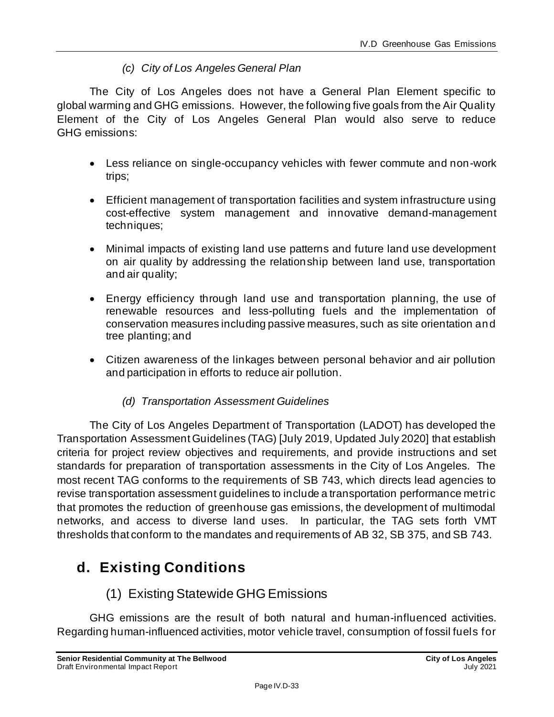#### *(c) City of Los Angeles General Plan*

The City of Los Angeles does not have a General Plan Element specific to global warming and GHG emissions. However, the following five goals from the Air Quality Element of the City of Los Angeles General Plan would also serve to reduce GHG emissions:

- Less reliance on single-occupancy vehicles with fewer commute and non-work trips;
- Efficient management of transportation facilities and system infrastructure using cost-effective system management and innovative demand-management techniques;
- Minimal impacts of existing land use patterns and future land use development on air quality by addressing the relationship between land use, transportation and air quality;
- Energy efficiency through land use and transportation planning, the use of renewable resources and less-polluting fuels and the implementation of conservation measures including passive measures, such as site orientation and tree planting; and
- Citizen awareness of the linkages between personal behavior and air pollution and participation in efforts to reduce air pollution.

#### *(d) Transportation Assessment Guidelines*

The City of Los Angeles Department of Transportation (LADOT) has developed the Transportation Assessment Guidelines (TAG) [July 2019, Updated July 2020] that establish criteria for project review objectives and requirements, and provide instructions and set standards for preparation of transportation assessments in the City of Los Angeles. The most recent TAG conforms to the requirements of SB 743, which directs lead agencies to revise transportation assessment guidelines to include a transportation performance metric that promotes the reduction of greenhouse gas emissions, the development of multimodal networks, and access to diverse land uses. In particular, the TAG sets forth VMT thresholds that conform to the mandates and requirements of AB 32, SB 375, and SB 743.

## **d. Existing Conditions**

### (1) Existing Statewide GHG Emissions

GHG emissions are the result of both natural and human-influenced activities. Regarding human-influenced activities, motor vehicle travel, consumption of fossil fuels for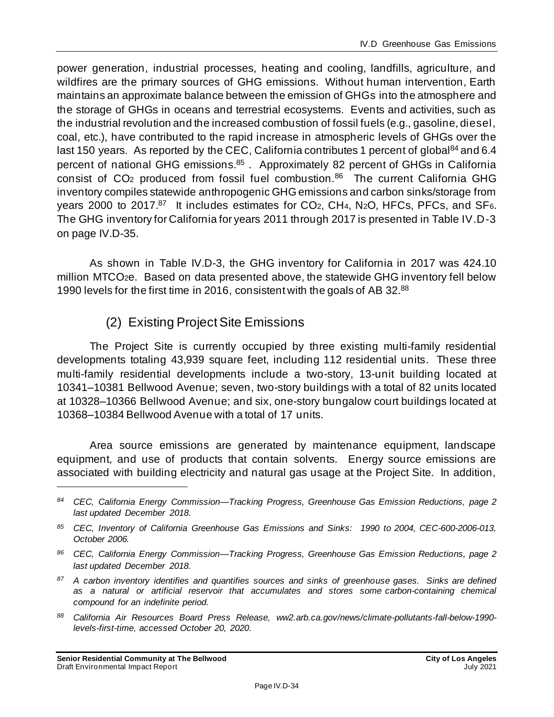power generation, industrial processes, heating and cooling, landfills, agriculture, and wildfires are the primary sources of GHG emissions. Without human intervention, Earth maintains an approximate balance between the emission of GHGs into the atmosphere and the storage of GHGs in oceans and terrestrial ecosystems. Events and activities, such as the industrial revolution and the increased combustion of fossil fuels (e.g., gasoline, diesel, coal, etc.), have contributed to the rapid increase in atmospheric levels of GHGs over the last 150 years. As reported by the CEC, California contributes 1 percent of global<sup>84</sup> and 6.4 percent of national GHG emissions.<sup>85</sup>. Approximately 82 percent of GHGs in California consist of CO<sub>2</sub> produced from fossil fuel combustion.<sup>86</sup> The current California GHG inventory compiles statewide anthropogenic GHG emissions and carbon sinks/storage from years 2000 to 2017.<sup>87</sup> It includes estimates for CO<sub>2</sub>, CH<sub>4</sub>, N<sub>2</sub>O, HFCs, PFCs, and SF6. The GHG inventory for California for years 2011 through 2017 is presented in Table IV.D-3 on page IV.D-35.

As shown in Table IV.D-3, the GHG inventory for California in 2017 was 424.10 million MTCO2e. Based on data presented above, the statewide GHG inventory fell below 1990 levels for the first time in 2016, consistent with the goals of AB 32.<sup>88</sup>

(2) Existing ProjectSite Emissions

The Project Site is currently occupied by three existing multi-family residential developments totaling 43,939 square feet, including 112 residential units. These three multi-family residential developments include a two-story, 13-unit building located at 10341–10381 Bellwood Avenue; seven, two-story buildings with a total of 82 units located at 10328–10366 Bellwood Avenue; and six, one-story bungalow court buildings located at 10368–10384 Bellwood Avenue with a total of 17 units.

Area source emissions are generated by maintenance equipment, landscape equipment, and use of products that contain solvents. Energy source emissions are associated with building electricity and natural gas usage at the Project Site. In addition,

*<sup>84</sup> CEC, California Energy Commission—Tracking Progress, Greenhouse Gas Emission Reductions, page 2 last updated December 2018.*

*<sup>85</sup> CEC, Inventory of California Greenhouse Gas Emissions and Sinks: 1990 to 2004, CEC-600-2006-013, October 2006.*

*<sup>86</sup> CEC, California Energy Commission—Tracking Progress, Greenhouse Gas Emission Reductions, page 2 last updated December 2018.*

*<sup>87</sup> A carbon inventory identifies and quantifies sources and sinks of greenhouse gases. Sinks are defined as a natural or artificial reservoir that accumulates and stores some carbon-containing chemical compound for an indefinite period.*

*<sup>88</sup> California Air Resources Board Press Release, ww2.arb.ca.gov/news/climate-pollutants-fall-below-1990 levels-first-time, accessed October 20, 2020.*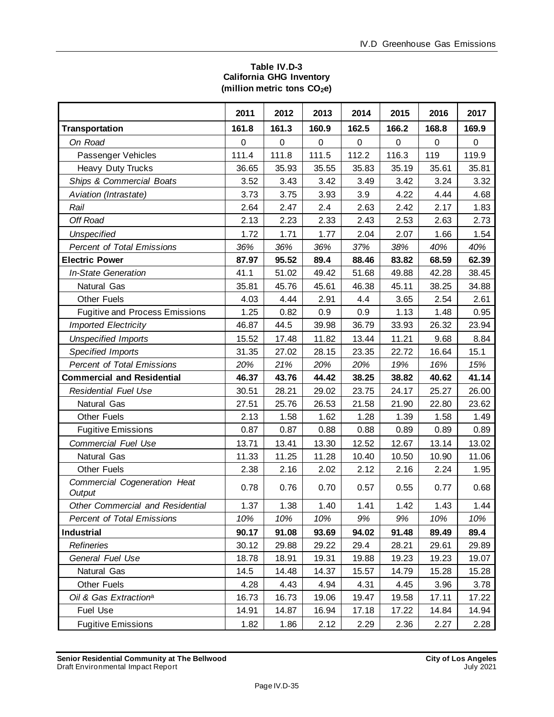#### **Table IV.D-3 California GHG Inventory (million metric tons CO2e)**

|                                        | 2011        | 2012  | 2013  | 2014      | 2015  | 2016  | 2017  |
|----------------------------------------|-------------|-------|-------|-----------|-------|-------|-------|
| <b>Transportation</b>                  | 161.8       | 161.3 | 160.9 | 162.5     | 166.2 | 168.8 | 169.9 |
| On Road                                | $\mathbf 0$ | 0     | 0     | $\pmb{0}$ | 0     | 0     | 0     |
| Passenger Vehicles                     | 111.4       | 111.8 | 111.5 | 112.2     | 116.3 | 119   | 119.9 |
| Heavy Duty Trucks                      | 36.65       | 35.93 | 35.55 | 35.83     | 35.19 | 35.61 | 35.81 |
| Ships & Commercial Boats               | 3.52        | 3.43  | 3.42  | 3.49      | 3.42  | 3.24  | 3.32  |
| Aviation (Intrastate)                  | 3.73        | 3.75  | 3.93  | 3.9       | 4.22  | 4.44  | 4.68  |
| Rail                                   | 2.64        | 2.47  | 2.4   | 2.63      | 2.42  | 2.17  | 1.83  |
| Off Road                               | 2.13        | 2.23  | 2.33  | 2.43      | 2.53  | 2.63  | 2.73  |
| <b>Unspecified</b>                     | 1.72        | 1.71  | 1.77  | 2.04      | 2.07  | 1.66  | 1.54  |
| <b>Percent of Total Emissions</b>      | 36%         | 36%   | 36%   | 37%       | 38%   | 40%   | 40%   |
| <b>Electric Power</b>                  | 87.97       | 95.52 | 89.4  | 88.46     | 83.82 | 68.59 | 62.39 |
| <b>In-State Generation</b>             | 41.1        | 51.02 | 49.42 | 51.68     | 49.88 | 42.28 | 38.45 |
| Natural Gas                            | 35.81       | 45.76 | 45.61 | 46.38     | 45.11 | 38.25 | 34.88 |
| <b>Other Fuels</b>                     | 4.03        | 4.44  | 2.91  | 4.4       | 3.65  | 2.54  | 2.61  |
| <b>Fugitive and Process Emissions</b>  | 1.25        | 0.82  | 0.9   | 0.9       | 1.13  | 1.48  | 0.95  |
| <b>Imported Electricity</b>            | 46.87       | 44.5  | 39.98 | 36.79     | 33.93 | 26.32 | 23.94 |
| <b>Unspecified Imports</b>             | 15.52       | 17.48 | 11.82 | 13.44     | 11.21 | 9.68  | 8.84  |
| Specified Imports                      | 31.35       | 27.02 | 28.15 | 23.35     | 22.72 | 16.64 | 15.1  |
| <b>Percent of Total Emissions</b>      | 20%         | 21%   | 20%   | 20%       | 19%   | 16%   | 15%   |
| <b>Commercial and Residential</b>      | 46.37       | 43.76 | 44.42 | 38.25     | 38.82 | 40.62 | 41.14 |
| <b>Residential Fuel Use</b>            | 30.51       | 28.21 | 29.02 | 23.75     | 24.17 | 25.27 | 26.00 |
| Natural Gas                            | 27.51       | 25.76 | 26.53 | 21.58     | 21.90 | 22.80 | 23.62 |
| <b>Other Fuels</b>                     | 2.13        | 1.58  | 1.62  | 1.28      | 1.39  | 1.58  | 1.49  |
| <b>Fugitive Emissions</b>              | 0.87        | 0.87  | 0.88  | 0.88      | 0.89  | 0.89  | 0.89  |
| <b>Commercial Fuel Use</b>             | 13.71       | 13.41 | 13.30 | 12.52     | 12.67 | 13.14 | 13.02 |
| Natural Gas                            | 11.33       | 11.25 | 11.28 | 10.40     | 10.50 | 10.90 | 11.06 |
| <b>Other Fuels</b>                     | 2.38        | 2.16  | 2.02  | 2.12      | 2.16  | 2.24  | 1.95  |
| Commercial Cogeneration Heat<br>Output | 0.78        | 0.76  | 0.70  | 0.57      | 0.55  | 0.77  | 0.68  |
| Other Commercial and Residential       | 1.37        | 1.38  | 1.40  | 1.41      | 1.42  | 1.43  | 1.44  |
| <b>Percent of Total Emissions</b>      | 10%         | 10%   | 10%   | 9%        | 9%    | 10%   | 10%   |
| <b>Industrial</b>                      | 90.17       | 91.08 | 93.69 | 94.02     | 91.48 | 89.49 | 89.4  |
| <b>Refineries</b>                      | 30.12       | 29.88 | 29.22 | 29.4      | 28.21 | 29.61 | 29.89 |
| General Fuel Use                       | 18.78       | 18.91 | 19.31 | 19.88     | 19.23 | 19.23 | 19.07 |
| Natural Gas                            | 14.5        | 14.48 | 14.37 | 15.57     | 14.79 | 15.28 | 15.28 |
| <b>Other Fuels</b>                     | 4.28        | 4.43  | 4.94  | 4.31      | 4.45  | 3.96  | 3.78  |
| Oil & Gas Extraction <sup>a</sup>      | 16.73       | 16.73 | 19.06 | 19.47     | 19.58 | 17.11 | 17.22 |
| Fuel Use                               | 14.91       | 14.87 | 16.94 | 17.18     | 17.22 | 14.84 | 14.94 |
| <b>Fugitive Emissions</b>              | 1.82        | 1.86  | 2.12  | 2.29      | 2.36  | 2.27  | 2.28  |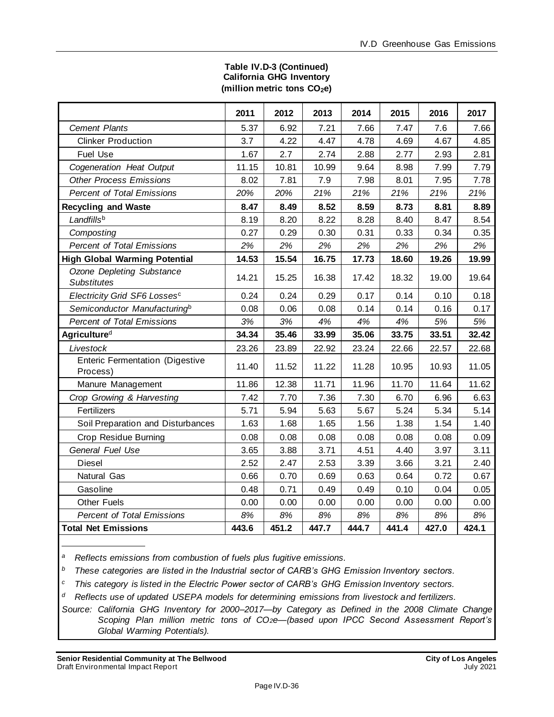#### **Table IV.D-3 (Continued) California GHG Inventory (million metric tons CO2e)**

|                                                    | 2011  | 2012  | 2013  | 2014  | 2015  | 2016  | 2017  |
|----------------------------------------------------|-------|-------|-------|-------|-------|-------|-------|
| <b>Cement Plants</b>                               | 5.37  | 6.92  | 7.21  | 7.66  | 7.47  | 7.6   | 7.66  |
| <b>Clinker Production</b>                          | 3.7   | 4.22  | 4.47  | 4.78  | 4.69  | 4.67  | 4.85  |
| <b>Fuel Use</b>                                    | 1.67  | 2.7   | 2.74  | 2.88  | 2.77  | 2.93  | 2.81  |
| Cogeneration Heat Output                           | 11.15 | 10.81 | 10.99 | 9.64  | 8.98  | 7.99  | 7.79  |
| <b>Other Process Emissions</b>                     | 8.02  | 7.81  | 7.9   | 7.98  | 8.01  | 7.95  | 7.78  |
| <b>Percent of Total Emissions</b>                  | 20%   | 20%   | 21%   | 21%   | 21%   | 21%   | 21%   |
| <b>Recycling and Waste</b>                         | 8.47  | 8.49  | 8.52  | 8.59  | 8.73  | 8.81  | 8.89  |
| Landfillsb                                         | 8.19  | 8.20  | 8.22  | 8.28  | 8.40  | 8.47  | 8.54  |
| Composting                                         | 0.27  | 0.29  | 0.30  | 0.31  | 0.33  | 0.34  | 0.35  |
| <b>Percent of Total Emissions</b>                  | 2%    | 2%    | 2%    | 2%    | 2%    | 2%    | 2%    |
| <b>High Global Warming Potential</b>               | 14.53 | 15.54 | 16.75 | 17.73 | 18.60 | 19.26 | 19.99 |
| Ozone Depleting Substance<br><b>Substitutes</b>    | 14.21 | 15.25 | 16.38 | 17.42 | 18.32 | 19.00 | 19.64 |
| Electricity Grid SF6 Lossesc                       | 0.24  | 0.24  | 0.29  | 0.17  | 0.14  | 0.10  | 0.18  |
| Semiconductor Manufacturing <sup>b</sup>           | 0.08  | 0.06  | 0.08  | 0.14  | 0.14  | 0.16  | 0.17  |
| <b>Percent of Total Emissions</b>                  | 3%    | 3%    | 4%    | 4%    | 4%    | 5%    | 5%    |
| <b>Agricultured</b>                                | 34.34 | 35.46 | 33.99 | 35.06 | 33.75 | 33.51 | 32.42 |
| Livestock                                          | 23.26 | 23.89 | 22.92 | 23.24 | 22.66 | 22.57 | 22.68 |
| <b>Enteric Fermentation (Digestive</b><br>Process) | 11.40 | 11.52 | 11.22 | 11.28 | 10.95 | 10.93 | 11.05 |
| Manure Management                                  | 11.86 | 12.38 | 11.71 | 11.96 | 11.70 | 11.64 | 11.62 |
| Crop Growing & Harvesting                          | 7.42  | 7.70  | 7.36  | 7.30  | 6.70  | 6.96  | 6.63  |
| Fertilizers                                        | 5.71  | 5.94  | 5.63  | 5.67  | 5.24  | 5.34  | 5.14  |
| Soil Preparation and Disturbances                  | 1.63  | 1.68  | 1.65  | 1.56  | 1.38  | 1.54  | 1.40  |
| Crop Residue Burning                               | 0.08  | 0.08  | 0.08  | 0.08  | 0.08  | 0.08  | 0.09  |
| General Fuel Use                                   | 3.65  | 3.88  | 3.71  | 4.51  | 4.40  | 3.97  | 3.11  |
| <b>Diesel</b>                                      | 2.52  | 2.47  | 2.53  | 3.39  | 3.66  | 3.21  | 2.40  |
| Natural Gas                                        | 0.66  | 0.70  | 0.69  | 0.63  | 0.64  | 0.72  | 0.67  |
| Gasoline                                           | 0.48  | 0.71  | 0.49  | 0.49  | 0.10  | 0.04  | 0.05  |
| <b>Other Fuels</b>                                 | 0.00  | 0.00  | 0.00  | 0.00  | 0.00  | 0.00  | 0.00  |
| <b>Percent of Total Emissions</b>                  | 8%    | 8%    | 8%    | 8%    | 8%    | 8%    | 8%    |
| <b>Total Net Emissions</b>                         | 443.6 | 451.2 | 447.7 | 444.7 | 441.4 | 427.0 | 424.1 |

*<sup>a</sup>Reflects emissions from combustion of fuels plus fugitive emissions.*

*<sup>b</sup>These categories are listed in the Industrial sector of CARB's GHG Emission Inventory sectors.*

*<sup>c</sup>This category is listed in the Electric Power sector of CARB's GHG Emission Inventory sectors.*

*<sup>d</sup>Reflects use of updated USEPA models for determining emissions from livestock and fertilizers.*

*Source: California GHG Inventory for 2000–2017—by Category as Defined in the 2008 Climate Change Scoping Plan million metric tons of CO2e—(based upon IPCC Second Assessment Report's Global Warming Potentials).*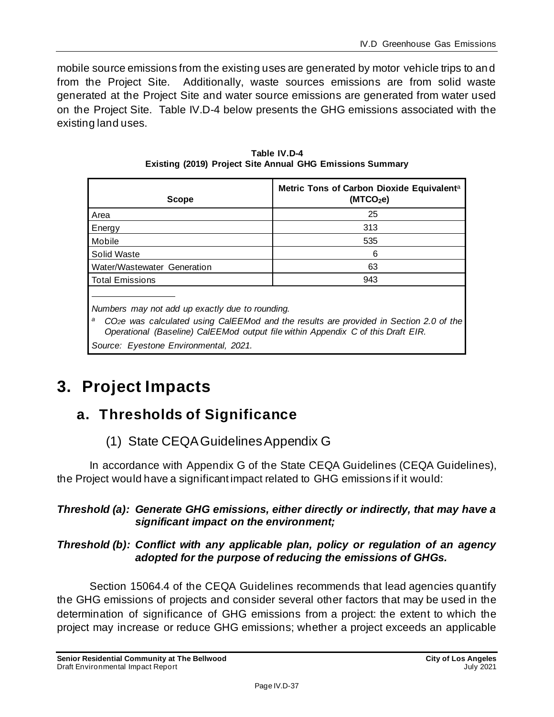mobile source emissions from the existing uses are generated by motor vehicle trips to and from the Project Site. Additionally, waste sources emissions are from solid waste generated at the Project Site and water source emissions are generated from water used on the Project Site. Table IV.D-4 below presents the GHG emissions associated with the existing land uses.

| <b>Scope</b>                                                                                                                                                                                                                                   | Metric Tons of Carbon Dioxide Equivalent <sup>a</sup><br>(MTCO <sub>2</sub> e) |  |
|------------------------------------------------------------------------------------------------------------------------------------------------------------------------------------------------------------------------------------------------|--------------------------------------------------------------------------------|--|
| Area                                                                                                                                                                                                                                           | 25                                                                             |  |
| Energy                                                                                                                                                                                                                                         | 313                                                                            |  |
| Mobile                                                                                                                                                                                                                                         | 535                                                                            |  |
| Solid Waste                                                                                                                                                                                                                                    | 6                                                                              |  |
| Water/Wastewater Generation                                                                                                                                                                                                                    | 63                                                                             |  |
| <b>Total Emissions</b>                                                                                                                                                                                                                         | 943                                                                            |  |
| Numbers may not add up exactly due to rounding.<br>а<br>CO <sub>2</sub> e was calculated using CalEEMod and the results are provided in Section 2.0 of the<br>Operational (Baseline) CalEEMod output file within Appendix C of this Draft EIR. |                                                                                |  |
| Source: Eyestone Environmental, 2021.                                                                                                                                                                                                          |                                                                                |  |

**Table IV.D-4 Existing (2019) Project Site Annual GHG Emissions Summary**

# **3. Project Impacts**

# **a. Thresholds of Significance**

## (1) State CEQA Guidelines Appendix G

In accordance with Appendix G of the State CEQA Guidelines (CEQA Guidelines), the Project would have a significant impact related to GHG emissions if it would:

### *Threshold (a): Generate GHG emissions, either directly or indirectly, that may have a significant impact on the environment;*

### *Threshold (b): Conflict with any applicable plan, policy or regulation of an agency adopted for the purpose of reducing the emissions of GHGs.*

Section 15064.4 of the CEQA Guidelines recommends that lead agencies quantify the GHG emissions of projects and consider several other factors that may be used in the determination of significance of GHG emissions from a project: the extent to which the project may increase or reduce GHG emissions; whether a project exceeds an applicable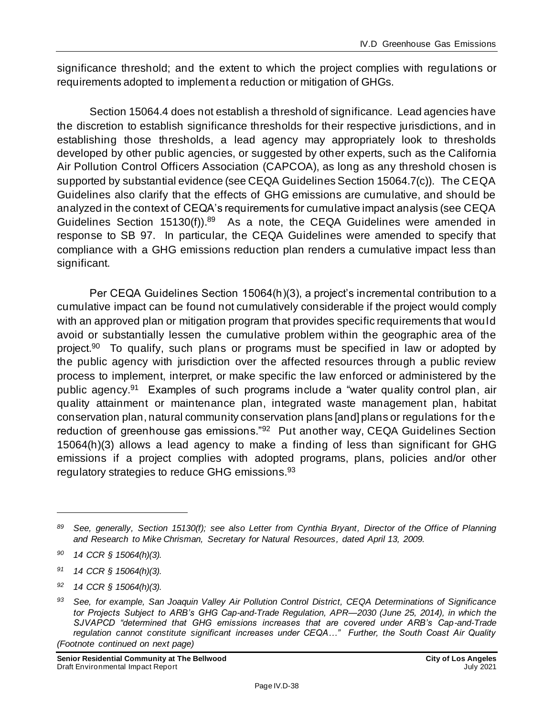significance threshold; and the extent to which the project complies with regulations or requirements adopted to implement a reduction or mitigation of GHGs.

Section 15064.4 does not establish a threshold of significance. Lead agencies have the discretion to establish significance thresholds for their respective jurisdictions, and in establishing those thresholds, a lead agency may appropriately look to thresholds developed by other public agencies, or suggested by other experts, such as the California Air Pollution Control Officers Association (CAPCOA), as long as any threshold chosen is supported by substantial evidence (see CEQA Guidelines Section 15064.7(c)). The CEQA Guidelines also clarify that the effects of GHG emissions are cumulative, and should be analyzed in the context of CEQA's requirements for cumulative impact analysis (see CEQA Guidelines Section  $15130(f)$ ).<sup>89</sup> As a note, the CEQA Guidelines were amended in response to SB 97. In particular, the CEQA Guidelines were amended to specify that compliance with a GHG emissions reduction plan renders a cumulative impact less than significant.

Per CEQA Guidelines Section 15064(h)(3), a project's incremental contribution to a cumulative impact can be found not cumulatively considerable if the project would comply with an approved plan or mitigation program that provides specific requirements that would avoid or substantially lessen the cumulative problem within the geographic area of the project.<sup>90</sup> To qualify, such plans or programs must be specified in law or adopted by the public agency with jurisdiction over the affected resources through a public review process to implement, interpret, or make specific the law enforced or administered by the public agency.<sup>91</sup> Examples of such programs include a "water quality control plan, air quality attainment or maintenance plan, integrated waste management plan, habitat conservation plan, natural community conservation plans [and] plans or regulations for the reduction of greenhouse gas emissions."<sup>92</sup> Put another way, CEQA Guidelines Section 15064(h)(3) allows a lead agency to make a finding of less than significant for GHG emissions if a project complies with adopted programs, plans, policies and/or other regulatory strategies to reduce GHG emissions.<sup>93</sup>

*<sup>91</sup> 14 CCR § 15064(h)(3).*

**Senior Residential Community at The Bellwood City of Los Angeles<br>Draft Environmental Impact Report <b>City of City of City of** Los Angeles Draft Environmental Impact Report

*<sup>89</sup> See, generally, Section 15130(f); see also Letter from Cynthia Bryant, Director of the Office of Planning and Research to Mike Chrisman, Secretary for Natural Resources, dated April 13, 2009.*

*<sup>90</sup> 14 CCR § 15064(h)(3).*

*<sup>92</sup> 14 CCR § 15064(h)(3).*

*<sup>93</sup> See, for example, San Joaquin Valley Air Pollution Control District, CEQA Determinations of Significance tor Projects Subject to ARB's GHG Cap-and-Trade Regulation, APR—2030 (June 25, 2014), in which the SJVAPCD "determined that GHG emissions increases that are covered under ARB's Cap-and-Trade regulation cannot constitute significant increases under CEQA…" Further, the South Coast Air Quality (Footnote continued on next page)*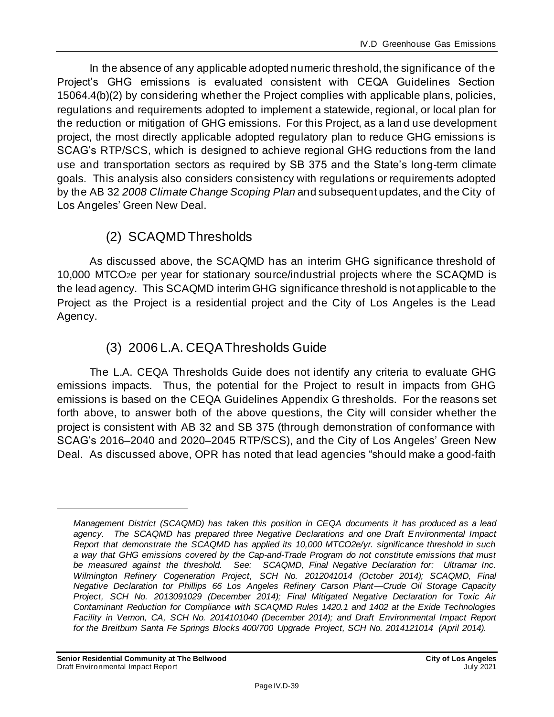In the absence of any applicable adopted numeric threshold, the significance of the Project's GHG emissions is evaluated consistent with CEQA Guidelines Section 15064.4(b)(2) by considering whether the Project complies with applicable plans, policies, regulations and requirements adopted to implement a statewide, regional, or local plan for the reduction or mitigation of GHG emissions. For this Project, as a land use development project, the most directly applicable adopted regulatory plan to reduce GHG emissions is SCAG's RTP/SCS, which is designed to achieve regional GHG reductions from the land use and transportation sectors as required by SB 375 and the State's long-term climate goals. This analysis also considers consistency with regulations or requirements adopted by the AB 32 *2008 Climate Change Scoping Plan* and subsequent updates, and the City of Los Angeles' Green New Deal.

## (2) SCAQMD Thresholds

As discussed above, the SCAQMD has an interim GHG significance threshold of 10,000 MTCO2e per year for stationary source/industrial projects where the SCAQMD is the lead agency. This SCAQMD interim GHG significance threshold is not applicable to the Project as the Project is a residential project and the City of Los Angeles is the Lead Agency.

## (3) 2006 L.A. CEQA Thresholds Guide

The L.A. CEQA Thresholds Guide does not identify any criteria to evaluate GHG emissions impacts. Thus, the potential for the Project to result in impacts from GHG emissions is based on the CEQA Guidelines Appendix G thresholds. For the reasons set forth above, to answer both of the above questions, the City will consider whether the project is consistent with AB 32 and SB 375 (through demonstration of conformance with SCAG's 2016–2040 and 2020–2045 RTP/SCS), and the City of Los Angeles' Green New Deal. As discussed above, OPR has noted that lead agencies "should make a good-faith

*Management District (SCAQMD) has taken this position in CEQA documents it has produced as a lead agency. The SCAQMD has prepared three Negative Declarations and one Draft Environmental Impact Report that demonstrate the SCAQMD has applied its 10,000 MTCO2e/yr. significance threshold in such a way that GHG emissions covered by the Cap-and-Trade Program do not constitute emissions that must be measured against the threshold. See: SCAQMD, Final Negative Declaration for: Ultramar Inc. Wilmington Refinery Cogeneration Project, SCH No. 2012041014 (October 2014); SCAQMD, Final Negative Declaration tor Phillips 66 Los Angeles Refinery Carson Plant—Crude Oil Storage Capacity Project, SCH No. 2013091029 (December 2014); Final Mitigated Negative Declaration for Toxic Air Contaminant Reduction for Compliance with SCAQMD Rules 1420.1 and 1402 at the Exide Technologies Facility in Vernon, CA, SCH No. 2014101040 (December 2014); and Draft Environmental Impact Report for the Breitburn Santa Fe Springs Blocks 400/700 Upgrade Project, SCH No. 2014121014 (April 2014).*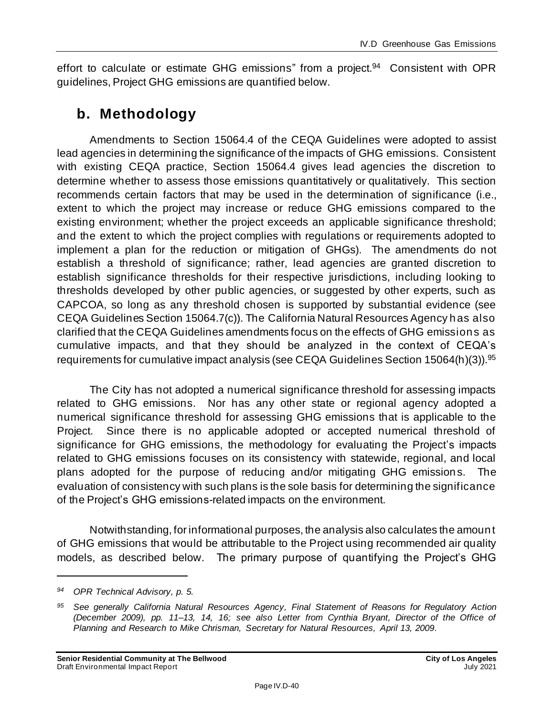effort to calculate or estimate GHG emissions" from a project.<sup>94</sup> Consistent with OPR guidelines, Project GHG emissions are quantified below.

## **b. Methodology**

Amendments to Section 15064.4 of the CEQA Guidelines were adopted to assist lead agencies in determining the significance of the impacts of GHG emissions. Consistent with existing CEQA practice, Section 15064.4 gives lead agencies the discretion to determine whether to assess those emissions quantitatively or qualitatively. This section recommends certain factors that may be used in the determination of significance (i.e., extent to which the project may increase or reduce GHG emissions compared to the existing environment; whether the project exceeds an applicable significance threshold; and the extent to which the project complies with regulations or requirements adopted to implement a plan for the reduction or mitigation of GHGs). The amendments do not establish a threshold of significance; rather, lead agencies are granted discretion to establish significance thresholds for their respective jurisdictions, including looking to thresholds developed by other public agencies, or suggested by other experts, such as CAPCOA, so long as any threshold chosen is supported by substantial evidence (see CEQA Guidelines Section 15064.7(c)). The California Natural Resources Agency has also clarified that the CEQA Guidelines amendments focus on the effects of GHG emissions as cumulative impacts, and that they should be analyzed in the context of CEQA's requirements for cumulative impact analysis (see CEQA Guidelines Section 15064(h)(3)).<sup>95</sup>

The City has not adopted a numerical significance threshold for assessing impacts related to GHG emissions. Nor has any other state or regional agency adopted a numerical significance threshold for assessing GHG emissions that is applicable to the Project. Since there is no applicable adopted or accepted numerical threshold of significance for GHG emissions, the methodology for evaluating the Project's impacts related to GHG emissions focuses on its consistency with statewide, regional, and local plans adopted for the purpose of reducing and/or mitigating GHG emissions. The evaluation of consistency with such plans is the sole basis for determining the significance of the Project's GHG emissions-related impacts on the environment.

Notwithstanding, for informational purposes, the analysis also calculates the amount of GHG emissions that would be attributable to the Project using recommended air quality models, as described below. The primary purpose of quantifying the Project's GHG

*<sup>94</sup> OPR Technical Advisory, p. 5.*

*<sup>95</sup> See generally California Natural Resources Agency, Final Statement of Reasons for Regulatory Action (December 2009), pp. 11–13, 14, 16; see also Letter from Cynthia Bryant, Director of the Office of Planning and Research to Mike Chrisman, Secretary for Natural Resources, April 13, 2009.*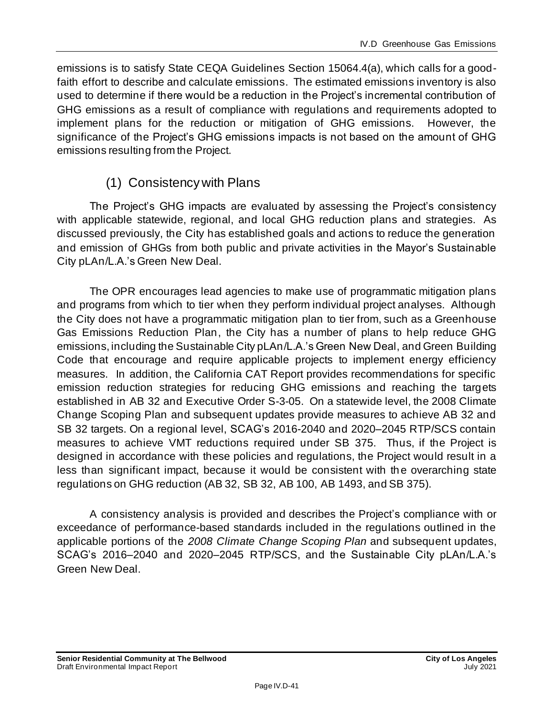emissions is to satisfy State CEQA Guidelines Section 15064.4(a), which calls for a goodfaith effort to describe and calculate emissions. The estimated emissions inventory is also used to determine if there would be a reduction in the Project's incremental contribution of GHG emissions as a result of compliance with regulations and requirements adopted to implement plans for the reduction or mitigation of GHG emissions. However, the significance of the Project's GHG emissions impacts is not based on the amount of GHG emissions resulting from the Project.

## (1) Consistency with Plans

The Project's GHG impacts are evaluated by assessing the Project's consistency with applicable statewide, regional, and local GHG reduction plans and strategies. As discussed previously, the City has established goals and actions to reduce the generation and emission of GHGs from both public and private activities in the Mayor's Sustainable City pLAn/L.A.'s Green New Deal.

The OPR encourages lead agencies to make use of programmatic mitigation plans and programs from which to tier when they perform individual project analyses. Although the City does not have a programmatic mitigation plan to tier from, such as a Greenhouse Gas Emissions Reduction Plan, the City has a number of plans to help reduce GHG emissions, including the Sustainable City pLAn/L.A.'s Green New Deal, and Green Building Code that encourage and require applicable projects to implement energy efficiency measures. In addition, the California CAT Report provides recommendations for specific emission reduction strategies for reducing GHG emissions and reaching the targets established in AB 32 and Executive Order S-3-05. On a statewide level, the 2008 Climate Change Scoping Plan and subsequent updates provide measures to achieve AB 32 and SB 32 targets. On a regional level, SCAG's 2016-2040 and 2020–2045 RTP/SCS contain measures to achieve VMT reductions required under SB 375. Thus, if the Project is designed in accordance with these policies and regulations, the Project would result in a less than significant impact, because it would be consistent with the overarching state regulations on GHG reduction (AB 32, SB 32, AB 100, AB 1493, and SB 375).

A consistency analysis is provided and describes the Project's compliance with or exceedance of performance-based standards included in the regulations outlined in the applicable portions of the *2008 Climate Change Scoping Plan* and subsequent updates, SCAG's 2016–2040 and 2020–2045 RTP/SCS, and the Sustainable City pLAn/L.A.'s Green New Deal.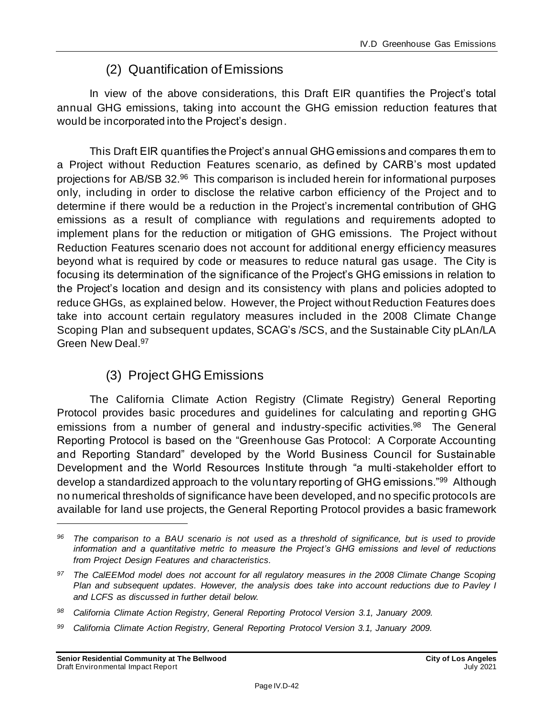## (2) Quantification of Emissions

In view of the above considerations, this Draft EIR quantifies the Project's total annual GHG emissions, taking into account the GHG emission reduction features that would be incorporated into the Project's design.

This Draft EIR quantifies the Project's annual GHG emissions and compares them to a Project without Reduction Features scenario, as defined by CARB's most updated projections for AB/SB 32.<sup>96</sup> This comparison is included herein for informational purposes only, including in order to disclose the relative carbon efficiency of the Project and to determine if there would be a reduction in the Project's incremental contribution of GHG emissions as a result of compliance with regulations and requirements adopted to implement plans for the reduction or mitigation of GHG emissions. The Project without Reduction Features scenario does not account for additional energy efficiency measures beyond what is required by code or measures to reduce natural gas usage. The City is focusing its determination of the significance of the Project's GHG emissions in relation to the Project's location and design and its consistency with plans and policies adopted to reduce GHGs, as explained below. However, the Project without Reduction Features does take into account certain regulatory measures included in the 2008 Climate Change Scoping Plan and subsequent updates, SCAG's /SCS, and the Sustainable City pLAn/LA Green New Deal.<sup>97</sup>

## (3) Project GHG Emissions

The California Climate Action Registry (Climate Registry) General Reporting Protocol provides basic procedures and guidelines for calculating and reportin g GHG emissions from a number of general and industry-specific activities.<sup>98</sup> The General Reporting Protocol is based on the "Greenhouse Gas Protocol: A Corporate Accounting and Reporting Standard" developed by the World Business Council for Sustainable Development and the World Resources Institute through "a multi-stakeholder effort to develop a standardized approach to the voluntary reporting of GHG emissions."<sup>99</sup> Although no numerical thresholds of significance have been developed, and no specific protocols are available for land use projects, the General Reporting Protocol provides a basic framework

*<sup>96</sup> The comparison to a BAU scenario is not used as a threshold of significance, but is used to provide information and a quantitative metric to measure the Project's GHG emissions and level of reductions from Project Design Features and characteristics.*

*<sup>97</sup> The CalEEMod model does not account for all regulatory measures in the 2008 Climate Change Scoping Plan and subsequent updates. However, the analysis does take into account reductions due to Pavley I and LCFS as discussed in further detail below.*

*<sup>98</sup> California Climate Action Registry, General Reporting Protocol Version 3.1, January 2009.*

*<sup>99</sup> California Climate Action Registry, General Reporting Protocol Version 3.1, January 2009.*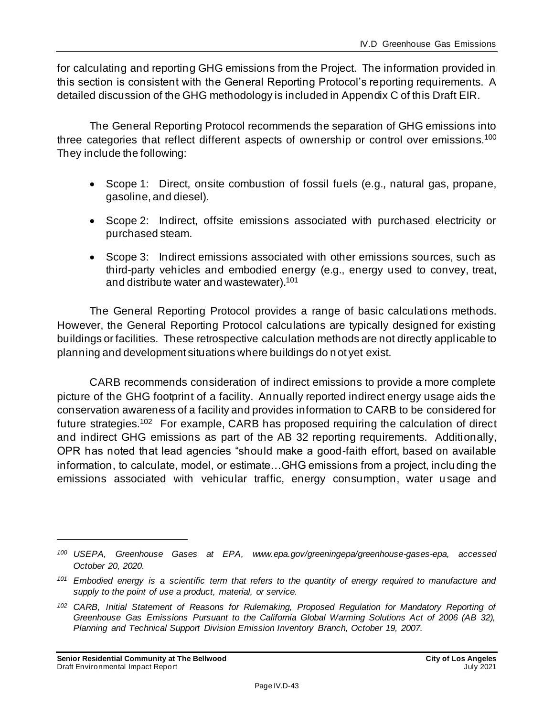for calculating and reporting GHG emissions from the Project. The information provided in this section is consistent with the General Reporting Protocol's reporting requirements. A detailed discussion of the GHG methodology is included in Appendix C of this Draft EIR.

The General Reporting Protocol recommends the separation of GHG emissions into three categories that reflect different aspects of ownership or control over emissions.<sup>100</sup> They include the following:

- Scope 1: Direct, onsite combustion of fossil fuels (e.g., natural gas, propane, gasoline, and diesel).
- Scope 2: Indirect, offsite emissions associated with purchased electricity or purchased steam.
- Scope 3: Indirect emissions associated with other emissions sources, such as third-party vehicles and embodied energy (e.g., energy used to convey, treat, and distribute water and wastewater). 101

The General Reporting Protocol provides a range of basic calculations methods. However, the General Reporting Protocol calculations are typically designed for existing buildings or facilities. These retrospective calculation methods are not directly applicable to planning and development situations where buildings do not yet exist.

CARB recommends consideration of indirect emissions to provide a more complete picture of the GHG footprint of a facility. Annually reported indirect energy usage aids the conservation awareness of a facility and provides information to CARB to be considered for future strategies.<sup>102</sup> For example, CARB has proposed requiring the calculation of direct and indirect GHG emissions as part of the AB 32 reporting requirements. Additionally, OPR has noted that lead agencies "should make a good-faith effort, based on available information, to calculate, model, or estimate…GHG emissions from a project, inclu ding the emissions associated with vehicular traffic, energy consumption, water u sage and

*<sup>100</sup> USEPA, Greenhouse Gases at EPA, www.epa.gov/greeningepa/greenhouse-gases-epa, accessed October 20, 2020.*

*<sup>101</sup> Embodied energy is a scientific term that refers to the quantity of energy required to manufacture and supply to the point of use a product, material, or service.*

*<sup>102</sup> CARB, Initial Statement of Reasons for Rulemaking, Proposed Regulation for Mandatory Reporting of Greenhouse Gas Emissions Pursuant to the California Global Warming Solutions Act of 2006 (AB 32), Planning and Technical Support Division Emission Inventory Branch, October 19, 2007.*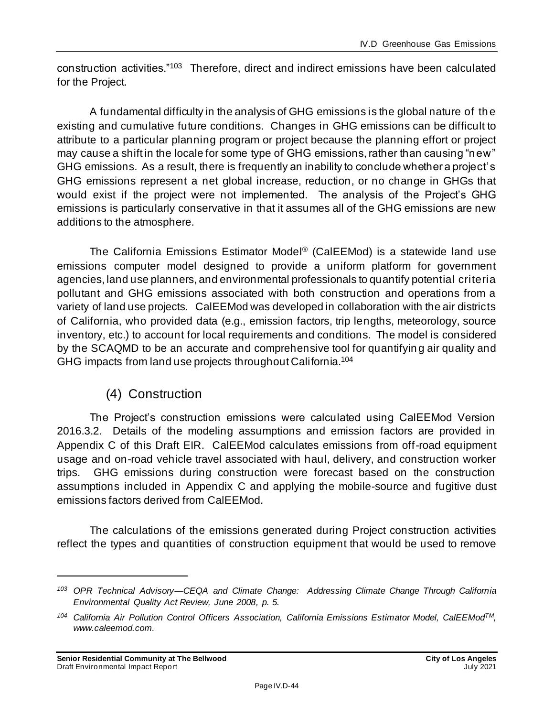construction activities."<sup>103</sup> Therefore, direct and indirect emissions have been calculated for the Project.

A fundamental difficulty in the analysis of GHG emissions is the global nature of the existing and cumulative future conditions. Changes in GHG emissions can be difficult to attribute to a particular planning program or project because the planning effort or project may cause a shift in the locale for some type of GHG emissions, rather than causing "new" GHG emissions. As a result, there is frequently an inability to conclude whether a project's GHG emissions represent a net global increase, reduction, or no change in GHGs that would exist if the project were not implemented. The analysis of the Project's GHG emissions is particularly conservative in that it assumes all of the GHG emissions are new additions to the atmosphere.

The California Emissions Estimator Model ® (CalEEMod) is a statewide land use emissions computer model designed to provide a uniform platform for government agencies, land use planners, and environmental professionals to quantify potential criteria pollutant and GHG emissions associated with both construction and operations from a variety of land use projects. CalEEMod was developed in collaboration with the air districts of California, who provided data (e.g., emission factors, trip lengths, meteorology, source inventory, etc.) to account for local requirements and conditions. The model is considered by the SCAQMD to be an accurate and comprehensive tool for quantifyin g air quality and GHG impacts from land use projects throughout California.<sup>104</sup>

## (4) Construction

The Project's construction emissions were calculated using CalEEMod Version 2016.3.2. Details of the modeling assumptions and emission factors are provided in Appendix C of this Draft EIR. CalEEMod calculates emissions from off-road equipment usage and on-road vehicle travel associated with haul, delivery, and construction worker trips. GHG emissions during construction were forecast based on the construction assumptions included in Appendix C and applying the mobile-source and fugitive dust emissions factors derived from CalEEMod.

The calculations of the emissions generated during Project construction activities reflect the types and quantities of construction equipment that would be used to remove

*<sup>103</sup> OPR Technical Advisory—CEQA and Climate Change: Addressing Climate Change Through California Environmental Quality Act Review, June 2008, p. 5.*

*<sup>104</sup> California Air Pollution Control Officers Association, California Emissions Estimator Model, CalEEModTM, www.caleemod.com.*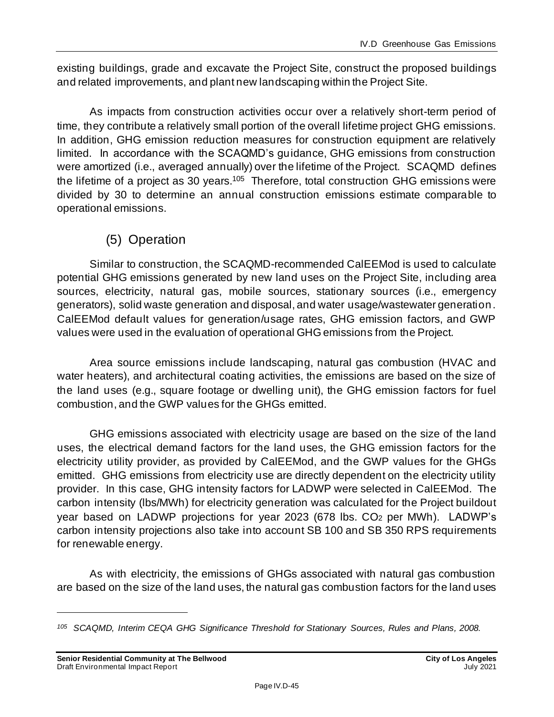existing buildings, grade and excavate the Project Site, construct the proposed buildings and related improvements, and plant new landscaping within the Project Site.

As impacts from construction activities occur over a relatively short-term period of time, they contribute a relatively small portion of the overall lifetime project GHG emissions. In addition, GHG emission reduction measures for construction equipment are relatively limited. In accordance with the SCAQMD's guidance, GHG emissions from construction were amortized (i.e., averaged annually) over the lifetime of the Project. SCAQMD defines the lifetime of a project as 30 years.<sup>105</sup> Therefore, total construction GHG emissions were divided by 30 to determine an annual construction emissions estimate comparable to operational emissions.

## (5) Operation

Similar to construction, the SCAQMD-recommended CalEEMod is used to calculate potential GHG emissions generated by new land uses on the Project Site, including area sources, electricity, natural gas, mobile sources, stationary sources (i.e., emergency generators), solid waste generation and disposal, and water usage/wastewater generation. CalEEMod default values for generation/usage rates, GHG emission factors, and GWP values were used in the evaluation of operational GHG emissions from the Project.

Area source emissions include landscaping, natural gas combustion (HVAC and water heaters), and architectural coating activities, the emissions are based on the size of the land uses (e.g., square footage or dwelling unit), the GHG emission factors for fuel combustion, and the GWP values for the GHGs emitted.

GHG emissions associated with electricity usage are based on the size of the land uses, the electrical demand factors for the land uses, the GHG emission factors for the electricity utility provider, as provided by CalEEMod, and the GWP values for the GHGs emitted. GHG emissions from electricity use are directly dependent on the electricity utility provider. In this case, GHG intensity factors for LADWP were selected in CalEEMod. The carbon intensity (lbs/MWh) for electricity generation was calculated for the Project buildout year based on LADWP projections for year 2023 (678 lbs. CO<sup>2</sup> per MWh). LADWP's carbon intensity projections also take into account SB 100 and SB 350 RPS requirements for renewable energy.

As with electricity, the emissions of GHGs associated with natural gas combustion are based on the size of the land uses, the natural gas combustion factors for the land uses

*<sup>105</sup> SCAQMD, Interim CEQA GHG Significance Threshold for Stationary Sources, Rules and Plans, 2008.*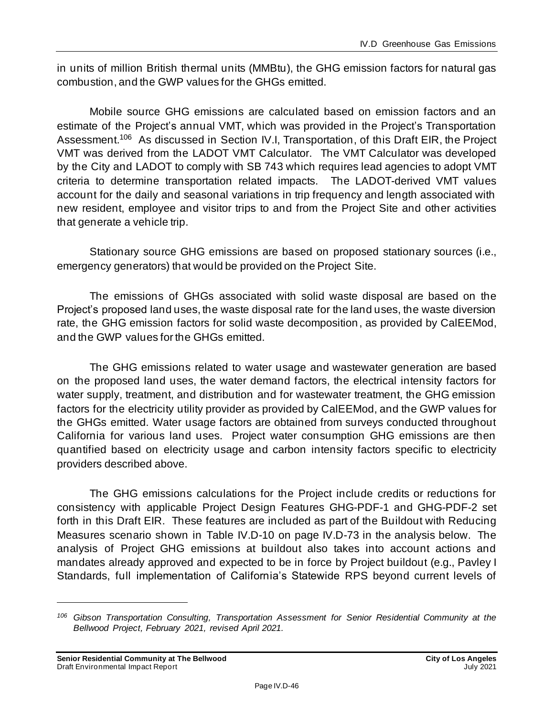in units of million British thermal units (MMBtu), the GHG emission factors for natural gas combustion, and the GWP values for the GHGs emitted.

Mobile source GHG emissions are calculated based on emission factors and an estimate of the Project's annual VMT, which was provided in the Project's Transportation Assessment.<sup>106</sup> As discussed in Section IV.I, Transportation, of this Draft EIR, the Project VMT was derived from the LADOT VMT Calculator. The VMT Calculator was developed by the City and LADOT to comply with SB 743 which requires lead agencies to adopt VMT criteria to determine transportation related impacts. The LADOT-derived VMT values account for the daily and seasonal variations in trip frequency and length associated with new resident, employee and visitor trips to and from the Project Site and other activities that generate a vehicle trip.

Stationary source GHG emissions are based on proposed stationary sources (i.e., emergency generators) that would be provided on the Project Site.

The emissions of GHGs associated with solid waste disposal are based on the Project's proposed land uses, the waste disposal rate for the land uses, the waste diversion rate, the GHG emission factors for solid waste decomposition, as provided by CalEEMod, and the GWP values for the GHGs emitted.

The GHG emissions related to water usage and wastewater generation are based on the proposed land uses, the water demand factors, the electrical intensity factors for water supply, treatment, and distribution and for wastewater treatment, the GHG emission factors for the electricity utility provider as provided by CalEEMod, and the GWP values for the GHGs emitted. Water usage factors are obtained from surveys conducted throughout California for various land uses. Project water consumption GHG emissions are then quantified based on electricity usage and carbon intensity factors specific to electricity providers described above.

The GHG emissions calculations for the Project include credits or reductions for consistency with applicable Project Design Features GHG-PDF-1 and GHG-PDF-2 set forth in this Draft EIR. These features are included as part of the Buildout with Reducing Measures scenario shown in Table IV.D-10 on pag[e IV.D-73](#page-72-0) in the analysis below. The analysis of Project GHG emissions at buildout also takes into account actions and mandates already approved and expected to be in force by Project buildout (e.g., Pavley I Standards, full implementation of California's Statewide RPS beyond current levels of

*<sup>106</sup> Gibson Transportation Consulting, Transportation Assessment for Senior Residential Community at the Bellwood Project, February 2021, revised April 2021.*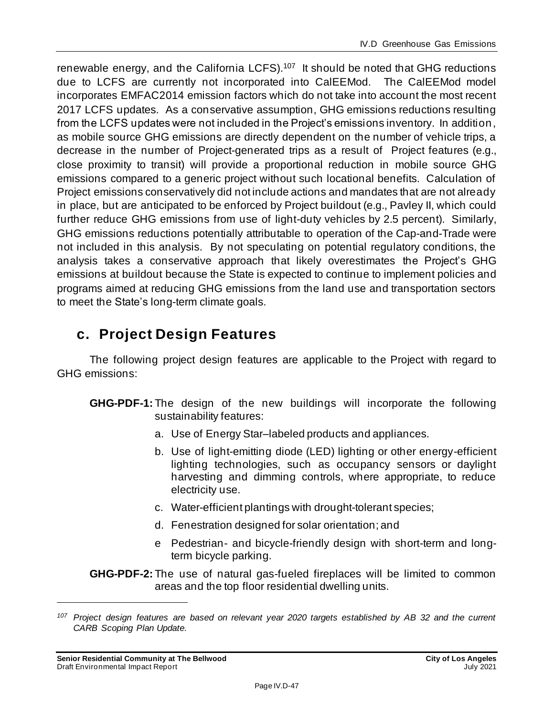renewable energy, and the California LCFS). $107$  It should be noted that GHG reductions due to LCFS are currently not incorporated into CalEEMod. The CalEEMod model incorporates EMFAC2014 emission factors which do not take into account the most recent 2017 LCFS updates. As a conservative assumption, GHG emissions reductions resulting from the LCFS updates were not included in the Project's emissions inventory. In addition, as mobile source GHG emissions are directly dependent on the number of vehicle trips, a decrease in the number of Project-generated trips as a result of Project features (e.g., close proximity to transit) will provide a proportional reduction in mobile source GHG emissions compared to a generic project without such locational benefits. Calculation of Project emissions conservatively did not include actions and mandates that are not already in place, but are anticipated to be enforced by Project buildout (e.g., Pavley II, which could further reduce GHG emissions from use of light-duty vehicles by 2.5 percent). Similarly, GHG emissions reductions potentially attributable to operation of the Cap-and-Trade were not included in this analysis. By not speculating on potential regulatory conditions, the analysis takes a conservative approach that likely overestimates the Project's GHG emissions at buildout because the State is expected to continue to implement policies and programs aimed at reducing GHG emissions from the land use and transportation sectors to meet the State's long-term climate goals.

## **c. Project Design Features**

The following project design features are applicable to the Project with regard to GHG emissions:

- **GHG-PDF-1:** The design of the new buildings will incorporate the following sustainability features:
	- a. Use of Energy Star–labeled products and appliances.
	- b. Use of light-emitting diode (LED) lighting or other energy-efficient lighting technologies, such as occupancy sensors or daylight harvesting and dimming controls, where appropriate, to reduce electricity use.
	- c. Water-efficient plantings with drought-tolerant species;
	- d. Fenestration designed for solar orientation; and
	- e Pedestrian- and bicycle-friendly design with short-term and longterm bicycle parking.

**GHG-PDF-2:** The use of natural gas-fueled fireplaces will be limited to common areas and the top floor residential dwelling units.

*<sup>107</sup> Project design features are based on relevant year 2020 targets established by AB 32 and the current CARB Scoping Plan Update.*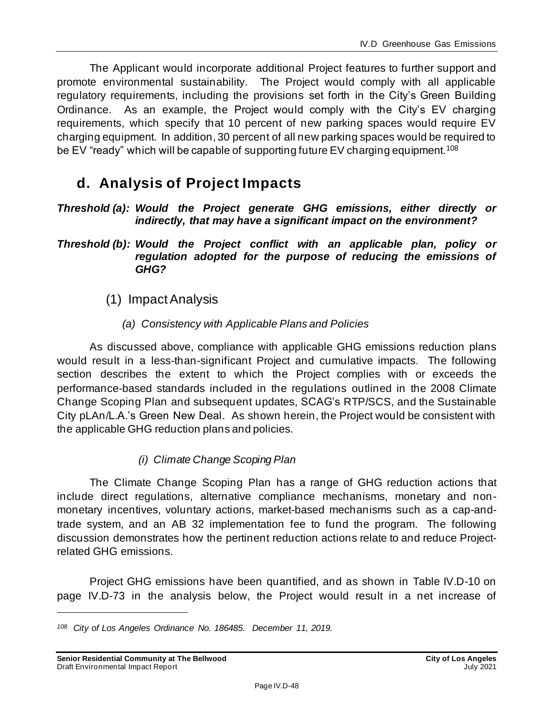The Applicant would incorporate additional Project features to further support and promote environmental sustainability. The Project would comply with all applicable regulatory requirements, including the provisions set forth in the City's Green Building Ordinance. As an example, the Project would comply with the City's EV charging requirements, which specify that 10 percent of new parking spaces would require EV charging equipment. In addition, 30 percent of all new parking spaces would be required to be EV "ready" which will be capable of supporting future EV charging equipment.<sup>108</sup>

# **d. Analysis of Project Impacts**

*Threshold (a): Would the Project generate GHG emissions, either directly or indirectly, that may have a significant impact on the environment?*

*Threshold (b): Would the Project conflict with an applicable plan, policy or regulation adopted for the purpose of reducing the emissions of GHG?*

- (1) Impact Analysis
	- *(a) Consistency with Applicable Plans and Policies*

As discussed above, compliance with applicable GHG emissions reduction plans would result in a less-than-significant Project and cumulative impacts. The following section describes the extent to which the Project complies with or exceeds the performance-based standards included in the regulations outlined in the 2008 Climate Change Scoping Plan and subsequent updates, SCAG's RTP/SCS, and the Sustainable City pLAn/L.A.'s Green New Deal. As shown herein, the Project would be consistent with the applicable GHG reduction plans and policies.

## *(i) Climate Change Scoping Plan*

The Climate Change Scoping Plan has a range of GHG reduction actions that include direct regulations, alternative compliance mechanisms, monetary and nonmonetary incentives, voluntary actions, market-based mechanisms such as a cap-andtrade system, and an AB 32 implementation fee to fund the program. The following discussion demonstrates how the pertinent reduction actions relate to and reduce Projectrelated GHG emissions.

Project GHG emissions have been quantified, and as shown in Table IV.D-10 on page [IV.D-73](#page-72-0) in the analysis below, the Project would result in a net increase of

*<sup>108</sup> City of Los Angeles Ordinance No. 186485. December 11, 2019.*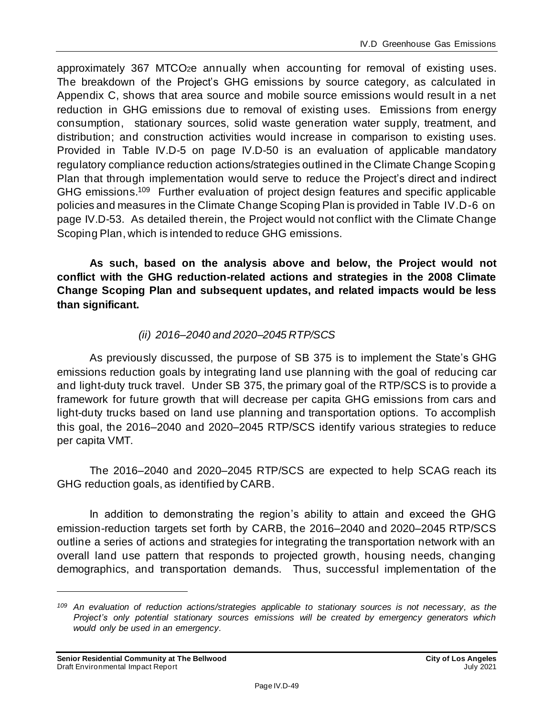approximately 367 MTCO2e annually when accounting for removal of existing uses. The breakdown of the Project's GHG emissions by source category, as calculated in Appendix C, shows that area source and mobile source emissions would result in a net reduction in GHG emissions due to removal of existing uses. Emissions from energy consumption, stationary sources, solid waste generation water supply, treatment, and distribution; and construction activities would increase in comparison to existing uses. Provided in Table IV.D-5 on page IV.D-50 is an evaluation of applicable mandatory regulatory compliance reduction actions/strategies outlined in the Climate Change Scoping Plan that through implementation would serve to reduce the Project's direct and indirect GHG emissions.<sup>109</sup> Further evaluation of project design features and specific applicable policies and measures in the Climate Change Scoping Plan is provided in Table IV.D-6 on page IV.D-53. As detailed therein, the Project would not conflict with the Climate Change Scoping Plan, which is intended to reduce GHG emissions.

**As such, based on the analysis above and below, the Project would not conflict with the GHG reduction-related actions and strategies in the 2008 Climate Change Scoping Plan and subsequent updates, and related impacts would be less than significant.**

## *(ii) 2016–2040 and 2020–2045 RTP/SCS*

As previously discussed, the purpose of SB 375 is to implement the State's GHG emissions reduction goals by integrating land use planning with the goal of reducing car and light-duty truck travel. Under SB 375, the primary goal of the RTP/SCS is to provide a framework for future growth that will decrease per capita GHG emissions from cars and light-duty trucks based on land use planning and transportation options. To accomplish this goal, the 2016–2040 and 2020–2045 RTP/SCS identify various strategies to reduce per capita VMT.

The 2016–2040 and 2020–2045 RTP/SCS are expected to help SCAG reach its GHG reduction goals, as identified by CARB.

In addition to demonstrating the region's ability to attain and exceed the GHG emission-reduction targets set forth by CARB, the 2016–2040 and 2020–2045 RTP/SCS outline a series of actions and strategies for integrating the transportation network with an overall land use pattern that responds to projected growth, housing needs, changing demographics, and transportation demands. Thus, successful implementation of the

*<sup>109</sup> An evaluation of reduction actions/strategies applicable to stationary sources is not necessary, as the Project's only potential stationary sources emissions will be created by emergency generators which would only be used in an emergency.*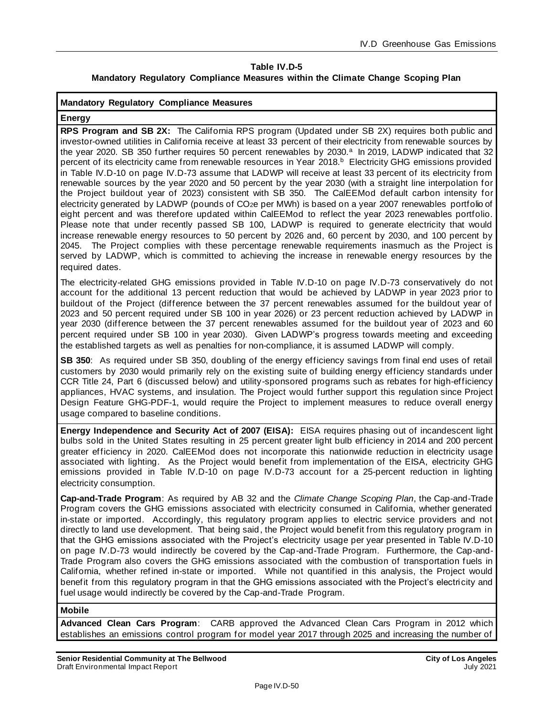#### **Table IV.D-5 Mandatory Regulatory Compliance Measures within the Climate Change Scoping Plan**

#### **Mandatory Regulatory Compliance Measures**

#### **Energy**

**RPS Program and SB 2X:** The California RPS program (Updated under SB 2X) requires both public and investor-owned utilities in California receive at least 33 percent of their electricity from renewable sources by the year 2020. SB 350 further requires 50 percent renewables by 2030.<sup>a</sup> In 2019, LADWP indicated that 32 percent of its electricity came from renewable resources in Year 2018. <sup>b</sup> Electricity GHG emissions provided in Table IV.D-10 on page IV.D-73 assume that LADWP will receive at least 33 percent of its electricity from renewable sources by the year 2020 and 50 percent by the year 2030 (with a straight line interpolation for the Project buildout year of 2023) consistent with SB 350. The CalEEMod default carbon intensity for electricity generated by LADWP (pounds of CO2e per MWh) is based on a year 2007 renewables portfolio of eight percent and was therefore updated within CalEEMod to reflect the year 2023 renewables portfolio. Please note that under recently passed SB 100, LADWP is required to generate electricity that would increase renewable energy resources to 50 percent by 2026 and, 60 percent by 2030, and 100 percent by 2045. The Project complies with these percentage renewable requirements inasmuch as the Project is served by LADWP, which is committed to achieving the increase in renewable energy resources by the required dates.

The electricity-related GHG emissions provided in Table IV.D-10 on page IV.D-73 conservatively do not account for the additional 13 percent reduction that would be achieved by LADWP in year 2023 prior to buildout of the Project (difference between the 37 percent renewables assumed for the buildout year of 2023 and 50 percent required under SB 100 in year 2026) or 23 percent reduction achieved by LADWP in year 2030 (difference between the 37 percent renewables assumed for the buildout year of 2023 and 60 percent required under SB 100 in year 2030). Given LADWP's progress towards meeting and exceeding the established targets as well as penalties for non-compliance, it is assumed LADWP will comply.

**SB 350**: As required under SB 350, doubling of the energy efficiency savings from final end uses of retail customers by 2030 would primarily rely on the existing suite of building energy efficiency standards under CCR Title 24, Part 6 (discussed below) and utility-sponsored programs such as rebates for high-efficiency appliances, HVAC systems, and insulation. The Project would further support this regulation since Project Design Feature GHG-PDF-1, would require the Project to implement measures to reduce overall energy usage compared to baseline conditions.

**Energy Independence and Security Act of 2007 (EISA):** EISA requires phasing out of incandescent light bulbs sold in the United States resulting in 25 percent greater light bulb efficiency in 2014 and 200 percent greater efficiency in 2020. CalEEMod does not incorporate this nationwide reduction in electricity usage associated with lighting. As the Project would benefit from implementation of the EISA, electricity GHG emissions provided in Table IV.D-10 on page IV.D-73 account for a 25-percent reduction in lighting electricity consumption.

**Cap-and-Trade Program**: As required by AB 32 and the *Climate Change Scoping Plan*, the Cap-and-Trade Program covers the GHG emissions associated with electricity consumed in California, whether generated in-state or imported. Accordingly, this regulatory program applies to electric service providers and not directly to land use development. That being said, the Project would benefit from this regulatory program in that the GHG emissions associated with the Project's electricity usage per year presented in Table IV.D-10 on page IV.D-73 would indirectly be covered by the Cap-and-Trade Program. Furthermore, the Cap-and-Trade Program also covers the GHG emissions associated with the combustion of transportation fuels in California, whether refined in-state or imported. While not quantified in this analysis, the Project would benefit from this regulatory program in that the GHG emissions associated with the Project's electricity and fuel usage would indirectly be covered by the Cap-and-Trade Program.

#### **Mobile**

**Advanced Clean Cars Program**: CARB approved the Advanced Clean Cars Program in 2012 which establishes an emissions control program for model year 2017 through 2025 and increasing the number of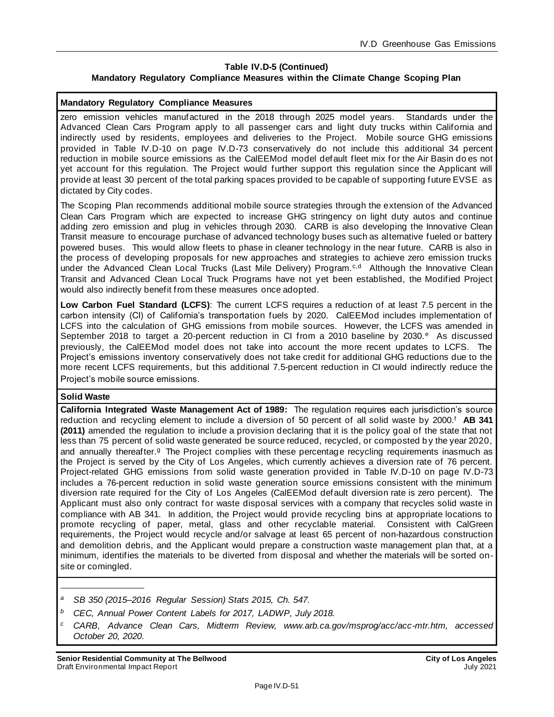#### **Table IV.D-5 (Continued) Mandatory Regulatory Compliance Measures within the Climate Change Scoping Plan**

#### **Mandatory Regulatory Compliance Measures**

zero emission vehicles manufactured in the 2018 through 2025 model years. Standards under the Advanced Clean Cars Program apply to all passenger cars and light duty trucks within California and indirectly used by residents, employees and deliveries to the Project. Mobile source GHG emissions provided in Table IV.D-10 on page IV.D-73 conservatively do not include this additional 34 percent reduction in mobile source emissions as the CalEEMod model default fleet mix for the Air Basin do es not yet account for this regulation. The Project would further support this regulation since the Applicant will provide at least 30 percent of the total parking spaces provided to be capable of supporting future EVSE as dictated by City codes.

The Scoping Plan recommends additional mobile source strategies through the extension of the Advanced Clean Cars Program which are expected to increase GHG stringency on light duty autos and continue adding zero emission and plug in vehicles through 2030. CARB is also developing the Innovative Clean Transit measure to encourage purchase of advanced technology buses such as alternative fueled or battery powered buses. This would allow fleets to phase in cleaner technology in the near future. CARB is also in the process of developing proposals for new approaches and strategies to achieve zero emission trucks under the Advanced Clean Local Trucks (Last Mile Delivery) Program.<sup>c,d</sup> Although the Innovative Clean Transit and Advanced Clean Local Truck Programs have not yet been established, the Modified Project would also indirectly benefit from these measures once adopted.

**Low Carbon Fuel Standard (LCFS)**: The current LCFS requires a reduction of at least 7.5 percent in the carbon intensity (CI) of California's transportation fuels by 2020. CalEEMod includes implementation of LCFS into the calculation of GHG emissions from mobile sources. However, the LCFS was amended in September 2018 to target a 20-percent reduction in CI from a 2010 baseline by 2030.<sup>e</sup> As discussed previously, the CalEEMod model does not take into account the more recent updates to LCFS. The Project's emissions inventory conservatively does not take credit for additional GHG reductions due to the more recent LCFS requirements, but this additional 7.5-percent reduction in CI would indirectly reduce the Project's mobile source emissions.

#### **Solid Waste**

**California Integrated Waste Management Act of 1989:** The regulation requires each jurisdiction's source reduction and recycling element to include a diversion of 50 percent of all solid waste by 2000.<sup>f</sup> AB 341 **(2011)** amended the regulation to include a provision declaring that it is the policy goal of the state that not less than 75 percent of solid waste generated be source reduced, recycled, or composted by the year 2020, and annually thereafter.<sup>g</sup> The Project complies with these percentage recycling requirements inasmuch as the Project is served by the City of Los Angeles, which currently achieves a diversion rate of 76 percent. Project-related GHG emissions from solid waste generation provided in Table IV.D-10 on page IV.D-73 includes a 76-percent reduction in solid waste generation source emissions consistent with the minimum diversion rate required for the City of Los Angeles (CalEEMod default diversion rate is zero percent). The Applicant must also only contract for waste disposal services with a company that recycles solid waste in compliance with AB 341. In addition, the Project would provide recycling bins at appropriate locations to promote recycling of paper, metal, glass and other recyclable material. Consistent with CalGreen requirements, the Project would recycle and/or salvage at least 65 percent of non-hazardous construction and demolition debris, and the Applicant would prepare a construction waste management plan that, at a minimum, identifies the materials to be diverted from disposal and whether the materials will be sorted onsite or comingled.

- *<sup>a</sup> SB 350 (2015–2016 Regular Session) Stats 2015, Ch. 547.*
- *<sup>b</sup> CEC, Annual Power Content Labels for 2017, LADWP, July 2018.*
- *<sup>c</sup> CARB, Advance Clean Cars, Midterm Review, www.arb.ca.gov/msprog/acc/acc-mtr.htm, accessed October 20, 2020.*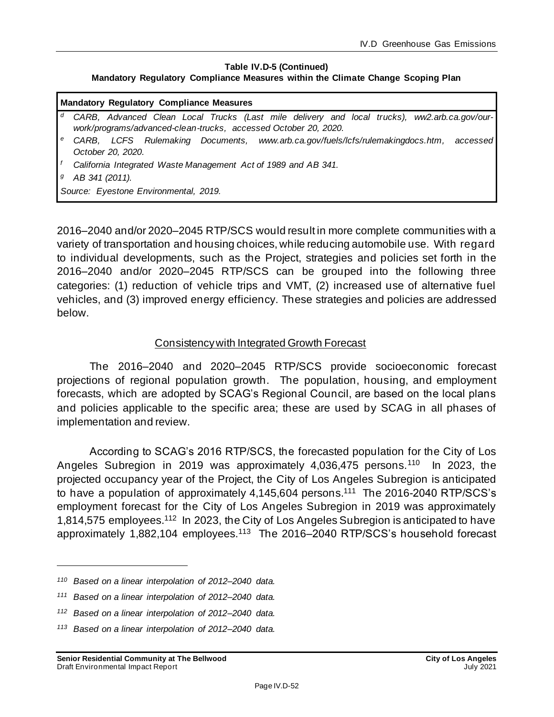#### **Table IV.D-5 (Continued)**

#### **Mandatory Regulatory Compliance Measures within the Climate Change Scoping Plan**

|   | <b>Mandatory Regulatory Compliance Measures</b>                                                                                                                 |  |  |  |  |
|---|-----------------------------------------------------------------------------------------------------------------------------------------------------------------|--|--|--|--|
| d | CARB, Advanced Clean Local Trucks (Last mile delivery and local trucks), ww2.arb.ca.gov/our-<br>work/programs/advanced-clean-trucks, accessed October 20, 2020. |  |  |  |  |
| е | CARB, LCFS Rulemaking Documents, www.arb.ca.gov/fuels/lcfs/rulemakingdocs.htm, accessed                                                                         |  |  |  |  |
|   | October 20, 2020.                                                                                                                                               |  |  |  |  |
|   | California Integrated Waste Management Act of 1989 and AB 341.                                                                                                  |  |  |  |  |
| g | AB 341 (2011).                                                                                                                                                  |  |  |  |  |
|   | Source: Eyestone Environmental, 2019.                                                                                                                           |  |  |  |  |

2016–2040 and/or 2020–2045 RTP/SCS would result in more complete communities with a variety of transportation and housing choices, while reducing automobile use. With regard to individual developments, such as the Project, strategies and policies set forth in the 2016–2040 and/or 2020–2045 RTP/SCS can be grouped into the following three categories: (1) reduction of vehicle trips and VMT, (2) increased use of alternative fuel vehicles, and (3) improved energy efficiency. These strategies and policies are addressed below.

### Consistency with Integrated Growth Forecast

The 2016–2040 and 2020–2045 RTP/SCS provide socioeconomic forecast projections of regional population growth. The population, housing, and employment forecasts, which are adopted by SCAG's Regional Council, are based on the local plans and policies applicable to the specific area; these are used by SCAG in all phases of implementation and review.

According to SCAG's 2016 RTP/SCS, the forecasted population for the City of Los Angeles Subregion in 2019 was approximately 4,036,475 persons.<sup>110</sup> In 2023, the projected occupancy year of the Project, the City of Los Angeles Subregion is anticipated to have a population of approximately 4,145,604 persons.<sup>111</sup> The 2016-2040 RTP/SCS's employment forecast for the City of Los Angeles Subregion in 2019 was approximately 1,814,575 employees.<sup>112</sup> In 2023, the City of Los Angeles Subregion is anticipated to have approximately 1,882,104 employees.<sup>113</sup> The 2016–2040 RTP/SCS's household forecast

- *<sup>111</sup> Based on a linear interpolation of 2012–2040 data.*
- *<sup>112</sup> Based on a linear interpolation of 2012–2040 data.*
- *<sup>113</sup> Based on a linear interpolation of 2012–2040 data.*

*<sup>110</sup> Based on a linear interpolation of 2012–2040 data.*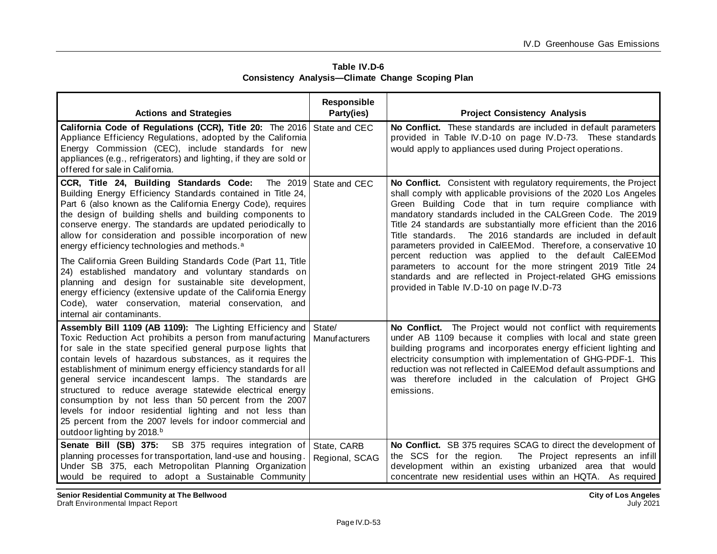| Table IV.D-6 |                                                         |  |  |  |
|--------------|---------------------------------------------------------|--|--|--|
|              | <b>Consistency Analysis-Climate Change Scoping Plan</b> |  |  |  |

| <b>Actions and Strategies</b>                                                                                                                                                                                                                                                                                                                                                                                                                                                                                                                                                                                                                                                                                                                                                | <b>Responsible</b><br>Party(ies) | <b>Project Consistency Analysis</b>                                                                                                                                                                                                                                                                                                                                                                                                                                                                                                                                                                                                                                                                         |
|------------------------------------------------------------------------------------------------------------------------------------------------------------------------------------------------------------------------------------------------------------------------------------------------------------------------------------------------------------------------------------------------------------------------------------------------------------------------------------------------------------------------------------------------------------------------------------------------------------------------------------------------------------------------------------------------------------------------------------------------------------------------------|----------------------------------|-------------------------------------------------------------------------------------------------------------------------------------------------------------------------------------------------------------------------------------------------------------------------------------------------------------------------------------------------------------------------------------------------------------------------------------------------------------------------------------------------------------------------------------------------------------------------------------------------------------------------------------------------------------------------------------------------------------|
| California Code of Regulations (CCR), Title 20: The 2016 State and CEC<br>Appliance Efficiency Regulations, adopted by the California<br>Energy Commission (CEC), include standards for new<br>appliances (e.g., refrigerators) and lighting, if they are sold or<br>offered for sale in California.                                                                                                                                                                                                                                                                                                                                                                                                                                                                         |                                  | No Conflict. These standards are included in default parameters<br>provided in Table IV.D-10 on page IV.D-73. These standards<br>would apply to appliances used during Project operations.                                                                                                                                                                                                                                                                                                                                                                                                                                                                                                                  |
| CCR, Title 24, Building Standards Code:<br>The 2019<br>Building Energy Efficiency Standards contained in Title 24,<br>Part 6 (also known as the California Energy Code), requires<br>the design of building shells and building components to<br>conserve energy. The standards are updated periodically to<br>allow for consideration and possible incorporation of new<br>energy efficiency technologies and methods. <sup>a</sup><br>The California Green Building Standards Code (Part 11, Title<br>24) established mandatory and voluntary standards on<br>planning and design for sustainable site development,<br>energy efficiency (extensive update of the California Energy<br>Code), water conservation, material conservation, and<br>internal air contaminants. | State and CEC                    | No Conflict. Consistent with regulatory requirements, the Project<br>shall comply with applicable provisions of the 2020 Los Angeles<br>Green Building Code that in turn require compliance with<br>mandatory standards included in the CALGreen Code. The 2019<br>Title 24 standards are substantially more efficient than the 2016<br>The 2016 standards are included in default<br>Title standards.<br>parameters provided in CalEEMod. Therefore, a conservative 10<br>percent reduction was applied to the default CalEEMod<br>parameters to account for the more stringent 2019 Title 24<br>standards and are reflected in Project-related GHG emissions<br>provided in Table IV.D-10 on page IV.D-73 |
| Assembly Bill 1109 (AB 1109): The Lighting Efficiency and State/<br>Toxic Reduction Act prohibits a person from manufacturing<br>for sale in the state specified general purpose lights that<br>contain levels of hazardous substances, as it requires the<br>establishment of minimum energy efficiency standards for all<br>general service incandescent lamps. The standards are<br>structured to reduce average statewide electrical energy<br>consumption by not less than 50 percent from the 2007<br>levels for indoor residential lighting and not less than<br>25 percent from the 2007 levels for indoor commercial and<br>outdoor lighting by 2018.b                                                                                                              | <b>Manufacturers</b>             | No Conflict. The Project would not conflict with requirements<br>under AB 1109 because it complies with local and state green<br>building programs and incorporates energy efficient lighting and<br>electricity consumption with implementation of GHG-PDF-1. This<br>reduction was not reflected in CalEEMod default assumptions and<br>was therefore included in the calculation of Project GHG<br>emissions.                                                                                                                                                                                                                                                                                            |
| Senate Bill (SB) 375: SB 375 requires integration of<br>planning processes for transportation, land-use and housing.<br>Under SB 375, each Metropolitan Planning Organization<br>would be required to adopt a Sustainable Community                                                                                                                                                                                                                                                                                                                                                                                                                                                                                                                                          | State, CARB<br>Regional, SCAG    | No Conflict. SB 375 requires SCAG to direct the development of<br>the SCS for the region.<br>The Project represents an infill<br>development within an existing urbanized area that would<br>concentrate new residential uses within an HQTA. As required                                                                                                                                                                                                                                                                                                                                                                                                                                                   |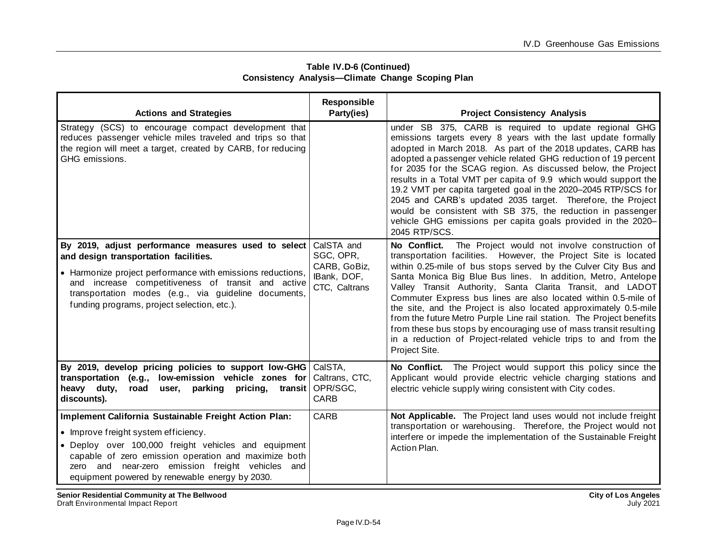| <b>Actions and Strategies</b>                                                                                                                                                                                                                                                                                             | Responsible<br>Party(ies)                                               | <b>Project Consistency Analysis</b>                                                                                                                                                                                                                                                                                                                                                                                                                                                                                                                                                                                                                                                                       |
|---------------------------------------------------------------------------------------------------------------------------------------------------------------------------------------------------------------------------------------------------------------------------------------------------------------------------|-------------------------------------------------------------------------|-----------------------------------------------------------------------------------------------------------------------------------------------------------------------------------------------------------------------------------------------------------------------------------------------------------------------------------------------------------------------------------------------------------------------------------------------------------------------------------------------------------------------------------------------------------------------------------------------------------------------------------------------------------------------------------------------------------|
| Strategy (SCS) to encourage compact development that<br>reduces passenger vehicle miles traveled and trips so that<br>the region will meet a target, created by CARB, for reducing<br>GHG emissions.                                                                                                                      |                                                                         | under SB 375, CARB is required to update regional GHG<br>emissions targets every 8 years with the last update formally<br>adopted in March 2018. As part of the 2018 updates, CARB has<br>adopted a passenger vehicle related GHG reduction of 19 percent<br>for 2035 for the SCAG region. As discussed below, the Project<br>results in a Total VMT per capita of 9.9 which would support the<br>19.2 VMT per capita targeted goal in the 2020-2045 RTP/SCS for<br>2045 and CARB's updated 2035 target. Therefore, the Project<br>would be consistent with SB 375, the reduction in passenger<br>vehicle GHG emissions per capita goals provided in the 2020-<br>2045 RTP/SCS.                           |
| By 2019, adjust performance measures used to select<br>and design transportation facilities.<br>• Harmonize project performance with emissions reductions,<br>and increase competitiveness of transit and active<br>transportation modes (e.g., via guideline documents,<br>funding programs, project selection, etc.).   | CalSTA and<br>SGC, OPR,<br>CARB, GoBiz,<br>IBank, DOF,<br>CTC, Caltrans | The Project would not involve construction of<br>No Conflict.<br>transportation facilities. However, the Project Site is located<br>within 0.25-mile of bus stops served by the Culver City Bus and<br>Santa Monica Big Blue Bus lines. In addition, Metro, Antelope<br>Valley Transit Authority, Santa Clarita Transit, and LADOT<br>Commuter Express bus lines are also located within 0.5-mile of<br>the site, and the Project is also located approximately 0.5-mile<br>from the future Metro Purple Line rail station. The Project benefits<br>from these bus stops by encouraging use of mass transit resulting<br>in a reduction of Project-related vehicle trips to and from the<br>Project Site. |
| By 2019, develop pricing policies to support low-GHG CalSTA,<br>low-emission vehicle zones for<br>transportation (e.g.,<br>heavy duty,<br>pricing, transit<br>road<br>user, parking<br>discounts).                                                                                                                        | Caltrans, CTC,<br>OPR/SGC,<br><b>CARB</b>                               | No Conflict. The Project would support this policy since the<br>Applicant would provide electric vehicle charging stations and<br>electric vehicle supply wiring consistent with City codes.                                                                                                                                                                                                                                                                                                                                                                                                                                                                                                              |
| Implement California Sustainable Freight Action Plan:<br>• Improve freight system efficiency.<br>• Deploy over 100,000 freight vehicles and equipment<br>capable of zero emission operation and maximize both<br>near-zero emission freight vehicles and<br>and<br>zero<br>equipment powered by renewable energy by 2030. | CARB                                                                    | Not Applicable. The Project land uses would not include freight<br>transportation or warehousing. Therefore, the Project would not<br>interfere or impede the implementation of the Sustainable Freight<br>Action Plan.                                                                                                                                                                                                                                                                                                                                                                                                                                                                                   |

**Table IV.D-6 (Continued) Consistency Analysis—Climate Change Scoping Plan**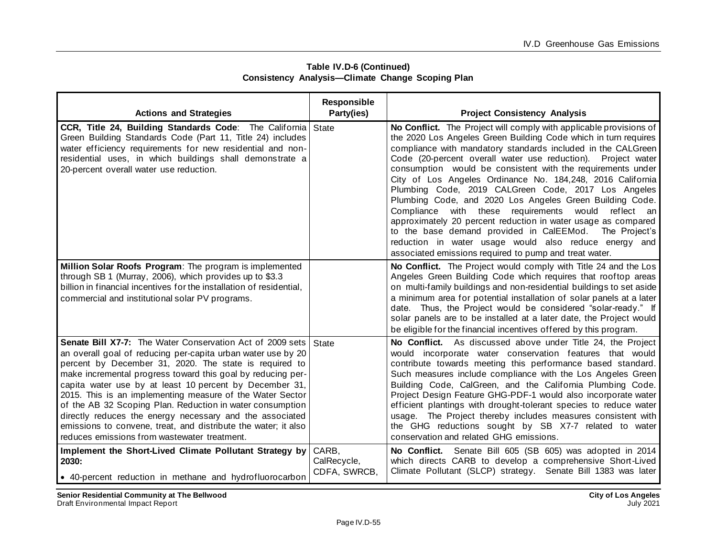| Table IV.D-6 (Continued) |                                                         |  |  |
|--------------------------|---------------------------------------------------------|--|--|
|                          | <b>Consistency Analysis-Climate Change Scoping Plan</b> |  |  |

| <b>Actions and Strategies</b>                                                                                                                                                                                                                                                                                                                                                                                                                                                                                                                                                                                                | Responsible<br>Party(ies)            | <b>Project Consistency Analysis</b>                                                                                                                                                                                                                                                                                                                                                                                                                                                                                                                                                                                                                                                                                                                                                                                        |
|------------------------------------------------------------------------------------------------------------------------------------------------------------------------------------------------------------------------------------------------------------------------------------------------------------------------------------------------------------------------------------------------------------------------------------------------------------------------------------------------------------------------------------------------------------------------------------------------------------------------------|--------------------------------------|----------------------------------------------------------------------------------------------------------------------------------------------------------------------------------------------------------------------------------------------------------------------------------------------------------------------------------------------------------------------------------------------------------------------------------------------------------------------------------------------------------------------------------------------------------------------------------------------------------------------------------------------------------------------------------------------------------------------------------------------------------------------------------------------------------------------------|
| CCR, Title 24, Building Standards Code: The California State<br>Green Building Standards Code (Part 11, Title 24) includes<br>water efficiency requirements for new residential and non-<br>residential uses, in which buildings shall demonstrate a<br>20-percent overall water use reduction.                                                                                                                                                                                                                                                                                                                              |                                      | No Conflict. The Project will comply with applicable provisions of<br>the 2020 Los Angeles Green Building Code which in turn requires<br>compliance with mandatory standards included in the CALGreen<br>Code (20-percent overall water use reduction). Project water<br>consumption would be consistent with the requirements under<br>City of Los Angeles Ordinance No. 184,248, 2016 California<br>Plumbing Code, 2019 CALGreen Code, 2017 Los Angeles<br>Plumbing Code, and 2020 Los Angeles Green Building Code.<br>Compliance with these requirements would reflect an<br>approximately 20 percent reduction in water usage as compared<br>to the base demand provided in CalEEMod. The Project's<br>reduction in water usage would also reduce energy and<br>associated emissions required to pump and treat water. |
| Million Solar Roofs Program: The program is implemented<br>through SB 1 (Murray, 2006), which provides up to \$3.3<br>billion in financial incentives for the installation of residential,<br>commercial and institutional solar PV programs.                                                                                                                                                                                                                                                                                                                                                                                |                                      | No Conflict. The Project would comply with Title 24 and the Los<br>Angeles Green Building Code which requires that rooftop areas<br>on multi-family buildings and non-residential buildings to set aside<br>a minimum area for potential installation of solar panels at a later<br>date. Thus, the Project would be considered "solar-ready." If<br>solar panels are to be installed at a later date, the Project would<br>be eligible for the financial incentives offered by this program.                                                                                                                                                                                                                                                                                                                              |
| <b>Senate Bill X7-7:</b> The Water Conservation Act of 2009 sets<br>an overall goal of reducing per-capita urban water use by 20<br>percent by December 31, 2020. The state is required to<br>make incremental progress toward this goal by reducing per-<br>capita water use by at least 10 percent by December 31,<br>2015. This is an implementing measure of the Water Sector<br>of the AB 32 Scoping Plan. Reduction in water consumption<br>directly reduces the energy necessary and the associated<br>emissions to convene, treat, and distribute the water; it also<br>reduces emissions from wastewater treatment. | State                                | No Conflict. As discussed above under Title 24, the Project<br>would incorporate water conservation features that would<br>contribute towards meeting this performance based standard.<br>Such measures include compliance with the Los Angeles Green<br>Building Code, CalGreen, and the California Plumbing Code.<br>Project Design Feature GHG-PDF-1 would also incorporate water<br>efficient plantings with drought-tolerant species to reduce water<br>usage. The Project thereby includes measures consistent with<br>the GHG reductions sought by SB X7-7 related to water<br>conservation and related GHG emissions.                                                                                                                                                                                              |
| Implement the Short-Lived Climate Pollutant Strategy by<br>2030:<br>• 40-percent reduction in methane and hydrofluorocarbon                                                                                                                                                                                                                                                                                                                                                                                                                                                                                                  | CARB,<br>CalRecycle,<br>CDFA, SWRCB, | No Conflict. Senate Bill 605 (SB 605) was adopted in 2014<br>which directs CARB to develop a comprehensive Short-Lived<br>Climate Pollutant (SLCP) strategy. Senate Bill 1383 was later                                                                                                                                                                                                                                                                                                                                                                                                                                                                                                                                                                                                                                    |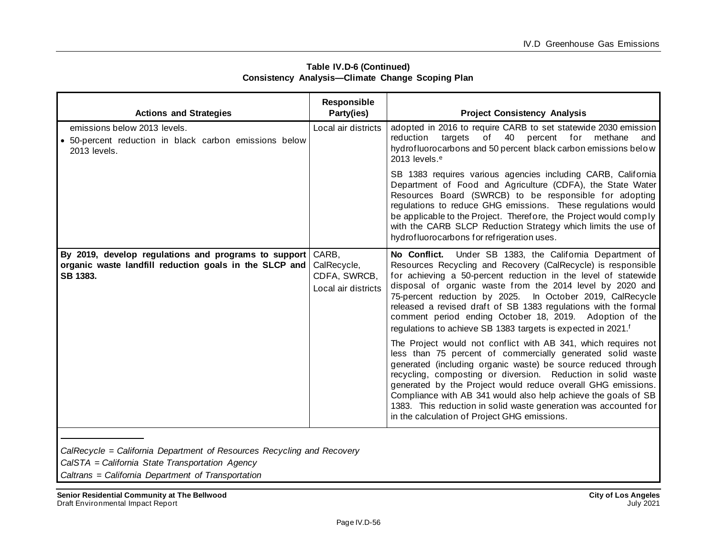| <b>Actions and Strategies</b>                                                                                              | Responsible<br>Party(ies)                                   | <b>Project Consistency Analysis</b>                                                                                                                                                                                                                                                                                                                                                                                                                                                                                            |
|----------------------------------------------------------------------------------------------------------------------------|-------------------------------------------------------------|--------------------------------------------------------------------------------------------------------------------------------------------------------------------------------------------------------------------------------------------------------------------------------------------------------------------------------------------------------------------------------------------------------------------------------------------------------------------------------------------------------------------------------|
| emissions below 2013 levels.<br>· 50-percent reduction in black carbon emissions below<br>2013 levels.                     | Local air districts                                         | adopted in 2016 to require CARB to set statewide 2030 emission<br>targets of 40 percent for methane<br>reduction<br>and<br>hydrofluorocarbons and 50 percent black carbon emissions below<br>2013 levels. <sup>e</sup>                                                                                                                                                                                                                                                                                                         |
|                                                                                                                            |                                                             | SB 1383 requires various agencies including CARB, California<br>Department of Food and Agriculture (CDFA), the State Water<br>Resources Board (SWRCB) to be responsible for adopting<br>regulations to reduce GHG emissions. These regulations would<br>be applicable to the Project. Therefore, the Project would comply<br>with the CARB SLCP Reduction Strategy which limits the use of<br>hydrofluorocarbons for refrigeration uses.                                                                                       |
| By 2019, develop regulations and programs to support<br>organic waste landfill reduction goals in the SLCP and<br>SB 1383. | CARB,<br>CalRecycle,<br>CDFA, SWRCB,<br>Local air districts | No Conflict. Under SB 1383, the California Department of<br>Resources Recycling and Recovery (CalRecycle) is responsible<br>for achieving a 50-percent reduction in the level of statewide<br>disposal of organic waste from the 2014 level by 2020 and<br>75-percent reduction by 2025. In October 2019, CalRecycle<br>released a revised draft of SB 1383 regulations with the formal<br>comment period ending October 18, 2019. Adoption of the<br>regulations to achieve SB 1383 targets is expected in 2021. <sup>f</sup> |
|                                                                                                                            |                                                             | The Project would not conflict with AB 341, which requires not<br>less than 75 percent of commercially generated solid waste<br>generated (including organic waste) be source reduced through<br>recycling, composting or diversion. Reduction in solid waste<br>generated by the Project would reduce overall GHG emissions.<br>Compliance with AB 341 would also help achieve the goals of SB<br>1383. This reduction in solid waste generation was accounted for<br>in the calculation of Project GHG emissions.            |
|                                                                                                                            |                                                             |                                                                                                                                                                                                                                                                                                                                                                                                                                                                                                                                |

#### **Table IV.D-6 (Continued) Consistency Analysis—Climate Change Scoping Plan**

*CalRecycle = California Department of Resources Recycling and Recovery*

*CalSTA = California State Transportation Agency*

*Caltrans = California Department of Transportation*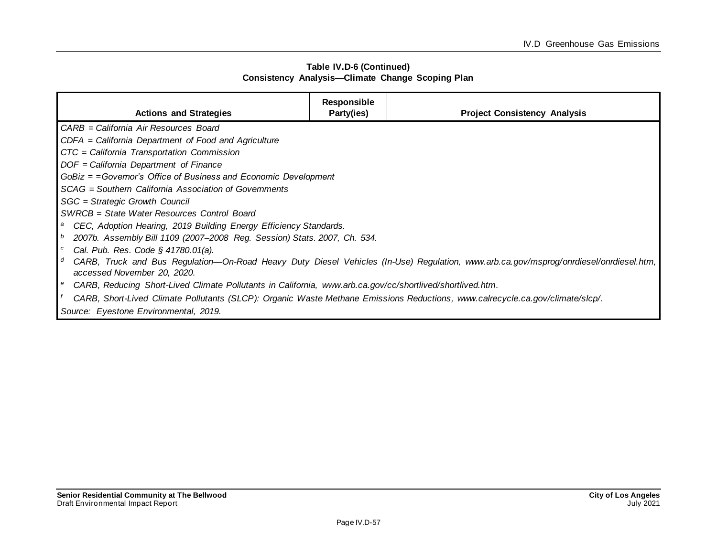| Table IV.D-6 (Continued) |                                                         |  |  |  |
|--------------------------|---------------------------------------------------------|--|--|--|
|                          | <b>Consistency Analysis-Climate Change Scoping Plan</b> |  |  |  |

| <b>Actions and Strategies</b>                                                                                                                                             | <b>Responsible</b><br>Party(ies) | <b>Project Consistency Analysis</b> |  |
|---------------------------------------------------------------------------------------------------------------------------------------------------------------------------|----------------------------------|-------------------------------------|--|
| CARB = California Air Resources Board                                                                                                                                     |                                  |                                     |  |
| CDFA = California Department of Food and Agriculture                                                                                                                      |                                  |                                     |  |
| CTC = California Transportation Commission                                                                                                                                |                                  |                                     |  |
| DOF = California Department of Finance                                                                                                                                    |                                  |                                     |  |
| $GoBiz = = Governor's$ Office of Business and Economic Development                                                                                                        |                                  |                                     |  |
| SCAG = Southern California Association of Governments                                                                                                                     |                                  |                                     |  |
| SGC = Strategic Growth Council                                                                                                                                            |                                  |                                     |  |
| SWRCB = State Water Resources Control Board                                                                                                                               |                                  |                                     |  |
| CEC, Adoption Hearing, 2019 Building Energy Efficiency Standards.<br>a                                                                                                    |                                  |                                     |  |
| 2007b. Assembly Bill 1109 (2007-2008 Reg. Session) Stats. 2007, Ch. 534.<br>b                                                                                             |                                  |                                     |  |
| Cal. Pub. Res. Code $\S$ 41780.01(a).<br>$\boldsymbol{c}$                                                                                                                 |                                  |                                     |  |
| CARB, Truck and Bus Regulation—On-Road Heavy Duty Diesel Vehicles (In-Use) Regulation, www.arb.ca.gov/msprog/onrdiesel/onrdiesel.htm,<br>d<br>accessed November 20, 2020. |                                  |                                     |  |
| CARB, Reducing Short-Lived Climate Pollutants in California, www.arb.ca.gov/cc/shortlived/shortlived.htm.<br>e                                                            |                                  |                                     |  |
| CARB, Short-Lived Climate Pollutants (SLCP): Organic Waste Methane Emissions Reductions, www.calrecycle.ca.gov/climate/slcp/.                                             |                                  |                                     |  |
| Source: Eyestone Environmental, 2019.                                                                                                                                     |                                  |                                     |  |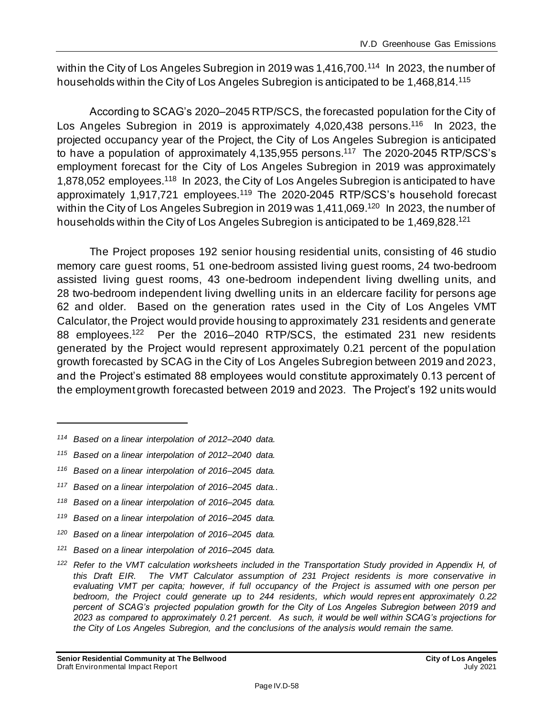within the City of Los Angeles Subregion in 2019 was 1,416,700.<sup>114</sup> In 2023, the number of households within the City of Los Angeles Subregion is anticipated to be 1,468,814.<sup>115</sup>

According to SCAG's 2020–2045 RTP/SCS, the forecasted population for the City of Los Angeles Subregion in 2019 is approximately 4,020,438 persons.<sup>116</sup> In 2023, the projected occupancy year of the Project, the City of Los Angeles Subregion is anticipated to have a population of approximately 4,135,955 persons.<sup>117</sup> The 2020-2045 RTP/SCS's employment forecast for the City of Los Angeles Subregion in 2019 was approximately 1,878,052 employees.<sup>118</sup> In 2023, the City of Los Angeles Subregion is anticipated to have approximately 1,917,721 employees.<sup>119</sup> The 2020-2045 RTP/SCS's household forecast within the City of Los Angeles Subregion in 2019 was 1,411,069.<sup>120</sup> In 2023, the number of households within the City of Los Angeles Subregion is anticipated to be 1,469,828.<sup>121</sup>

The Project proposes 192 senior housing residential units, consisting of 46 studio memory care guest rooms, 51 one-bedroom assisted living guest rooms, 24 two-bedroom assisted living guest rooms, 43 one-bedroom independent living dwelling units, and 28 two-bedroom independent living dwelling units in an eldercare facility for persons age 62 and older. Based on the generation rates used in the City of Los Angeles VMT Calculator, the Project would provide housing to approximately 231 residents and generate 88 employees.<sup>122</sup> Per the 2016–2040 RTP/SCS, the estimated 231 new residents generated by the Project would represent approximately 0.21 percent of the population growth forecasted by SCAG in the City of Los Angeles Subregion between 2019 and 2023, and the Project's estimated 88 employees would constitute approximately 0.13 percent of the employment growth forecasted between 2019 and 2023. The Project's 192 units would

- *<sup>116</sup> Based on a linear interpolation of 2016–2045 data.*
- *<sup>117</sup> Based on a linear interpolation of 2016–2045 data..*
- *<sup>118</sup> Based on a linear interpolation of 2016–2045 data.*
- *<sup>119</sup> Based on a linear interpolation of 2016–2045 data.*
- *<sup>120</sup> Based on a linear interpolation of 2016–2045 data.*
- *<sup>121</sup> Based on a linear interpolation of 2016–2045 data.*

*<sup>114</sup> Based on a linear interpolation of 2012–2040 data.*

*<sup>115</sup> Based on a linear interpolation of 2012–2040 data.*

*<sup>122</sup> Refer to the VMT calculation worksheets included in the Transportation Study provided in Appendix H, of this Draft EIR. The VMT Calculator assumption of 231 Project residents is more conservative in evaluating VMT per capita; however, if full occupancy of the Project is assumed with one person per bedroom, the Project could generate up to 244 residents, which would represent approximately 0.22 percent of SCAG's projected population growth for the City of Los Angeles Subregion between 2019 and 2023 as compared to approximately 0.21 percent. As such, it would be well within SCAG's projections for the City of Los Angeles Subregion, and the conclusions of the analysis would remain the same.*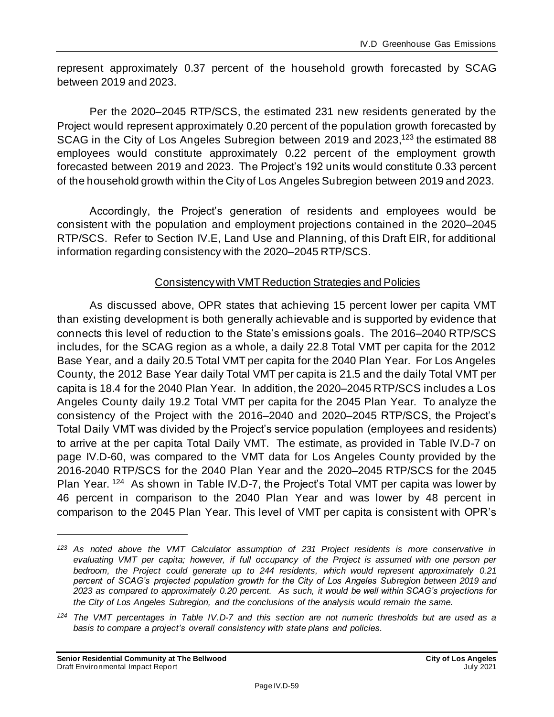represent approximately 0.37 percent of the household growth forecasted by SCAG between 2019 and 2023.

Per the 2020–2045 RTP/SCS, the estimated 231 new residents generated by the Project would represent approximately 0.20 percent of the population growth forecasted by SCAG in the City of Los Angeles Subregion between 2019 and 2023,<sup>123</sup> the estimated 88 employees would constitute approximately 0.22 percent of the employment growth forecasted between 2019 and 2023. The Project's 192 units would constitute 0.33 percent of the household growth within the City of Los Angeles Subregion between 2019 and 2023.

Accordingly, the Project's generation of residents and employees would be consistent with the population and employment projections contained in the 2020–2045 RTP/SCS. Refer to Section IV.E, Land Use and Planning, of this Draft EIR, for additional information regarding consistency with the 2020–2045 RTP/SCS.

### Consistency with VMT Reduction Strategies and Policies

As discussed above, OPR states that achieving 15 percent lower per capita VMT than existing development is both generally achievable and is supported by evidence that connects this level of reduction to the State's emissions goals. The 2016–2040 RTP/SCS includes, for the SCAG region as a whole, a daily 22.8 Total VMT per capita for the 2012 Base Year, and a daily 20.5 Total VMT per capita for the 2040 Plan Year. For Los Angeles County, the 2012 Base Year daily Total VMT per capita is 21.5 and the daily Total VMT per capita is 18.4 for the 2040 Plan Year. In addition, the 2020–2045 RTP/SCS includes a Los Angeles County daily 19.2 Total VMT per capita for the 2045 Plan Year. To analyze the consistency of the Project with the 2016–2040 and 2020–2045 RTP/SCS, the Project's Total Daily VMT was divided by the Project's service population (employees and residents) to arrive at the per capita Total Daily VMT. The estimate, as provided in Table IV.D-7 on page IV.D-60, was compared to the VMT data for Los Angeles County provided by the 2016-2040 RTP/SCS for the 2040 Plan Year and the 2020–2045 RTP/SCS for the 2045 Plan Year. <sup>124</sup> As shown in Table IV.D-7, the Project's Total VMT per capita was lower by 46 percent in comparison to the 2040 Plan Year and was lower by 48 percent in comparison to the 2045 Plan Year. This level of VMT per capita is consistent with OPR's

*<sup>123</sup> As noted above the VMT Calculator assumption of 231 Project residents is more conservative in evaluating VMT per capita; however, if full occupancy of the Project is assumed with one person per bedroom, the Project could generate up to 244 residents, which would represent approximately 0.21 percent of SCAG's projected population growth for the City of Los Angeles Subregion between 2019 and 2023 as compared to approximately 0.20 percent. As such, it would be well within SCAG's projections for the City of Los Angeles Subregion, and the conclusions of the analysis would remain the same.*

*<sup>124</sup> The VMT percentages in Table IV.D-7 and this section are not numeric thresholds but are used as a basis to compare a project's overall consistency with state plans and policies.*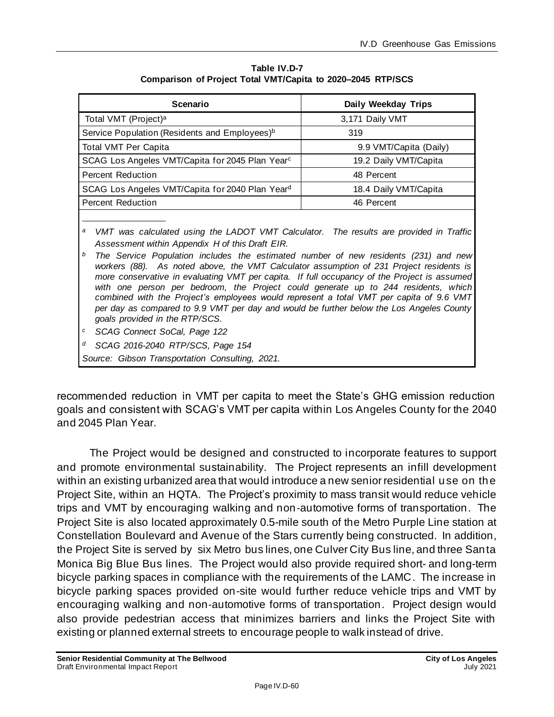| 3,171 Daily VMT                                                                             |  |  |
|---------------------------------------------------------------------------------------------|--|--|
| 319                                                                                         |  |  |
| 9.9 VMT/Capita (Daily)                                                                      |  |  |
| 19.2 Daily VMT/Capita                                                                       |  |  |
| 48 Percent                                                                                  |  |  |
| 18.4 Daily VMT/Capita                                                                       |  |  |
| 46 Percent                                                                                  |  |  |
| a<br>VMT was calculated using the LADOT VMT Calculator. The results are provided in Traffic |  |  |
|                                                                                             |  |  |

**Table IV.D-7 Comparison of Project Total VMT/Capita to 2020–2045 RTP/SCS**

*Assessment within Appendix H of this Draft EIR. <sup>b</sup> The Service Population includes the estimated number of new residents (231) and new workers (88). As noted above, the VMT Calculator assumption of 231 Project residents is more conservative in evaluating VMT per capita. If full occupancy of the Project is assumed with one person per bedroom, the Project could generate up to 244 residents, which combined with the Project's employees would represent a total VMT per capita of 9.6 VMT per day as compared to 9.9 VMT per day and would be further below the Los Angeles County goals provided in the RTP/SCS.*

*<sup>c</sup> SCAG Connect SoCal, Page 122*

*<sup>d</sup> SCAG 2016-2040 RTP/SCS, Page 154*

*Source: Gibson Transportation Consulting, 2021.*

recommended reduction in VMT per capita to meet the State's GHG emission reduction goals and consistent with SCAG's VMT per capita within Los Angeles County for the 2040 and 2045 Plan Year.

The Project would be designed and constructed to incorporate features to support and promote environmental sustainability. The Project represents an infill development within an existing urbanized area that would introduce a new senior residential use on the Project Site, within an HQTA. The Project's proximity to mass transit would reduce vehicle trips and VMT by encouraging walking and non‐automotive forms of transportation. The Project Site is also located approximately 0.5-mile south of the Metro Purple Line station at Constellation Boulevard and Avenue of the Stars currently being constructed. In addition, the Project Site is served by six Metro bus lines, one Culver City Bus line, and three Santa Monica Big Blue Bus lines. The Project would also provide required short- and long-term bicycle parking spaces in compliance with the requirements of the LAMC. The increase in bicycle parking spaces provided on-site would further reduce vehicle trips and VMT by encouraging walking and non‐automotive forms of transportation. Project design would also provide pedestrian access that minimizes barriers and links the Project Site with existing or planned external streets to encourage people to walk instead of drive.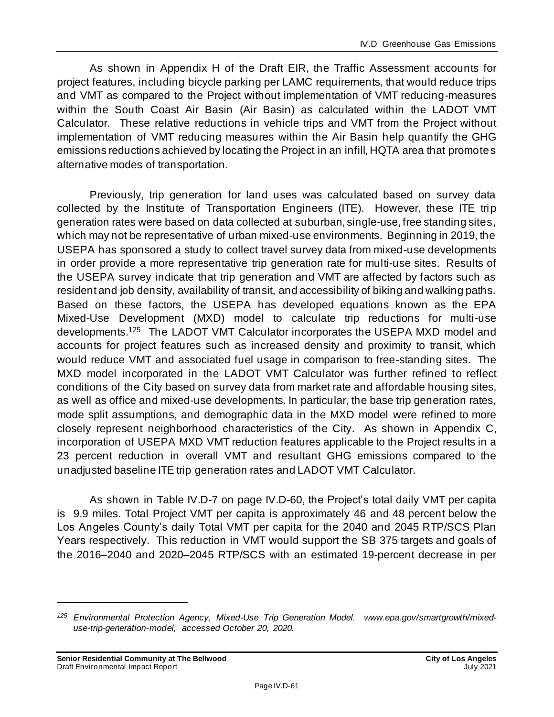As shown in Appendix H of the Draft EIR, the Traffic Assessment accounts for project features, including bicycle parking per LAMC requirements, that would reduce trips and VMT as compared to the Project without implementation of VMT reducing-measures within the South Coast Air Basin (Air Basin) as calculated within the LADOT VMT Calculator. These relative reductions in vehicle trips and VMT from the Project without implementation of VMT reducing measures within the Air Basin help quantify the GHG emissions reductions achieved by locating the Project in an infill, HQTA area that promotes alternative modes of transportation.

Previously, trip generation for land uses was calculated based on survey data collected by the Institute of Transportation Engineers (ITE). However, these ITE trip generation rates were based on data collected at suburban, single-use, free standing sites, which may not be representative of urban mixed-use environments. Beginning in 2019, the USEPA has sponsored a study to collect travel survey data from mixed-use developments in order provide a more representative trip generation rate for multi-use sites. Results of the USEPA survey indicate that trip generation and VMT are affected by factors such as resident and job density, availability of transit, and accessibility of biking and walking paths. Based on these factors, the USEPA has developed equations known as the EPA Mixed-Use Development (MXD) model to calculate trip reductions for multi-use developments.<sup>125</sup> The LADOT VMT Calculator incorporates the USEPA MXD model and accounts for project features such as increased density and proximity to transit, which would reduce VMT and associated fuel usage in comparison to free-standing sites. The MXD model incorporated in the LADOT VMT Calculator was further refined to reflect conditions of the City based on survey data from market rate and affordable housing sites, as well as office and mixed-use developments. In particular, the base trip generation rates, mode split assumptions, and demographic data in the MXD model were refined to more closely represent neighborhood characteristics of the City. As shown in Appendix C, incorporation of USEPA MXD VMT reduction features applicable to the Project results in a 23 percent reduction in overall VMT and resultant GHG emissions compared to the unadjusted baseline ITE trip generation rates and LADOT VMT Calculator.

As shown in Table IV.D-7 on page IV.D-60, the Project's total daily VMT per capita is 9.9 miles. Total Project VMT per capita is approximately 46 and 48 percent below the Los Angeles County's daily Total VMT per capita for the 2040 and 2045 RTP/SCS Plan Years respectively. This reduction in VMT would support the SB 375 targets and goals of the 2016–2040 and 2020–2045 RTP/SCS with an estimated 19-percent decrease in per

*<sup>125</sup> Environmental Protection Agency, Mixed-Use Trip Generation Model. www.epa.gov/smartgrowth/mixeduse-trip-generation-model, accessed October 20, 2020.*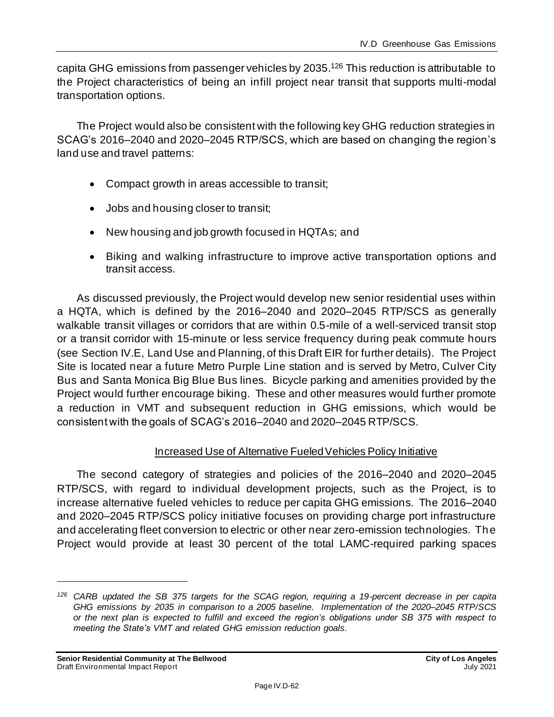capita GHG emissions from passenger vehicles by 2035. <sup>126</sup> This reduction is attributable to the Project characteristics of being an infill project near transit that supports multi-modal transportation options.

The Project would also be consistent with the following key GHG reduction strategies in SCAG's 2016–2040 and 2020–2045 RTP/SCS, which are based on changing the region's land use and travel patterns:

- Compact growth in areas accessible to transit;
- Jobs and housing closer to transit;
- New housing and job growth focused in HQTAs; and
- Biking and walking infrastructure to improve active transportation options and transit access.

As discussed previously, the Project would develop new senior residential uses within a HQTA, which is defined by the 2016–2040 and 2020–2045 RTP/SCS as generally walkable transit villages or corridors that are within 0.5-mile of a well-serviced transit stop or a transit corridor with 15-minute or less service frequency during peak commute hours (see Section IV.E, Land Use and Planning, of this Draft EIR for further details). The Project Site is located near a future Metro Purple Line station and is served by Metro, Culver City Bus and Santa Monica Big Blue Bus lines. Bicycle parking and amenities provided by the Project would further encourage biking. These and other measures would further promote a reduction in VMT and subsequent reduction in GHG emissions, which would be consistent with the goals of SCAG's 2016–2040 and 2020–2045 RTP/SCS.

### Increased Use of Alternative Fueled Vehicles Policy Initiative

The second category of strategies and policies of the 2016–2040 and 2020–2045 RTP/SCS, with regard to individual development projects, such as the Project, is to increase alternative fueled vehicles to reduce per capita GHG emissions. The 2016–2040 and 2020–2045 RTP/SCS policy initiative focuses on providing charge port infrastructure and accelerating fleet conversion to electric or other near zero-emission technologies. The Project would provide at least 30 percent of the total LAMC-required parking spaces

*<sup>126</sup> CARB updated the SB 375 targets for the SCAG region, requiring a 19-percent decrease in per capita GHG emissions by 2035 in comparison to a 2005 baseline. Implementation of the 2020–2045 RTP/SCS or the next plan is expected to fulfill and exceed the region's obligations under SB 375 with respect to meeting the State's VMT and related GHG emission reduction goals.*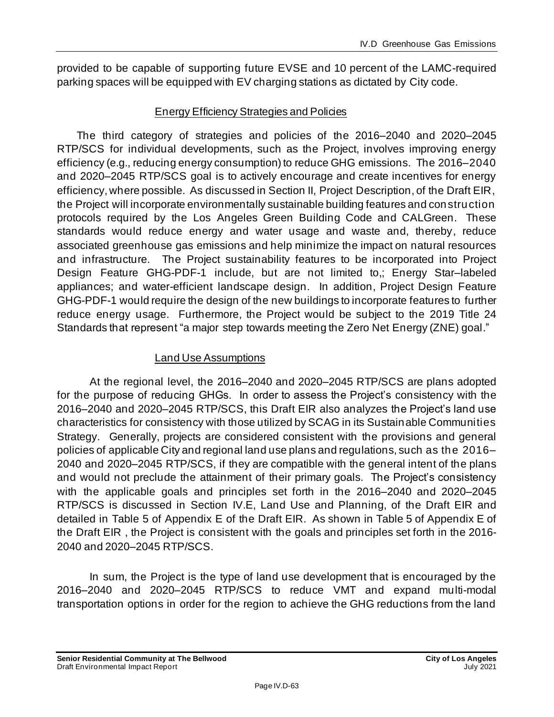provided to be capable of supporting future EVSE and 10 percent of the LAMC-required parking spaces will be equipped with EV charging stations as dictated by City code.

## Energy Efficiency Strategies and Policies

The third category of strategies and policies of the 2016–2040 and 2020–2045 RTP/SCS for individual developments, such as the Project, involves improving energy efficiency (e.g., reducing energy consumption) to reduce GHG emissions. The 2016–2040 and 2020–2045 RTP/SCS goal is to actively encourage and create incentives for energy efficiency, where possible. As discussed in Section II, Project Description, of the Draft EIR, the Project will incorporate environmentally sustainable building features and construction protocols required by the Los Angeles Green Building Code and CALGreen. These standards would reduce energy and water usage and waste and, thereby, reduce associated greenhouse gas emissions and help minimize the impact on natural resources and infrastructure. The Project sustainability features to be incorporated into Project Design Feature GHG-PDF-1 include, but are not limited to,; Energy Star–labeled appliances; and water-efficient landscape design. In addition, Project Design Feature GHG-PDF-1 would require the design of the new buildings to incorporate features to further reduce energy usage. Furthermore, the Project would be subject to the 2019 Title 24 Standards that represent "a major step towards meeting the Zero Net Energy (ZNE) goal."

## Land Use Assumptions

At the regional level, the 2016–2040 and 2020–2045 RTP/SCS are plans adopted for the purpose of reducing GHGs. In order to assess the Project's consistency with the 2016–2040 and 2020–2045 RTP/SCS, this Draft EIR also analyzes the Project's land use characteristics for consistency with those utilized by SCAG in its Sustainable Communities Strategy. Generally, projects are considered consistent with the provisions and general policies of applicable City and regional land use plans and regulations, such as the 2016– 2040 and 2020–2045 RTP/SCS, if they are compatible with the general intent of the plans and would not preclude the attainment of their primary goals. The Project's consistency with the applicable goals and principles set forth in the 2016–2040 and 2020–2045 RTP/SCS is discussed in Section IV.E, Land Use and Planning, of the Draft EIR and detailed in Table 5 of Appendix E of the Draft EIR. As shown in Table 5 of Appendix E of the Draft EIR , the Project is consistent with the goals and principles set forth in the 2016- 2040 and 2020–2045 RTP/SCS.

In sum, the Project is the type of land use development that is encouraged by the 2016–2040 and 2020–2045 RTP/SCS to reduce VMT and expand multi-modal transportation options in order for the region to achieve the GHG reductions from the land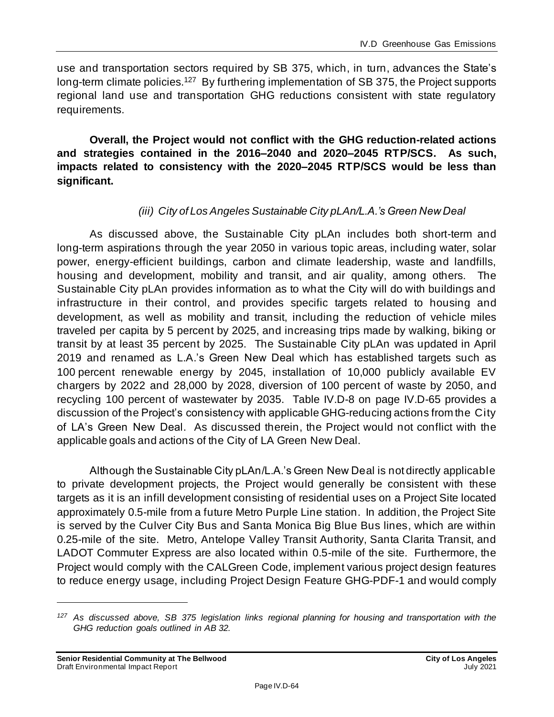use and transportation sectors required by SB 375, which, in turn, advances the State's long-term climate policies.<sup>127</sup> By furthering implementation of SB 375, the Project supports regional land use and transportation GHG reductions consistent with state regulatory requirements.

**Overall, the Project would not conflict with the GHG reduction-related actions and strategies contained in the 2016–2040 and 2020–2045 RTP/SCS. As such, impacts related to consistency with the 2020–2045 RTP/SCS would be less than significant.**

### *(iii) City of Los Angeles Sustainable City pLAn/L.A.'s Green New Deal*

As discussed above, the Sustainable City pLAn includes both short-term and long-term aspirations through the year 2050 in various topic areas, including water, solar power, energy-efficient buildings, carbon and climate leadership, waste and landfills, housing and development, mobility and transit, and air quality, among others. The Sustainable City pLAn provides information as to what the City will do with buildings and infrastructure in their control, and provides specific targets related to housing and development, as well as mobility and transit, including the reduction of vehicle miles traveled per capita by 5 percent by 2025, and increasing trips made by walking, biking or transit by at least 35 percent by 2025. The Sustainable City pLAn was updated in April 2019 and renamed as L.A.'s Green New Deal which has established targets such as 100 percent renewable energy by 2045, installation of 10,000 publicly available EV chargers by 2022 and 28,000 by 2028, diversion of 100 percent of waste by 2050, and recycling 100 percent of wastewater by 2035. Table IV.D-8 on page IV.D-65 provides a discussion of the Project's consistency with applicable GHG-reducing actions from the City of LA's Green New Deal. As discussed therein, the Project would not conflict with the applicable goals and actions of the City of LA Green New Deal.

Although the Sustainable City pLAn/L.A.'s Green New Deal is not directly applicable to private development projects, the Project would generally be consistent with these targets as it is an infill development consisting of residential uses on a Project Site located approximately 0.5-mile from a future Metro Purple Line station. In addition, the Project Site is served by the Culver City Bus and Santa Monica Big Blue Bus lines, which are within 0.25-mile of the site. Metro, Antelope Valley Transit Authority, Santa Clarita Transit, and LADOT Commuter Express are also located within 0.5-mile of the site. Furthermore, the Project would comply with the CALGreen Code, implement various project design features to reduce energy usage, including Project Design Feature GHG-PDF-1 and would comply

*<sup>127</sup> As discussed above, SB 375 legislation links regional planning for housing and transportation with the GHG reduction goals outlined in AB 32.*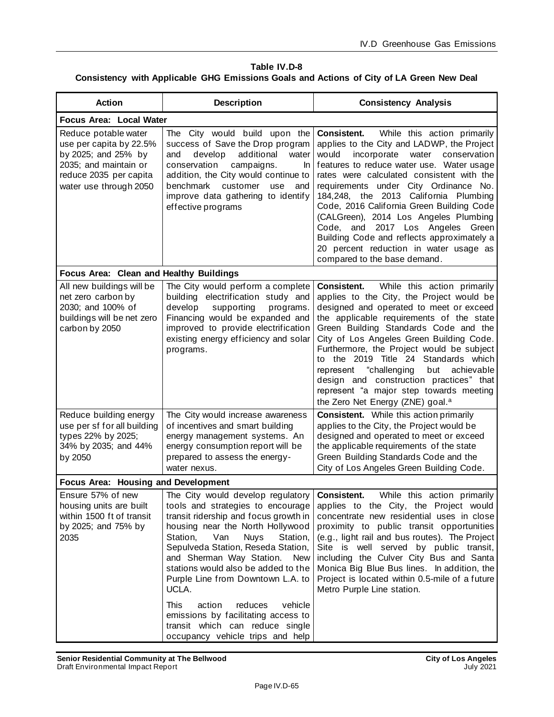#### **Table IV.D-8 Consistency with Applicable GHG Emissions Goals and Actions of City of LA Green New Deal**

| <b>Action</b>                                                                                                                                       | <b>Description</b>                                                                                                                                                                                                                                                                                                                                                                                               | <b>Consistency Analysis</b>                                                                                                                                                                                                                                                                                                                                                                                                                                                                                                                                             |  |  |
|-----------------------------------------------------------------------------------------------------------------------------------------------------|------------------------------------------------------------------------------------------------------------------------------------------------------------------------------------------------------------------------------------------------------------------------------------------------------------------------------------------------------------------------------------------------------------------|-------------------------------------------------------------------------------------------------------------------------------------------------------------------------------------------------------------------------------------------------------------------------------------------------------------------------------------------------------------------------------------------------------------------------------------------------------------------------------------------------------------------------------------------------------------------------|--|--|
|                                                                                                                                                     | Focus Area: Local Water                                                                                                                                                                                                                                                                                                                                                                                          |                                                                                                                                                                                                                                                                                                                                                                                                                                                                                                                                                                         |  |  |
| Reduce potable water<br>use per capita by 22.5%<br>by 2025; and 25% by<br>2035; and maintain or<br>reduce 2035 per capita<br>water use through 2050 | The City would build upon the<br>success of Save the Drop program<br>additional<br>and<br>develop<br>water<br>conservation<br>campaigns.<br>In<br>addition, the City would continue to<br>benchmark<br>customer<br>use<br>and<br>improve data gathering to identify<br>effective programs                                                                                                                        | Consistent.<br>While this action primarily<br>applies to the City and LADWP, the Project<br>incorporate<br>would<br>water<br>conservation<br>features to reduce water use. Water usage<br>rates were calculated consistent with the<br>requirements under City Ordinance No.<br>184,248, the 2013 California Plumbing<br>Code, 2016 California Green Building Code<br>(CALGreen), 2014 Los Angeles Plumbing<br>Code, and 2017 Los Angeles Green<br>Building Code and reflects approximately a<br>20 percent reduction in water usage as<br>compared to the base demand. |  |  |
| Focus Area: Clean and Healthy Buildings                                                                                                             |                                                                                                                                                                                                                                                                                                                                                                                                                  |                                                                                                                                                                                                                                                                                                                                                                                                                                                                                                                                                                         |  |  |
| All new buildings will be<br>net zero carbon by<br>2030; and 100% of<br>buildings will be net zero<br>carbon by 2050                                | The City would perform a complete<br>building electrification study and<br>develop<br>supporting<br>programs.<br>Financing would be expanded and<br>improved to provide electrification<br>existing energy efficiency and solar<br>programs.                                                                                                                                                                     | While this action primarily<br><b>Consistent.</b><br>applies to the City, the Project would be<br>designed and operated to meet or exceed<br>the applicable requirements of the state<br>Green Building Standards Code and the<br>City of Los Angeles Green Building Code.<br>Furthermore, the Project would be subject<br>to the 2019 Title 24 Standards which<br>represent "challenging<br>but<br>achievable<br>design and construction practices" that<br>represent "a major step towards meeting<br>the Zero Net Energy (ZNE) goal. <sup>a</sup>                    |  |  |
| Reduce building energy<br>use per sf for all building<br>types 22% by 2025;<br>34% by 2035; and 44%<br>by 2050                                      | The City would increase awareness<br>of incentives and smart building<br>energy management systems. An<br>energy consumption report will be<br>prepared to assess the energy-<br>water nexus.                                                                                                                                                                                                                    | <b>Consistent.</b> While this action primarily<br>applies to the City, the Project would be<br>designed and operated to meet or exceed<br>the applicable requirements of the state<br>Green Building Standards Code and the<br>City of Los Angeles Green Building Code.                                                                                                                                                                                                                                                                                                 |  |  |
| Focus Area: Housing and Development                                                                                                                 |                                                                                                                                                                                                                                                                                                                                                                                                                  |                                                                                                                                                                                                                                                                                                                                                                                                                                                                                                                                                                         |  |  |
| housing units are built<br>within 1500 ft of transit<br>by 2025; and 75% by<br>2035                                                                 | tools and strategies to encourage<br>transit ridership and focus growth in<br>housing near the North Hollywood<br>Van<br>Station,<br><b>Nuys</b><br>Station,<br>Sepulveda Station, Reseda Station,<br>and Sherman Way Station.<br><b>New</b><br>stations would also be added to the<br>Purple Line from Downtown L.A. to<br>UCLA.<br>vehicle<br>This<br>action<br>reduces<br>emissions by facilitating access to | Ensure 57% of new The City would develop regulatory <b>Consistent.</b> While this action primarily<br>applies to the City, the Project would<br>concentrate new residential uses in close<br>proximity to public transit opportunities<br>(e.g., light rail and bus routes). The Project<br>Site is well served by public transit,<br>including the Culver City Bus and Santa<br>Monica Big Blue Bus lines. In addition, the<br>Project is located within 0.5-mile of a future<br>Metro Purple Line station.                                                            |  |  |
|                                                                                                                                                     | transit which can reduce single<br>occupancy vehicle trips and help                                                                                                                                                                                                                                                                                                                                              |                                                                                                                                                                                                                                                                                                                                                                                                                                                                                                                                                                         |  |  |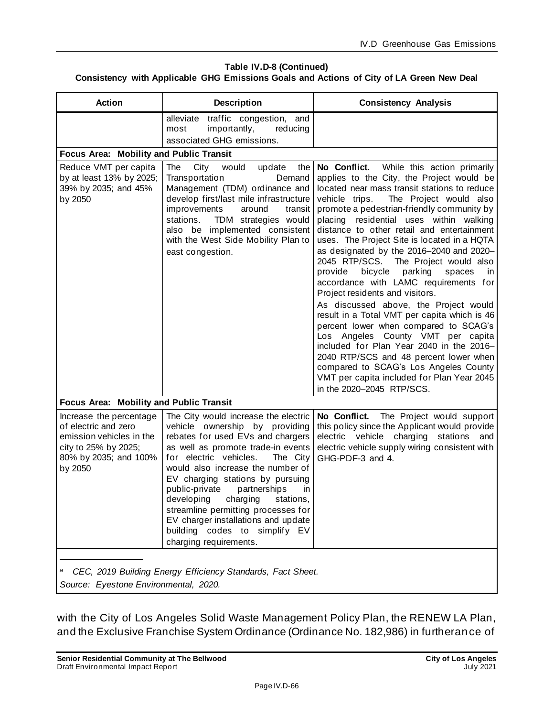#### **Table IV.D-8 (Continued) Consistency with Applicable GHG Emissions Goals and Actions of City of LA Green New Deal**

| <b>Action</b>                                                                                                                           | <b>Description</b>                                                                                                                                                                                                                                                                                                                                                                                                                                                                       | <b>Consistency Analysis</b>                                                                                                                                                                                                                                                                                                                                                                                                                                                                                                                                                                                                                                                                                                                                                                                                                                                                                                                                                  |  |
|-----------------------------------------------------------------------------------------------------------------------------------------|------------------------------------------------------------------------------------------------------------------------------------------------------------------------------------------------------------------------------------------------------------------------------------------------------------------------------------------------------------------------------------------------------------------------------------------------------------------------------------------|------------------------------------------------------------------------------------------------------------------------------------------------------------------------------------------------------------------------------------------------------------------------------------------------------------------------------------------------------------------------------------------------------------------------------------------------------------------------------------------------------------------------------------------------------------------------------------------------------------------------------------------------------------------------------------------------------------------------------------------------------------------------------------------------------------------------------------------------------------------------------------------------------------------------------------------------------------------------------|--|
|                                                                                                                                         | alleviate<br>traffic congestion, and<br>importantly,<br>reducing<br>most<br>associated GHG emissions.                                                                                                                                                                                                                                                                                                                                                                                    |                                                                                                                                                                                                                                                                                                                                                                                                                                                                                                                                                                                                                                                                                                                                                                                                                                                                                                                                                                              |  |
| Focus Area: Mobility and Public Transit                                                                                                 |                                                                                                                                                                                                                                                                                                                                                                                                                                                                                          |                                                                                                                                                                                                                                                                                                                                                                                                                                                                                                                                                                                                                                                                                                                                                                                                                                                                                                                                                                              |  |
| Reduce VMT per capita<br>by at least 13% by 2025;<br>39% by 2035; and 45%<br>by 2050                                                    | The<br>City<br>the<br>would<br>update<br>Transportation<br>Demand<br>Management (TDM) ordinance and<br>develop first/last mile infrastructure<br>improvements<br>around<br>transit<br>TDM strategies would<br>stations.<br>also be implemented consistent<br>with the West Side Mobility Plan to<br>east congestion.                                                                                                                                                                     | No Conflict.<br>While this action primarily<br>applies to the City, the Project would be<br>located near mass transit stations to reduce<br>vehicle trips.<br>The Project would also<br>promote a pedestrian-friendly community by<br>placing residential uses within walking<br>distance to other retail and entertainment<br>uses. The Project Site is located in a HQTA<br>as designated by the 2016-2040 and 2020-<br>2045 RTP/SCS. The Project would also<br>bicycle<br>provide<br>parking<br>spaces<br>ın<br>accordance with LAMC requirements for<br>Project residents and visitors.<br>As discussed above, the Project would<br>result in a Total VMT per capita which is 46<br>percent lower when compared to SCAG's<br>Los Angeles County VMT per capita<br>included for Plan Year 2040 in the 2016-<br>2040 RTP/SCS and 48 percent lower when<br>compared to SCAG's Los Angeles County<br>VMT per capita included for Plan Year 2045<br>in the 2020-2045 RTP/SCS. |  |
| Focus Area: Mobility and Public Transit                                                                                                 |                                                                                                                                                                                                                                                                                                                                                                                                                                                                                          |                                                                                                                                                                                                                                                                                                                                                                                                                                                                                                                                                                                                                                                                                                                                                                                                                                                                                                                                                                              |  |
| Increase the percentage<br>of electric and zero<br>emission vehicles in the<br>city to 25% by 2025;<br>80% by 2035; and 100%<br>by 2050 | The City would increase the electric<br>vehicle ownership by providing<br>rebates for used EVs and chargers<br>as well as promote trade-in events<br>for electric vehicles.<br>The City<br>would also increase the number of<br>EV charging stations by pursuing<br>public-private<br>partnerships<br>in<br>developing<br>charging<br>stations,<br>streamline permitting processes for<br>EV charger installations and update<br>building codes to simplify EV<br>charging requirements. | No Conflict.<br>The Project would support<br>this policy since the Applicant would provide<br>electric vehicle charging<br>stations<br>and<br>electric vehicle supply wiring consistent with<br>GHG-PDF-3 and 4.                                                                                                                                                                                                                                                                                                                                                                                                                                                                                                                                                                                                                                                                                                                                                             |  |
| CEC, 2019 Building Energy Efficiency Standards, Fact Sheet.<br>a<br>Source: Eyestone Environmental, 2020.                               |                                                                                                                                                                                                                                                                                                                                                                                                                                                                                          |                                                                                                                                                                                                                                                                                                                                                                                                                                                                                                                                                                                                                                                                                                                                                                                                                                                                                                                                                                              |  |

with the City of Los Angeles Solid Waste Management Policy Plan, the RENEW LA Plan, and the Exclusive Franchise System Ordinance (Ordinance No. 182,986) in furtherance of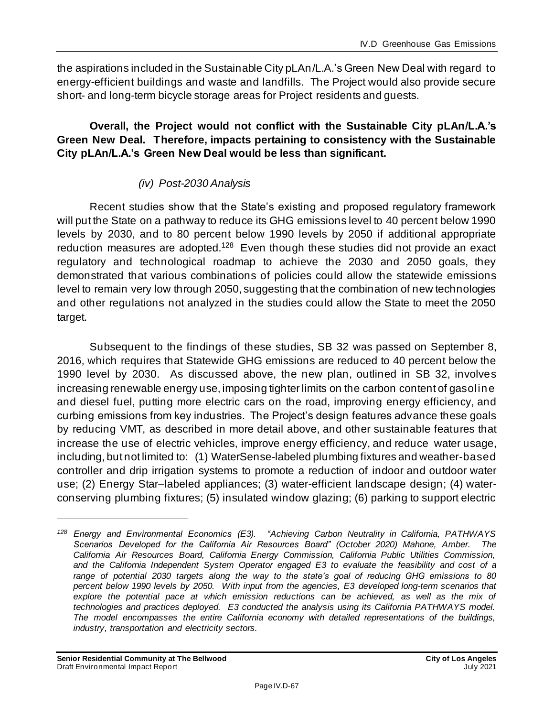the aspirations included in the Sustainable City pLAn/L.A.'s Green New Deal with regard to energy-efficient buildings and waste and landfills. The Project would also provide secure short- and long-term bicycle storage areas for Project residents and guests.

### **Overall, the Project would not conflict with the Sustainable City pLAn/L.A.'s Green New Deal. Therefore, impacts pertaining to consistency with the Sustainable City pLAn/L.A.'s Green New Deal would be less than significant.**

## *(iv) Post-2030 Analysis*

Recent studies show that the State's existing and proposed regulatory framework will put the State on a pathway to reduce its GHG emissions level to 40 percent below 1990 levels by 2030, and to 80 percent below 1990 levels by 2050 if additional appropriate reduction measures are adopted.<sup>128</sup> Even though these studies did not provide an exact regulatory and technological roadmap to achieve the 2030 and 2050 goals, they demonstrated that various combinations of policies could allow the statewide emissions level to remain very low through 2050, suggesting that the combination of new technologies and other regulations not analyzed in the studies could allow the State to meet the 2050 target.

Subsequent to the findings of these studies, SB 32 was passed on September 8, 2016, which requires that Statewide GHG emissions are reduced to 40 percent below the 1990 level by 2030. As discussed above, the new plan, outlined in SB 32, involves increasing renewable energy use, imposing tighter limits on the carbon content of gasoline and diesel fuel, putting more electric cars on the road, improving energy efficiency, and curbing emissions from key industries. The Project's design features advance these goals by reducing VMT, as described in more detail above, and other sustainable features that increase the use of electric vehicles, improve energy efficiency, and reduce water usage, including, but not limited to: (1) WaterSense-labeled plumbing fixtures and weather-based controller and drip irrigation systems to promote a reduction of indoor and outdoor water use; (2) Energy Star–labeled appliances; (3) water-efficient landscape design; (4) waterconserving plumbing fixtures; (5) insulated window glazing; (6) parking to support electric

*<sup>128</sup> Energy and Environmental Economics (E3). "Achieving Carbon Neutrality in California, PATHWAYS Scenarios Developed for the California Air Resources Board" (October 2020) Mahone, Amber. The California Air Resources Board, California Energy Commission, California Public Utilities Commission, and the California Independent System Operator engaged E3 to evaluate the feasibility and cost of a range of potential 2030 targets along the way to the state's goal of reducing GHG emissions to 80 percent below 1990 levels by 2050. With input from the agencies, E3 developed long-term scenarios that*  explore the potential pace at which emission reductions can be achieved, as well as the mix of *technologies and practices deployed. E3 conducted the analysis using its California PATHWAYS model. The model encompasses the entire California economy with detailed representations of the buildings, industry, transportation and electricity sectors.*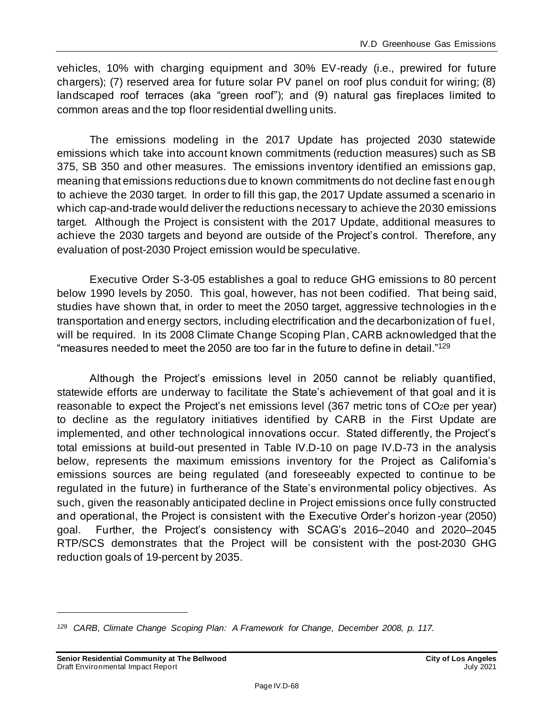vehicles, 10% with charging equipment and 30% EV-ready (i.e., prewired for future chargers); (7) reserved area for future solar PV panel on roof plus conduit for wiring; (8) landscaped roof terraces (aka "green roof"); and (9) natural gas fireplaces limited to common areas and the top floor residential dwelling units.

The emissions modeling in the 2017 Update has projected 2030 statewide emissions which take into account known commitments (reduction measures) such as SB 375, SB 350 and other measures. The emissions inventory identified an emissions gap, meaning that emissions reductions due to known commitments do not decline fast enough to achieve the 2030 target. In order to fill this gap, the 2017 Update assumed a scenario in which cap-and-trade would deliver the reductions necessary to achieve the 2030 emissions target. Although the Project is consistent with the 2017 Update, additional measures to achieve the 2030 targets and beyond are outside of the Project's control. Therefore, any evaluation of post-2030 Project emission would be speculative.

Executive Order S-3-05 establishes a goal to reduce GHG emissions to 80 percent below 1990 levels by 2050. This goal, however, has not been codified. That being said, studies have shown that, in order to meet the 2050 target, aggressive technologies in th e transportation and energy sectors, including electrification and the decarbonization of fuel, will be required. In its 2008 Climate Change Scoping Plan, CARB acknowledged that the "measures needed to meet the 2050 are too far in the future to define in detail."<sup>129</sup>

Although the Project's emissions level in 2050 cannot be reliably quantified, statewide efforts are underway to facilitate the State's achievement of that goal and it is reasonable to expect the Project's net emissions level (367 metric tons of CO<sub>2</sub>e per year) to decline as the regulatory initiatives identified by CARB in the First Update are implemented, and other technological innovations occur. Stated differently, the Project's total emissions at build-out presented in Table IV.D-10 on page [IV.D-73](#page-72-0) in the analysis below, represents the maximum emissions inventory for the Project as California's emissions sources are being regulated (and foreseeably expected to continue to be regulated in the future) in furtherance of the State's environmental policy objectives. As such, given the reasonably anticipated decline in Project emissions once fully constructed and operational, the Project is consistent with the Executive Order's horizon -year (2050) goal. Further, the Project's consistency with SCAG's 2016–2040 and 2020–2045 RTP/SCS demonstrates that the Project will be consistent with the post-2030 GHG reduction goals of 19-percent by 2035.

*<sup>129</sup> CARB, Climate Change Scoping Plan: A Framework for Change, December 2008, p. 117.*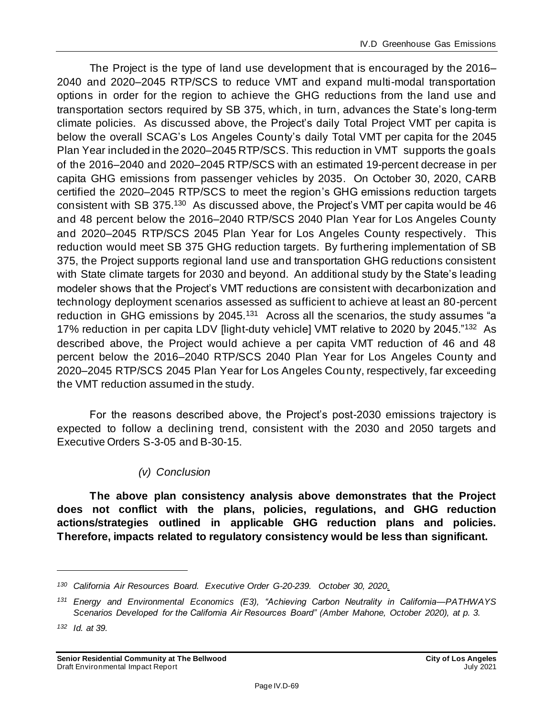The Project is the type of land use development that is encouraged by the 2016– 2040 and 2020–2045 RTP/SCS to reduce VMT and expand multi-modal transportation options in order for the region to achieve the GHG reductions from the land use and transportation sectors required by SB 375, which, in turn, advances the State's long-term climate policies. As discussed above, the Project's daily Total Project VMT per capita is below the overall SCAG's Los Angeles County's daily Total VMT per capita for the 2045 Plan Year included in the 2020–2045 RTP/SCS. This reduction in VMT supports the goals of the 2016–2040 and 2020–2045 RTP/SCS with an estimated 19-percent decrease in per capita GHG emissions from passenger vehicles by 2035. On October 30, 2020, CARB certified the 2020–2045 RTP/SCS to meet the region's GHG emissions reduction targets consistent with SB 375.<sup>130</sup> As discussed above, the Project's VMT per capita would be 46 and 48 percent below the 2016–2040 RTP/SCS 2040 Plan Year for Los Angeles County and 2020–2045 RTP/SCS 2045 Plan Year for Los Angeles County respectively. This reduction would meet SB 375 GHG reduction targets. By furthering implementation of SB 375, the Project supports regional land use and transportation GHG reductions consistent with State climate targets for 2030 and beyond. An additional study by the State's leading modeler shows that the Project's VMT reductions are consistent with decarbonization and technology deployment scenarios assessed as sufficient to achieve at least an 80-percent reduction in GHG emissions by 2045.<sup>131</sup> Across all the scenarios, the study assumes "a 17% reduction in per capita LDV [light-duty vehicle] VMT relative to 2020 by 2045."<sup>132</sup> As described above, the Project would achieve a per capita VMT reduction of 46 and 48 percent below the 2016–2040 RTP/SCS 2040 Plan Year for Los Angeles County and 2020–2045 RTP/SCS 2045 Plan Year for Los Angeles County, respectively, far exceeding the VMT reduction assumed in the study.

For the reasons described above, the Project's post-2030 emissions trajectory is expected to follow a declining trend, consistent with the 2030 and 2050 targets and Executive Orders S-3-05 and B-30-15.

### *(v) Conclusion*

**The above plan consistency analysis above demonstrates that the Project does not conflict with the plans, policies, regulations, and GHG reduction actions/strategies outlined in applicable GHG reduction plans and policies. Therefore, impacts related to regulatory consistency would be less than significant.**

*<sup>130</sup> California Air Resources Board. Executive Order G-20-239. October 30, 2020.*

*<sup>131</sup> Energy and Environmental Economics (E3), "Achieving Carbon Neutrality in California—PATHWAYS Scenarios Developed for the California Air Resources Board" (Amber Mahone, October 2020), at p. 3.*

*<sup>132</sup> Id. at 39.*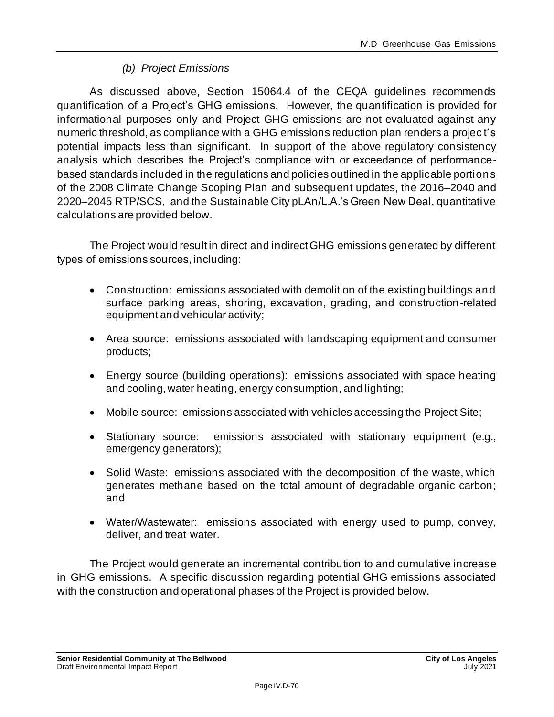## *(b) Project Emissions*

As discussed above, Section 15064.4 of the CEQA guidelines recommends quantification of a Project's GHG emissions. However, the quantification is provided for informational purposes only and Project GHG emissions are not evaluated against any numeric threshold, as compliance with a GHG emissions reduction plan renders a projec t's potential impacts less than significant. In support of the above regulatory consistency analysis which describes the Project's compliance with or exceedance of performancebased standards included in the regulations and policies outlined in the applicable portions of the 2008 Climate Change Scoping Plan and subsequent updates, the 2016–2040 and 2020–2045 RTP/SCS, and the Sustainable City pLAn/L.A.'s Green New Deal, quantitative calculations are provided below.

The Project would result in direct and indirect GHG emissions generated by different types of emissions sources, including:

- Construction: emissions associated with demolition of the existing buildings and surface parking areas, shoring, excavation, grading, and construction-related equipment and vehicular activity;
- Area source: emissions associated with landscaping equipment and consumer products;
- Energy source (building operations): emissions associated with space heating and cooling, water heating, energy consumption, and lighting;
- Mobile source: emissions associated with vehicles accessing the Project Site;
- Stationary source: emissions associated with stationary equipment (e.g., emergency generators);
- Solid Waste: emissions associated with the decomposition of the waste, which generates methane based on the total amount of degradable organic carbon; and
- Water/Wastewater: emissions associated with energy used to pump, convey, deliver, and treat water.

The Project would generate an incremental contribution to and cumulative increase in GHG emissions. A specific discussion regarding potential GHG emissions associated with the construction and operational phases of the Project is provided below.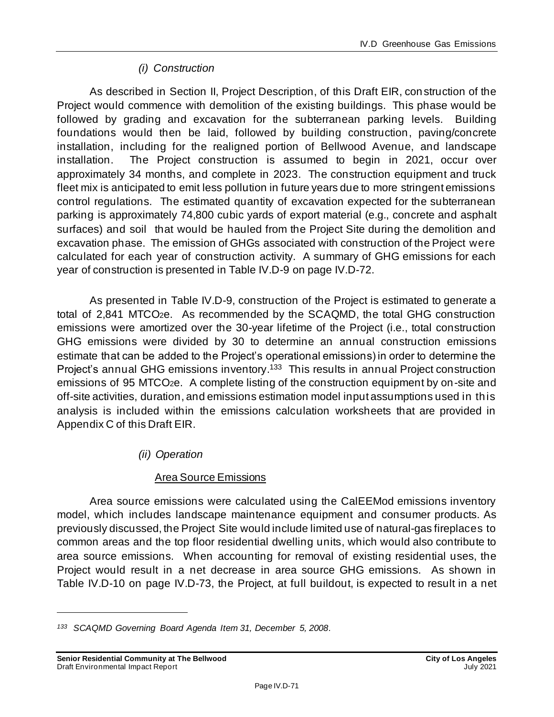## *(i) Construction*

As described in Section II, Project Description, of this Draft EIR, construction of the Project would commence with demolition of the existing buildings. This phase would be followed by grading and excavation for the subterranean parking levels. Building foundations would then be laid, followed by building construction, paving/concrete installation, including for the realigned portion of Bellwood Avenue, and landscape installation. The Project construction is assumed to begin in 2021, occur over approximately 34 months, and complete in 2023. The construction equipment and truck fleet mix is anticipated to emit less pollution in future years due to more stringent emissions control regulations. The estimated quantity of excavation expected for the subterranean parking is approximately 74,800 cubic yards of export material (e.g., concrete and asphalt surfaces) and soil that would be hauled from the Project Site during the demolition and excavation phase. The emission of GHGs associated with construction of the Project were calculated for each year of construction activity. A summary of GHG emissions for each year of construction is presented in Table IV.D-9 on page [IV.D-72.](#page-71-0)

As presented in Table IV.D-9, construction of the Project is estimated to generate a total of 2,841 MTCO2e. As recommended by the SCAQMD, the total GHG construction emissions were amortized over the 30-year lifetime of the Project (i.e., total construction GHG emissions were divided by 30 to determine an annual construction emissions estimate that can be added to the Project's operational emissions) in order to determine the Project's annual GHG emissions inventory.<sup>133</sup> This results in annual Project construction emissions of 95 MTCO2e. A complete listing of the construction equipment by on-site and off-site activities, duration, and emissions estimation model input assumptions used in this analysis is included within the emissions calculation worksheets that are provided in Appendix C of this Draft EIR.

### *(ii) Operation*

### Area Source Emissions

Area source emissions were calculated using the CalEEMod emissions inventory model, which includes landscape maintenance equipment and consumer products. As previously discussed, the Project Site would include limited use of natural-gas fireplaces to common areas and the top floor residential dwelling units, which would also contribute to area source emissions. When accounting for removal of existing residential uses, the Project would result in a net decrease in area source GHG emissions. As shown in Table IV.D-10 on page [IV.D-73,](#page-72-0) the Project, at full buildout, is expected to result in a net

*<sup>133</sup> SCAQMD Governing Board Agenda Item 31, December 5, 2008.*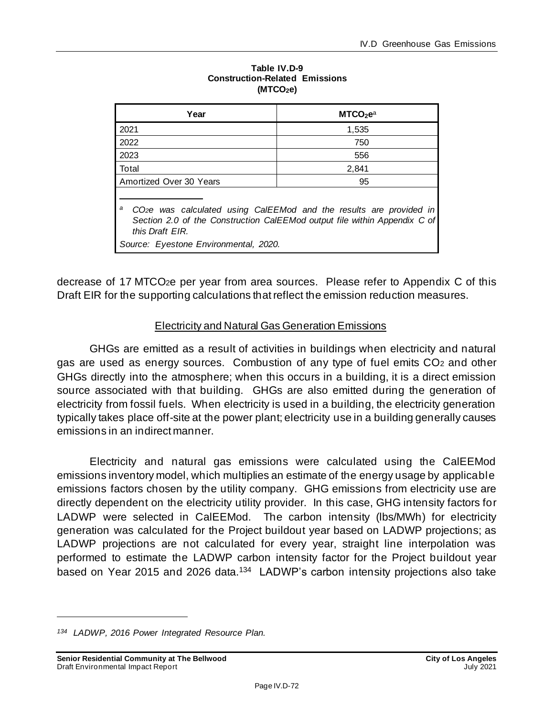<span id="page-71-0"></span>

| Year                                                                                                                                                                                                                          | MTCO <sub>2</sub> e <sup>a</sup> |  |  |
|-------------------------------------------------------------------------------------------------------------------------------------------------------------------------------------------------------------------------------|----------------------------------|--|--|
| 2021                                                                                                                                                                                                                          | 1,535                            |  |  |
| 2022                                                                                                                                                                                                                          | 750                              |  |  |
| 2023                                                                                                                                                                                                                          | 556                              |  |  |
| Total                                                                                                                                                                                                                         | 2,841                            |  |  |
| Amortized Over 30 Years                                                                                                                                                                                                       | 95                               |  |  |
| CO <sub>2</sub> e was calculated using CalEEMod and the results are provided in<br>а<br>Section 2.0 of the Construction CalEEMod output file within Appendix C of<br>this Draft EIR.<br>Source: Eyestone Environmental, 2020. |                                  |  |  |

#### **Table IV.D-9 Construction-Related Emissions (MTCO2e)**

decrease of 17 MTCO2e per year from area sources. Please refer to Appendix C of this Draft EIR for the supporting calculations that reflect the emission reduction measures.

## Electricity and Natural Gas Generation Emissions

GHGs are emitted as a result of activities in buildings when electricity and natural gas are used as energy sources. Combustion of any type of fuel emits CO<sup>2</sup> and other GHGs directly into the atmosphere; when this occurs in a building, it is a direct emission source associated with that building. GHGs are also emitted during the generation of electricity from fossil fuels. When electricity is used in a building, the electricity generation typically takes place off-site at the power plant; electricity use in a building generally causes emissions in an indirect manner.

Electricity and natural gas emissions were calculated using the CalEEMod emissions inventory model, which multiplies an estimate of the energy usage by applicable emissions factors chosen by the utility company. GHG emissions from electricity use are directly dependent on the electricity utility provider. In this case, GHG intensity factors for LADWP were selected in CalEEMod. The carbon intensity (lbs/MWh) for electricity generation was calculated for the Project buildout year based on LADWP projections; as LADWP projections are not calculated for every year, straight line interpolation was performed to estimate the LADWP carbon intensity factor for the Project buildout year based on Year 2015 and 2026 data.<sup>134</sup> LADWP's carbon intensity projections also take

*<sup>134</sup> LADWP, 2016 Power Integrated Resource Plan.*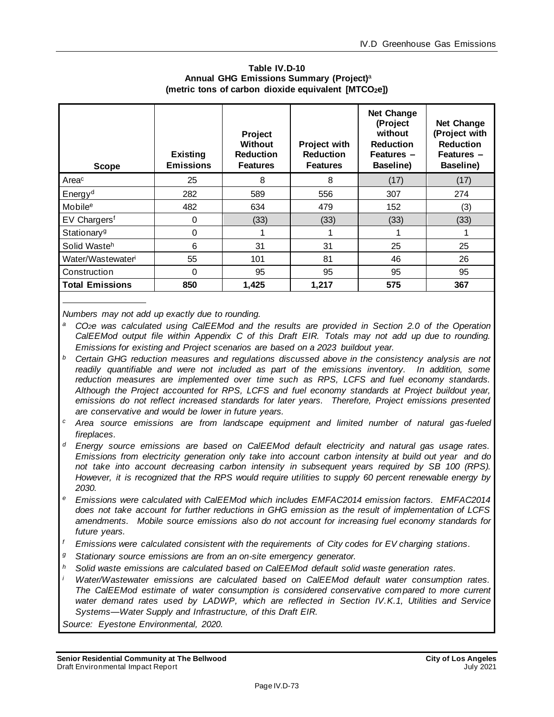| Table IV.D-10                                       |  |  |  |  |  |  |
|-----------------------------------------------------|--|--|--|--|--|--|
| Annual GHG Emissions Summary (Project) <sup>a</sup> |  |  |  |  |  |  |
| (metric tons of carbon dioxide equivalent [MTCO2e]) |  |  |  |  |  |  |

<span id="page-72-0"></span>

| <b>Scope</b>                  | <b>Existing</b><br><b>Emissions</b> | <b>Project</b><br><b>Without</b><br><b>Reduction</b><br><b>Features</b> | <b>Project with</b><br><b>Reduction</b><br><b>Features</b> | <b>Net Change</b><br>(Project<br>without<br><b>Reduction</b><br>Features -<br>Baseline) | <b>Net Change</b><br>(Project with<br><b>Reduction</b><br>Features -<br>Baseline) |
|-------------------------------|-------------------------------------|-------------------------------------------------------------------------|------------------------------------------------------------|-----------------------------------------------------------------------------------------|-----------------------------------------------------------------------------------|
| Areac                         | 25                                  | 8                                                                       | 8                                                          | (17)                                                                                    | (17)                                                                              |
| Energy <sup>d</sup>           | 282                                 | 589                                                                     | 556                                                        | 307                                                                                     | 274                                                                               |
| Mobile <sup>e</sup>           | 482                                 | 634                                                                     | 479                                                        | 152                                                                                     | (3)                                                                               |
| EV Chargers <sup>f</sup>      | 0                                   | (33)                                                                    | (33)                                                       | (33)                                                                                    | (33)                                                                              |
| Stationary <sup>g</sup>       | 0                                   |                                                                         |                                                            |                                                                                         |                                                                                   |
| Solid Wasteh                  | 6                                   | 31                                                                      | 31                                                         | 25                                                                                      | 25                                                                                |
| Water/Wastewater <sup>i</sup> | 55                                  | 101                                                                     | 81                                                         | 46                                                                                      | 26                                                                                |
| Construction                  | 0                                   | 95                                                                      | 95                                                         | 95                                                                                      | 95                                                                                |
| <b>Total Emissions</b>        | 850                                 | 1.425                                                                   | 1.217                                                      | 575                                                                                     | 367                                                                               |

*Numbers may not add up exactly due to rounding.*

- *<sup>a</sup>CO2e was calculated using CalEEMod and the results are provided in Section 2.0 of the Operation CalEEMod output file within Appendix C of this Draft EIR. Totals may not add up due to rounding. Emissions for existing and Project scenarios are based on a 2023 buildout year.*
- *<sup>b</sup> Certain GHG reduction measures and regulations discussed above in the consistency analysis are not*  readily quantifiable and were not included as part of the emissions inventory. In addition, some *reduction measures are implemented over time such as RPS, LCFS and fuel economy standards. Although the Project accounted for RPS, LCFS and fuel economy standards at Project buildout year, emissions do not reflect increased standards for later years. Therefore, Project emissions presented are conservative and would be lower in future years.*
- *<sup>c</sup> Area source emissions are from landscape equipment and limited number of natural gas-fueled fireplaces.*
- *<sup>d</sup> Energy source emissions are based on CalEEMod default electricity and natural gas usage rates. Emissions from electricity generation only take into account carbon intensity at build out year and do not take into account decreasing carbon intensity in subsequent years required by SB 100 (RPS). However, it is recognized that the RPS would require utilities to supply 60 percent renewable energy by 2030.*
- *<sup>e</sup> Emissions were calculated with CalEEMod which includes EMFAC2014 emission factors. EMFAC2014 does not take account for further reductions in GHG emission as the result of implementation of LCFS amendments. Mobile source emissions also do not account for increasing fuel economy standards for future years.*
- *<sup>f</sup> Emissions were calculated consistent with the requirements of City codes for EV charging stations.*
- *<sup>g</sup> Stationary source emissions are from an on-site emergency generator.*
- *<sup>h</sup> Solid waste emissions are calculated based on CalEEMod default solid waste generation rates.*
- *Water/Wastewater emissions are calculated based on CalEEMod default water consumption rates. The CalEEMod estimate of water consumption is considered conservative compared to more current water demand rates used by LADWP, which are reflected in Section IV.K.1, Utilities and Service Systems—Water Supply and Infrastructure, of this Draft EIR.*
- *Source: Eyestone Environmental, 2020.*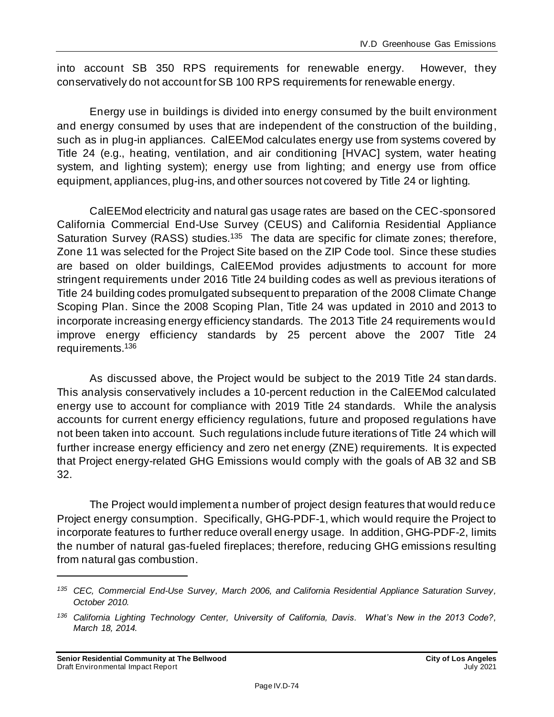into account SB 350 RPS requirements for renewable energy. However, they conservatively do not account for SB 100 RPS requirements for renewable energy.

Energy use in buildings is divided into energy consumed by the built environment and energy consumed by uses that are independent of the construction of the building, such as in plug-in appliances. CalEEMod calculates energy use from systems covered by Title 24 (e.g., heating, ventilation, and air conditioning [HVAC] system, water heating system, and lighting system); energy use from lighting; and energy use from office equipment, appliances, plug-ins, and other sources not covered by Title 24 or lighting.

CalEEMod electricity and natural gas usage rates are based on the CEC-sponsored California Commercial End-Use Survey (CEUS) and California Residential Appliance Saturation Survey (RASS) studies.<sup>135</sup> The data are specific for climate zones; therefore, Zone 11 was selected for the Project Site based on the ZIP Code tool. Since these studies are based on older buildings, CalEEMod provides adjustments to account for more stringent requirements under 2016 Title 24 building codes as well as previous iterations of Title 24 building codes promulgated subsequent to preparation of the 2008 Climate Change Scoping Plan. Since the 2008 Scoping Plan, Title 24 was updated in 2010 and 2013 to incorporate increasing energy efficiency standards. The 2013 Title 24 requirements would improve energy efficiency standards by 25 percent above the 2007 Title 24 requirements.<sup>136</sup>

As discussed above, the Project would be subject to the 2019 Title 24 stan dards. This analysis conservatively includes a 10-percent reduction in the CalEEMod calculated energy use to account for compliance with 2019 Title 24 standards. While the analysis accounts for current energy efficiency regulations, future and proposed regulations have not been taken into account. Such regulations include future iterations of Title 24 which will further increase energy efficiency and zero net energy (ZNE) requirements. It is expected that Project energy-related GHG Emissions would comply with the goals of AB 32 and SB 32.

The Project would implement a number of project design features that would reduce Project energy consumption. Specifically, GHG-PDF-1, which would require the Project to incorporate features to further reduce overall energy usage. In addition, GHG-PDF-2, limits the number of natural gas-fueled fireplaces; therefore, reducing GHG emissions resulting from natural gas combustion.

*<sup>135</sup> CEC, Commercial End-Use Survey, March 2006, and California Residential Appliance Saturation Survey, October 2010.*

*<sup>136</sup> California Lighting Technology Center, University of California, Davis. What's New in the 2013 Code?, March 18, 2014.*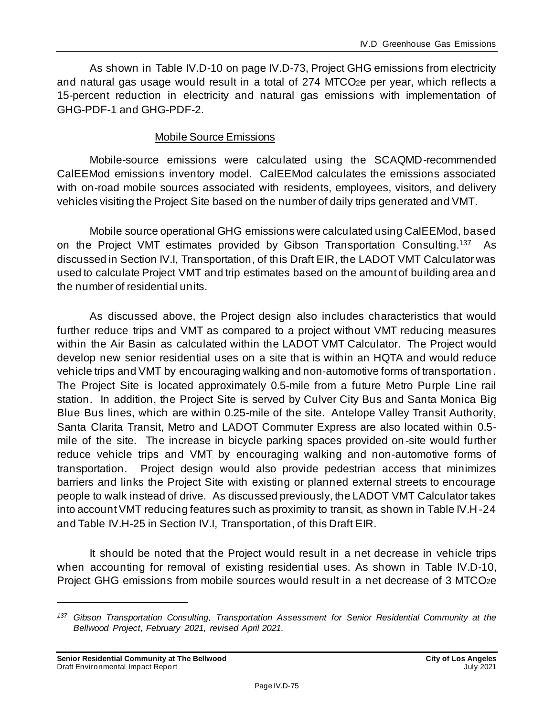As shown in Table IV.D-10 on pag[e IV.D-73](#page-72-0), Project GHG emissions from electricity and natural gas usage would result in a total of 274 MTCO2e per year, which reflects a 15-percent reduction in electricity and natural gas emissions with implementation of GHG-PDF-1 and GHG-PDF-2.

#### Mobile Source Emissions

Mobile-source emissions were calculated using the SCAQMD-recommended CalEEMod emissions inventory model. CalEEMod calculates the emissions associated with on-road mobile sources associated with residents, employees, visitors, and delivery vehicles visiting the Project Site based on the number of daily trips generated and VMT.

Mobile source operational GHG emissions were calculated using CalEEMod, based on the Project VMT estimates provided by Gibson Transportation Consulting.<sup>137</sup> As discussed in Section IV.I, Transportation, of this Draft EIR, the LADOT VMT Calculator was used to calculate Project VMT and trip estimates based on the amount of building area and the number of residential units.

As discussed above, the Project design also includes characteristics that would further reduce trips and VMT as compared to a project without VMT reducing measures within the Air Basin as calculated within the LADOT VMT Calculator. The Project would develop new senior residential uses on a site that is within an HQTA and would reduce vehicle trips and VMT by encouraging walking and non‐automotive forms of transportation . The Project Site is located approximately 0.5-mile from a future Metro Purple Line rail station. In addition, the Project Site is served by Culver City Bus and Santa Monica Big Blue Bus lines, which are within 0.25-mile of the site. Antelope Valley Transit Authority, Santa Clarita Transit, Metro and LADOT Commuter Express are also located within 0.5 mile of the site. The increase in bicycle parking spaces provided on -site would further reduce vehicle trips and VMT by encouraging walking and non‐automotive forms of transportation. Project design would also provide pedestrian access that minimizes barriers and links the Project Site with existing or planned external streets to encourage people to walk instead of drive. As discussed previously, the LADOT VMT Calculator takes into account VMT reducing features such as proximity to transit, as shown in Table IV.H-24 and Table IV.H-25 in Section IV.I, Transportation, of this Draft EIR.

It should be noted that the Project would result in a net decrease in vehicle trips when accounting for removal of existing residential uses. As shown in Table IV.D-10, Project GHG emissions from mobile sources would result in a net decrease of 3 MTCO2e

*<sup>137</sup> Gibson Transportation Consulting, Transportation Assessment for Senior Residential Community at the Bellwood Project, February 2021, revised April 2021.*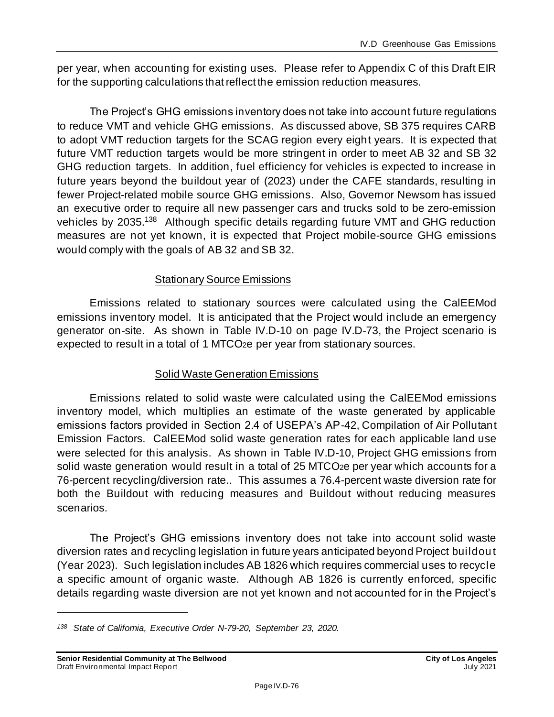per year, when accounting for existing uses. Please refer to Appendix C of this Draft EIR for the supporting calculations that reflect the emission reduction measures.

The Project's GHG emissions inventory does not take into account future regulations to reduce VMT and vehicle GHG emissions. As discussed above, SB 375 requires CARB to adopt VMT reduction targets for the SCAG region every eight years. It is expected that future VMT reduction targets would be more stringent in order to meet AB 32 and SB 32 GHG reduction targets. In addition, fuel efficiency for vehicles is expected to increase in future years beyond the buildout year of (2023) under the CAFE standards, resulting in fewer Project-related mobile source GHG emissions. Also, Governor Newsom has issued an executive order to require all new passenger cars and trucks sold to be zero-emission vehicles by 2035.<sup>138</sup> Although specific details regarding future VMT and GHG reduction measures are not yet known, it is expected that Project mobile-source GHG emissions would comply with the goals of AB 32 and SB 32.

#### Stationary Source Emissions

Emissions related to stationary sources were calculated using the CalEEMod emissions inventory model. It is anticipated that the Project would include an emergency generator on-site. As shown in Table IV.D-10 on pag[e IV.D-73](#page-72-0), the Project scenario is expected to result in a total of 1 MTCO<sub>2</sub>e per year from stationary sources.

#### Solid Waste Generation Emissions

Emissions related to solid waste were calculated using the CalEEMod emissions inventory model, which multiplies an estimate of the waste generated by applicable emissions factors provided in Section 2.4 of USEPA's AP-42, Compilation of Air Pollutant Emission Factors. CalEEMod solid waste generation rates for each applicable land use were selected for this analysis. As shown in Table IV.D-10, Project GHG emissions from solid waste generation would result in a total of 25 MTCO<sub>2</sub>e per year which accounts for a 76-percent recycling/diversion rate.. This assumes a 76.4-percent waste diversion rate for both the Buildout with reducing measures and Buildout without reducing measures scenarios.

The Project's GHG emissions inventory does not take into account solid waste diversion rates and recycling legislation in future years anticipated beyond Project buildout (Year 2023). Such legislation includes AB 1826 which requires commercial uses to recycle a specific amount of organic waste. Although AB 1826 is currently enforced, specific details regarding waste diversion are not yet known and not accounted for in the Project's

*<sup>138</sup> State of California, Executive Order N-79-20, September 23, 2020.*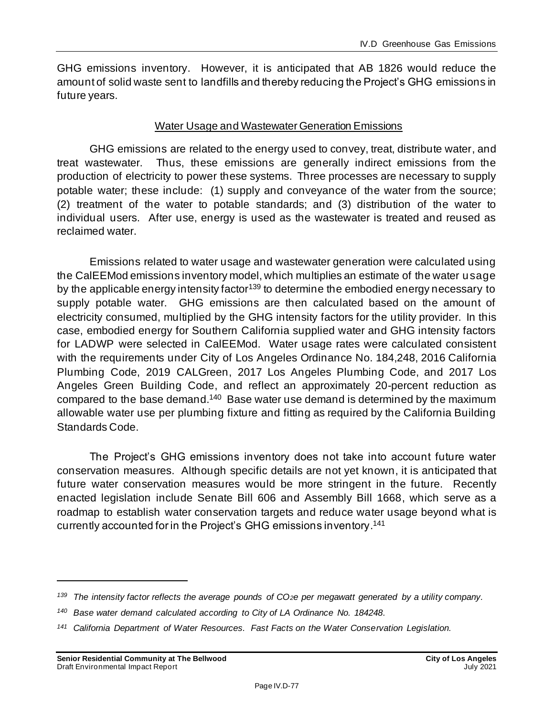GHG emissions inventory. However, it is anticipated that AB 1826 would reduce the amount of solid waste sent to landfills and thereby reducing the Project's GHG emissions in future years.

#### Water Usage and Wastewater Generation Emissions

GHG emissions are related to the energy used to convey, treat, distribute water, and treat wastewater. Thus, these emissions are generally indirect emissions from the production of electricity to power these systems. Three processes are necessary to supply potable water; these include: (1) supply and conveyance of the water from the source; (2) treatment of the water to potable standards; and (3) distribution of the water to individual users. After use, energy is used as the wastewater is treated and reused as reclaimed water.

Emissions related to water usage and wastewater generation were calculated using the CalEEMod emissions inventory model, which multiplies an estimate of the water usage by the applicable energy intensity factor<sup>139</sup> to determine the embodied energy necessary to supply potable water. GHG emissions are then calculated based on the amount of electricity consumed, multiplied by the GHG intensity factors for the utility provider. In this case, embodied energy for Southern California supplied water and GHG intensity factors for LADWP were selected in CalEEMod. Water usage rates were calculated consistent with the requirements under City of Los Angeles Ordinance No. 184,248, 2016 California Plumbing Code, 2019 CALGreen, 2017 Los Angeles Plumbing Code, and 2017 Los Angeles Green Building Code, and reflect an approximately 20-percent reduction as compared to the base demand.<sup>140</sup> Base water use demand is determined by the maximum allowable water use per plumbing fixture and fitting as required by the California Building Standards Code.

The Project's GHG emissions inventory does not take into account future water conservation measures. Although specific details are not yet known, it is anticipated that future water conservation measures would be more stringent in the future. Recently enacted legislation include Senate Bill 606 and Assembly Bill 1668, which serve as a roadmap to establish water conservation targets and reduce water usage beyond what is currently accounted for in the Project's GHG emissions inventory. 141

*<sup>139</sup> The intensity factor reflects the average pounds of CO2e per megawatt generated by a utility company.*

*<sup>140</sup> Base water demand calculated according to City of LA Ordinance No. 184248.*

*<sup>141</sup> California Department of Water Resources. Fast Facts on the Water Conservation Legislation.*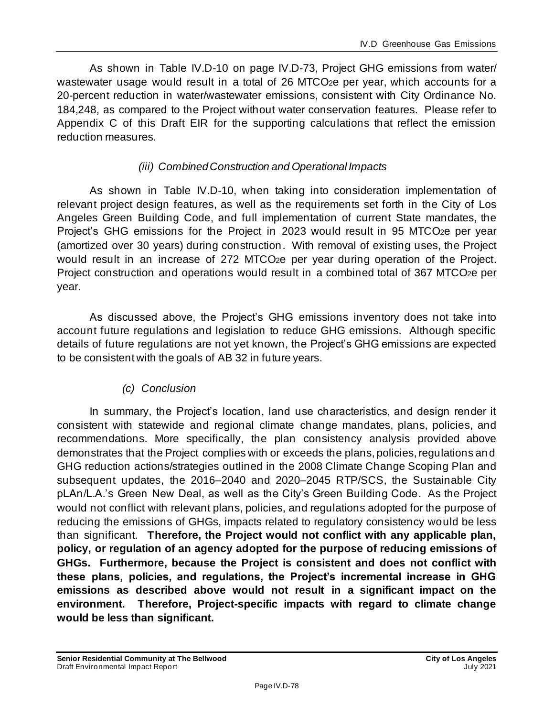As shown in Table IV.D-10 on pag[e IV.D-73](#page-72-0), Project GHG emissions from water/ wastewater usage would result in a total of 26 MTCO<sub>2</sub>e per year, which accounts for a 20-percent reduction in water/wastewater emissions, consistent with City Ordinance No. 184,248, as compared to the Project without water conservation features. Please refer to Appendix C of this Draft EIR for the supporting calculations that reflect the emission reduction measures.

#### *(iii) Combined Construction and Operational Impacts*

As shown in Table IV.D-10, when taking into consideration implementation of relevant project design features, as well as the requirements set forth in the City of Los Angeles Green Building Code, and full implementation of current State mandates, the Project's GHG emissions for the Project in 2023 would result in 95 MTCO<sub>2</sub>e per year (amortized over 30 years) during construction. With removal of existing uses, the Project would result in an increase of 272 MTCO<sub>2</sub>e per year during operation of the Project. Project construction and operations would result in a combined total of 367 MTCO2e per year.

As discussed above, the Project's GHG emissions inventory does not take into account future regulations and legislation to reduce GHG emissions. Although specific details of future regulations are not yet known, the Project's GHG emissions are expected to be consistent with the goals of AB 32 in future years.

### *(c) Conclusion*

In summary, the Project's location, land use characteristics, and design render it consistent with statewide and regional climate change mandates, plans, policies, and recommendations. More specifically, the plan consistency analysis provided above demonstrates that the Project complies with or exceeds the plans, policies, regulations and GHG reduction actions/strategies outlined in the 2008 Climate Change Scoping Plan and subsequent updates, the 2016–2040 and 2020–2045 RTP/SCS, the Sustainable City pLAn/L.A.'s Green New Deal, as well as the City's Green Building Code. As the Project would not conflict with relevant plans, policies, and regulations adopted for the purpose of reducing the emissions of GHGs, impacts related to regulatory consistency would be less than significant. **Therefore, the Project would not conflict with any applicable plan, policy, or regulation of an agency adopted for the purpose of reducing emissions of GHGs. Furthermore, because the Project is consistent and does not conflict with these plans, policies, and regulations, the Project's incremental increase in GHG emissions as described above would not result in a significant impact on the environment. Therefore, Project-specific impacts with regard to climate change would be less than significant.**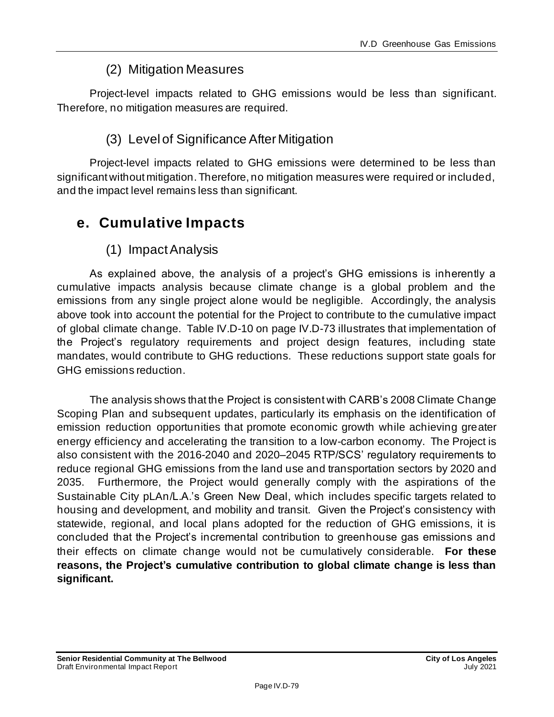# (2) Mitigation Measures

Project-level impacts related to GHG emissions would be less than significant. Therefore, no mitigation measures are required.

# (3) Level of Significance After Mitigation

Project-level impacts related to GHG emissions were determined to be less than significant without mitigation. Therefore, no mitigation measures were required or included, and the impact level remains less than significant.

# **e. Cumulative Impacts**

### (1) Impact Analysis

As explained above, the analysis of a project's GHG emissions is inherently a cumulative impacts analysis because climate change is a global problem and the emissions from any single project alone would be negligible. Accordingly, the analysis above took into account the potential for the Project to contribute to the cumulative impact of global climate change. Table IV.D-10 on page [IV.D-73](#page-72-0) illustrates that implementation of the Project's regulatory requirements and project design features, including state mandates, would contribute to GHG reductions. These reductions support state goals for GHG emissions reduction.

The analysis shows that the Project is consistent with CARB's 2008 Climate Change Scoping Plan and subsequent updates, particularly its emphasis on the identification of emission reduction opportunities that promote economic growth while achieving greater energy efficiency and accelerating the transition to a low-carbon economy. The Project is also consistent with the 2016-2040 and 2020–2045 RTP/SCS' regulatory requirements to reduce regional GHG emissions from the land use and transportation sectors by 2020 and 2035. Furthermore, the Project would generally comply with the aspirations of the Sustainable City pLAn/L.A.'s Green New Deal, which includes specific targets related to housing and development, and mobility and transit.Given the Project's consistency with statewide, regional, and local plans adopted for the reduction of GHG emissions, it is concluded that the Project's incremental contribution to greenhouse gas emissions and their effects on climate change would not be cumulatively considerable. **For these reasons, the Project's cumulative contribution to global climate change is less than significant.**